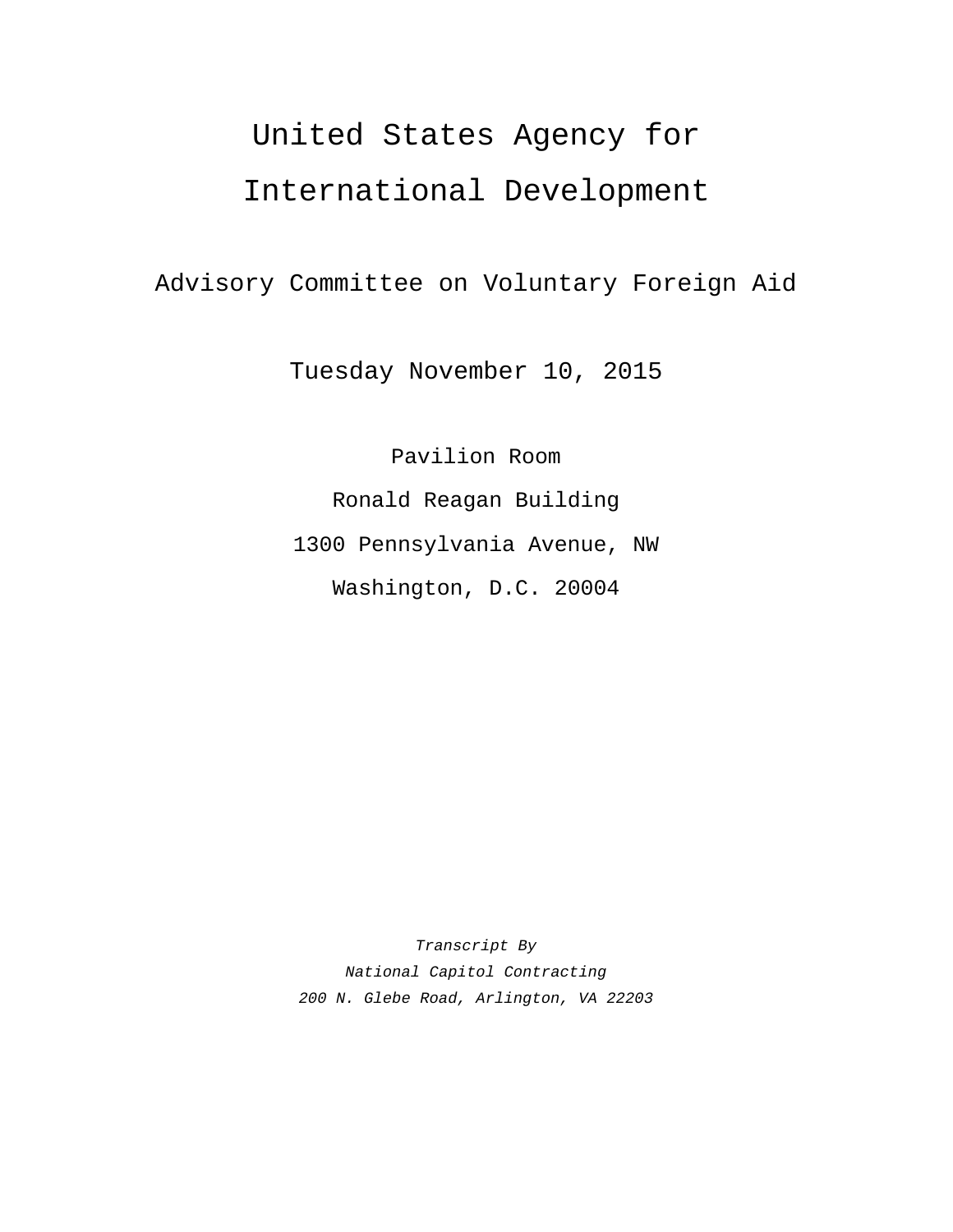# United States Agency for

# International Development

Advisory Committee on Voluntary Foreign Aid

Tuesday November 10, 2015

Pavilion Room Ronald Reagan Building 1300 Pennsylvania Avenue, NW Washington, D.C. 20004

*Transcript By National Capitol Contracting 200 N. Glebe Road, Arlington, VA 22203*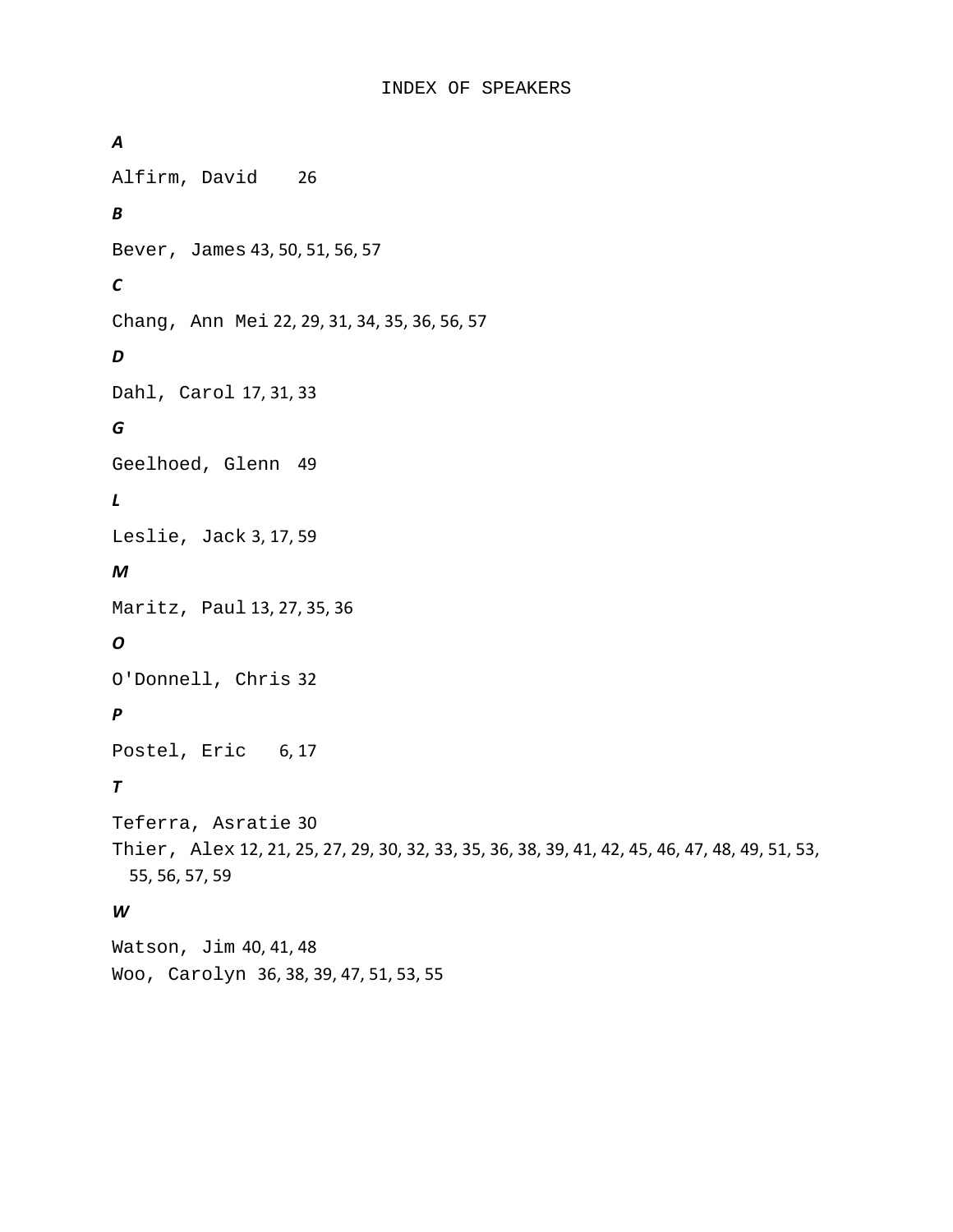*A* Alfirm, David 26 *B* Bever, James 43, 50, 51, 56, 57 *C* Chang, Ann Mei 22, 29, 31, 34, 35, 36, 56, 57 *D* Dahl, Carol 17, 31, 33 *G* Geelhoed, Glenn 49 *L* Leslie, Jack 3, 17, 59 *M* Maritz, Paul 13, 27, 35, 36 *O* O'Donnell, Chris 32 *P* Postel, Eric 6, 17 *T* Teferra, Asratie 30 Thier, Alex 12, 21, 25, 27, 29, 30, 32, 33, 35, 36, 38, 39, 41, 42, 45, 46, 47, 48, 49, 51, 53, 55, 56, 57, 59

## *W*

Watson, Jim 40, 41, 48 Woo, Carolyn 36, 38, 39, 47, 51, 53, 55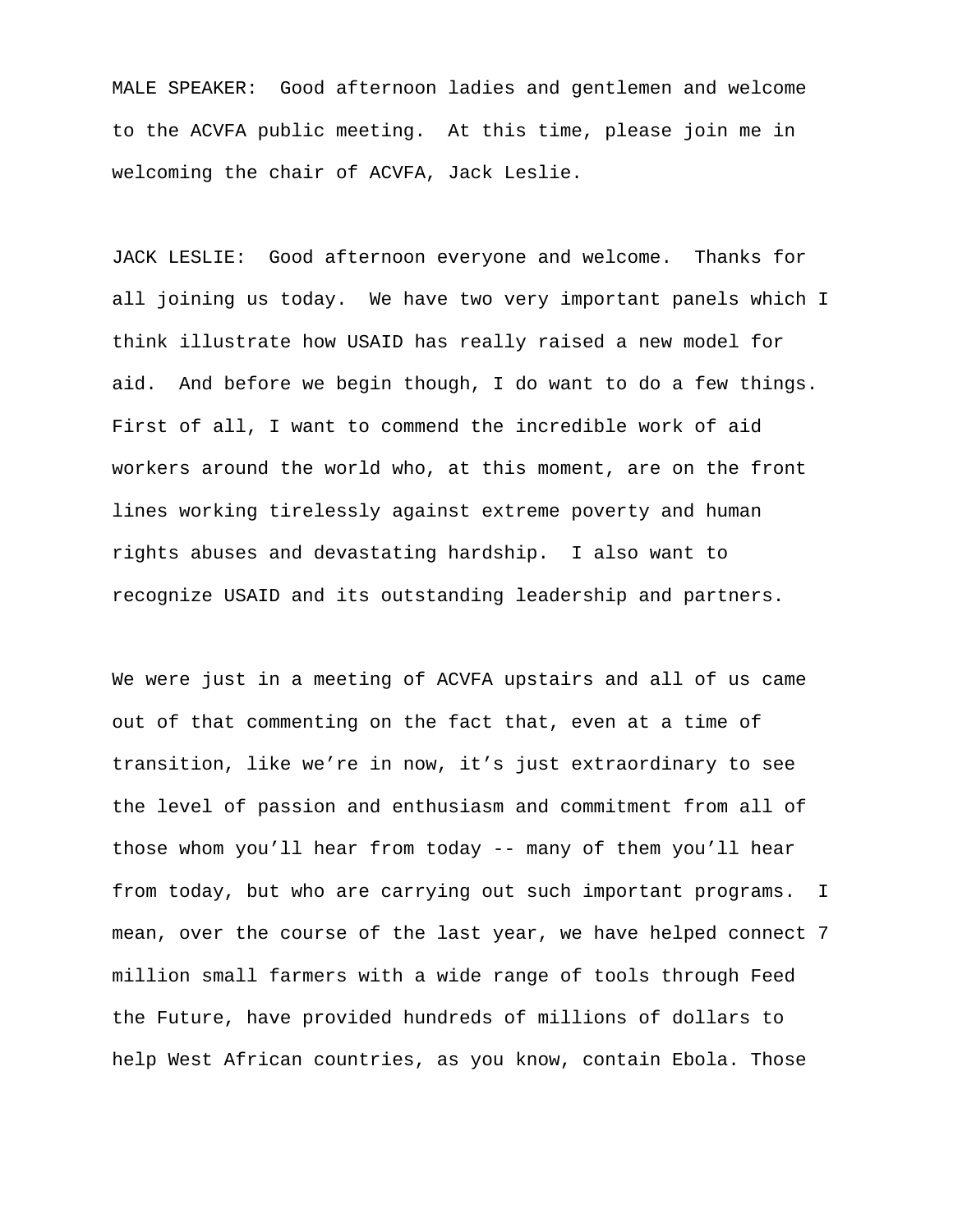MALE SPEAKER: Good afternoon ladies and gentlemen and welcome to the ACVFA public meeting. At this time, please join me in welcoming the chair of ACVFA, Jack Leslie.

JACK LESLIE: Good afternoon everyone and welcome. Thanks for all joining us today. We have two very important panels which I think illustrate how USAID has really raised a new model for aid. And before we begin though, I do want to do a few things. First of all, I want to commend the incredible work of aid workers around the world who, at this moment, are on the front lines working tirelessly against extreme poverty and human rights abuses and devastating hardship. I also want to recognize USAID and its outstanding leadership and partners.

We were just in a meeting of ACVFA upstairs and all of us came out of that commenting on the fact that, even at a time of transition, like we're in now, it's just extraordinary to see the level of passion and enthusiasm and commitment from all of those whom you'll hear from today -- many of them you'll hear from today, but who are carrying out such important programs. I mean, over the course of the last year, we have helped connect 7 million small farmers with a wide range of tools through Feed the Future, have provided hundreds of millions of dollars to help West African countries, as you know, contain Ebola. Those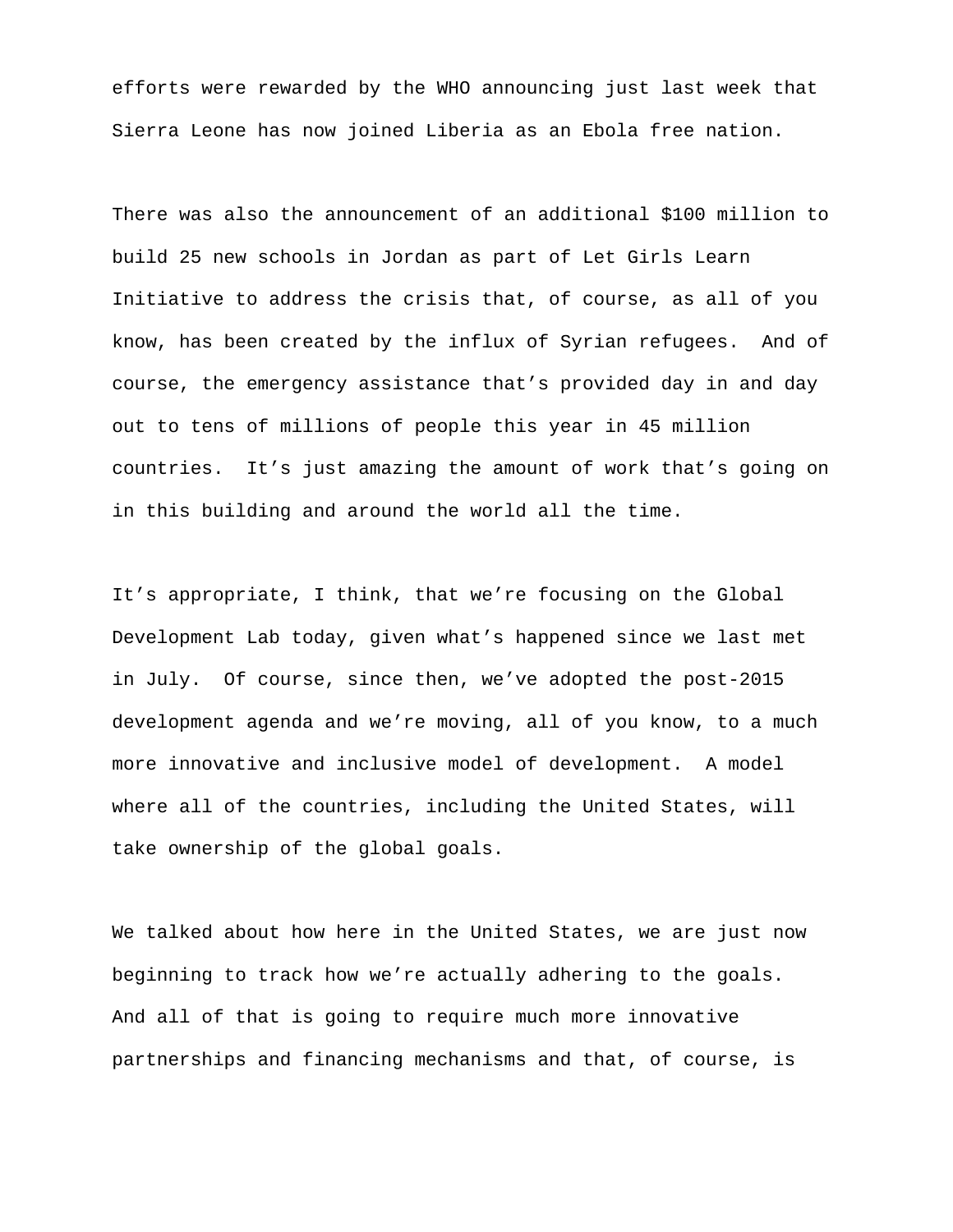efforts were rewarded by the WHO announcing just last week that Sierra Leone has now joined Liberia as an Ebola free nation.

There was also the announcement of an additional \$100 million to build 25 new schools in Jordan as part of Let Girls Learn Initiative to address the crisis that, of course, as all of you know, has been created by the influx of Syrian refugees. And of course, the emergency assistance that's provided day in and day out to tens of millions of people this year in 45 million countries. It's just amazing the amount of work that's going on in this building and around the world all the time.

It's appropriate, I think, that we're focusing on the Global Development Lab today, given what's happened since we last met in July. Of course, since then, we've adopted the post-2015 development agenda and we're moving, all of you know, to a much more innovative and inclusive model of development. A model where all of the countries, including the United States, will take ownership of the global goals.

We talked about how here in the United States, we are just now beginning to track how we're actually adhering to the goals. And all of that is going to require much more innovative partnerships and financing mechanisms and that, of course, is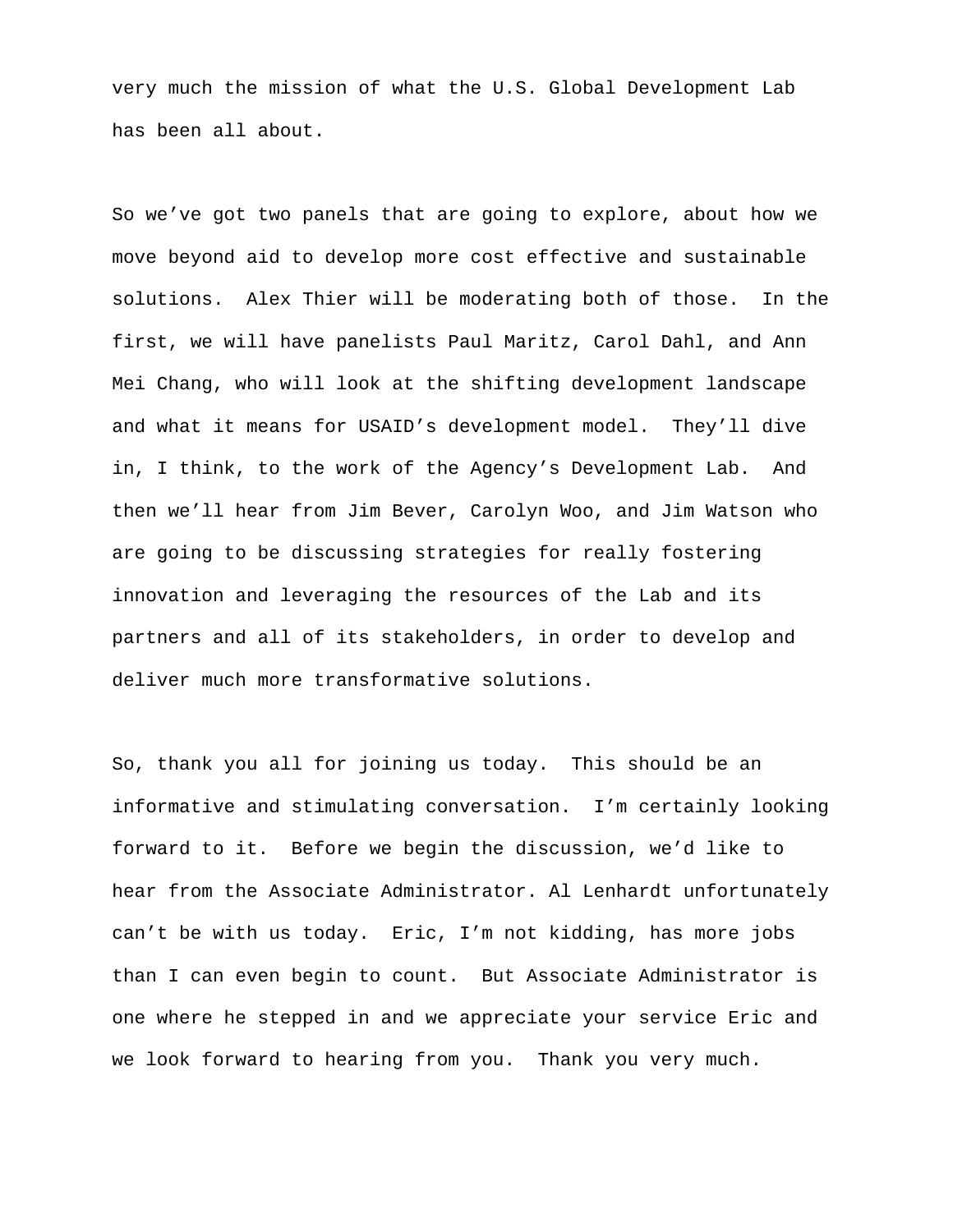very much the mission of what the U.S. Global Development Lab has been all about.

So we've got two panels that are going to explore, about how we move beyond aid to develop more cost effective and sustainable solutions. Alex Thier will be moderating both of those. In the first, we will have panelists Paul Maritz, Carol Dahl, and Ann Mei Chang, who will look at the shifting development landscape and what it means for USAID's development model. They'll dive in, I think, to the work of the Agency's Development Lab. And then we'll hear from Jim Bever, Carolyn Woo, and Jim Watson who are going to be discussing strategies for really fostering innovation and leveraging the resources of the Lab and its partners and all of its stakeholders, in order to develop and deliver much more transformative solutions.

So, thank you all for joining us today. This should be an informative and stimulating conversation. I'm certainly looking forward to it. Before we begin the discussion, we'd like to hear from the Associate Administrator. Al Lenhardt unfortunately can't be with us today. Eric, I'm not kidding, has more jobs than I can even begin to count. But Associate Administrator is one where he stepped in and we appreciate your service Eric and we look forward to hearing from you. Thank you very much.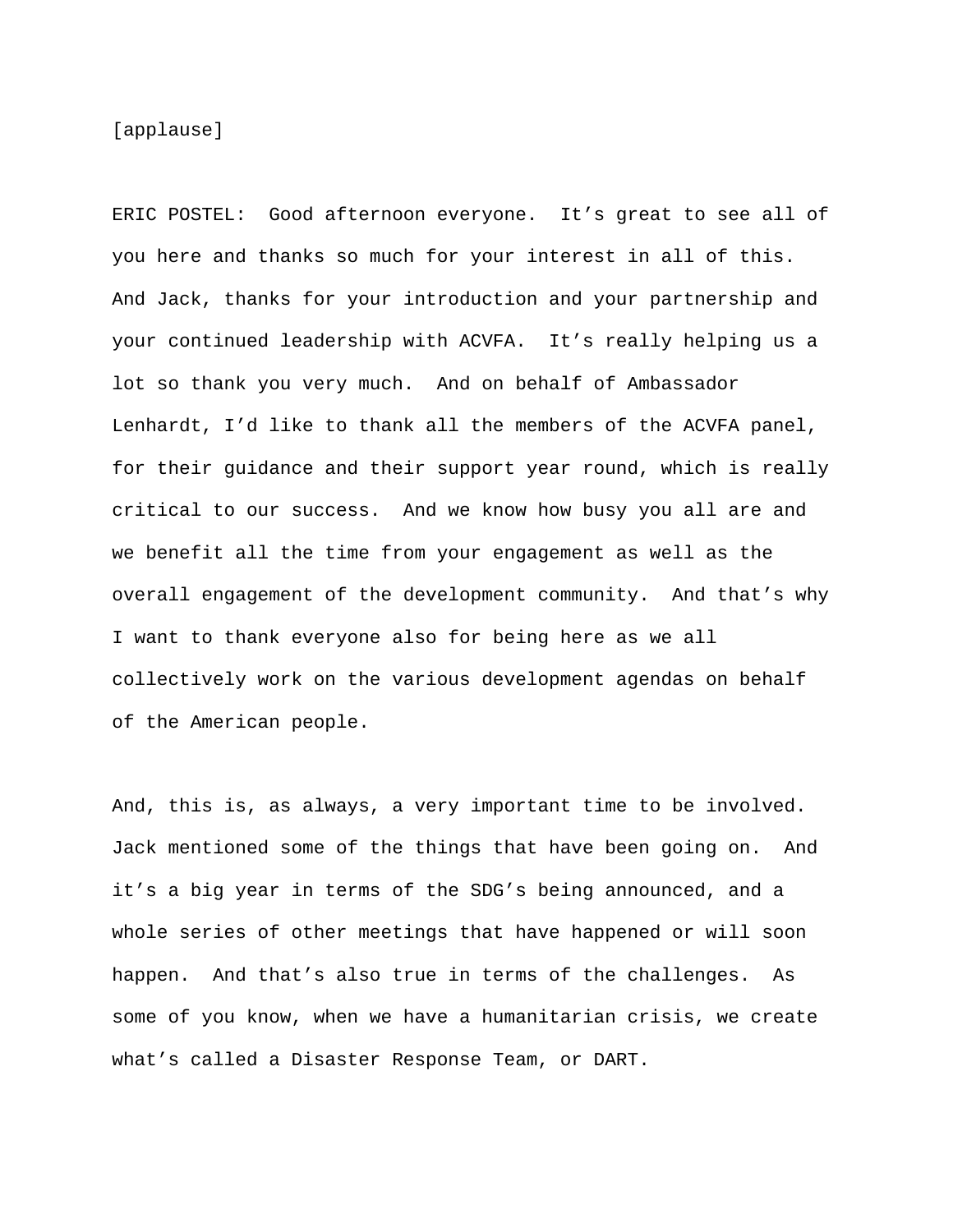[applause]

ERIC POSTEL: Good afternoon everyone. It's great to see all of you here and thanks so much for your interest in all of this. And Jack, thanks for your introduction and your partnership and your continued leadership with ACVFA. It's really helping us a lot so thank you very much. And on behalf of Ambassador Lenhardt, I'd like to thank all the members of the ACVFA panel, for their guidance and their support year round, which is really critical to our success. And we know how busy you all are and we benefit all the time from your engagement as well as the overall engagement of the development community. And that's why I want to thank everyone also for being here as we all collectively work on the various development agendas on behalf of the American people.

And, this is, as always, a very important time to be involved. Jack mentioned some of the things that have been going on. And it's a big year in terms of the SDG's being announced, and a whole series of other meetings that have happened or will soon happen. And that's also true in terms of the challenges. As some of you know, when we have a humanitarian crisis, we create what's called a Disaster Response Team, or DART.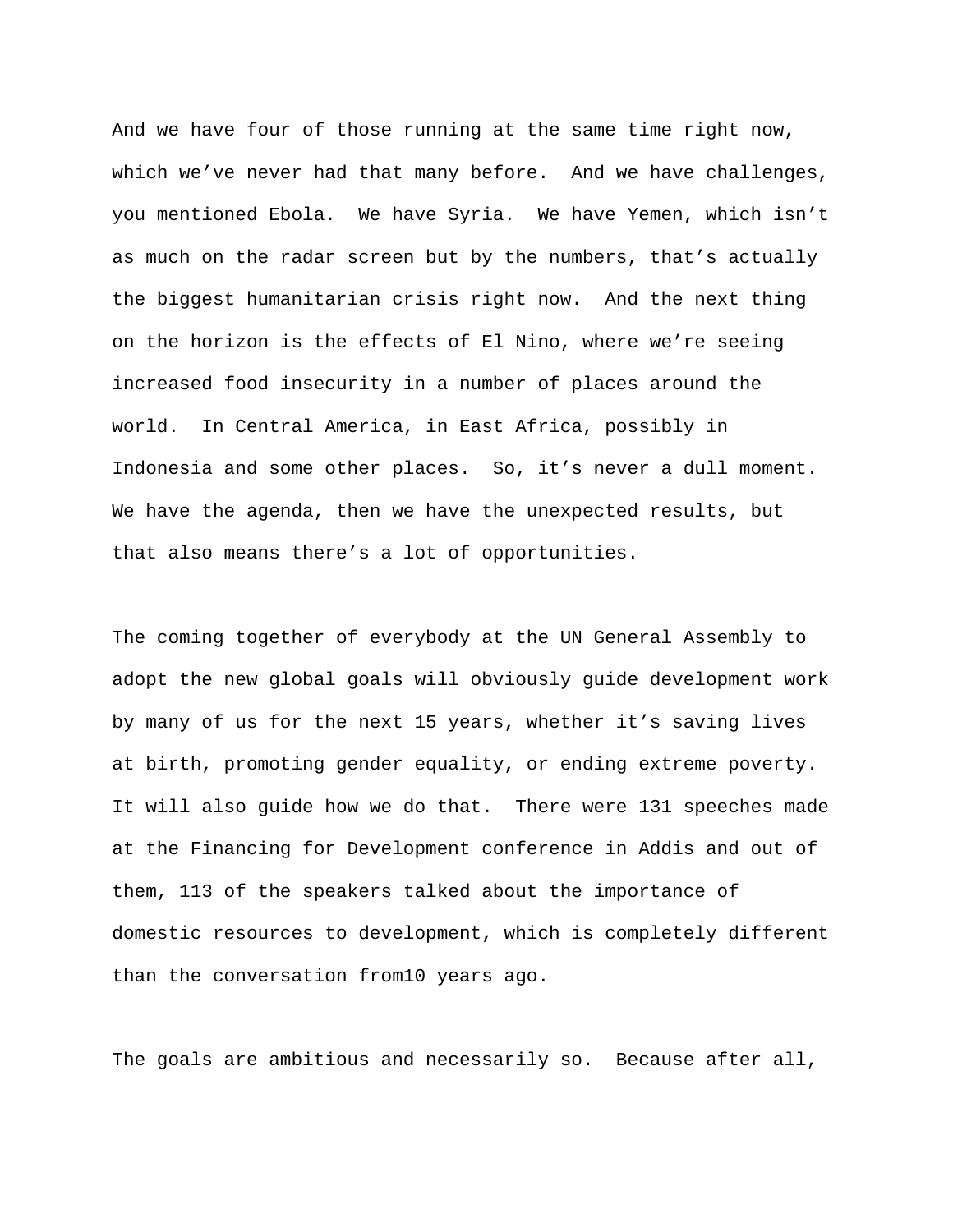And we have four of those running at the same time right now, which we've never had that many before. And we have challenges, you mentioned Ebola. We have Syria. We have Yemen, which isn't as much on the radar screen but by the numbers, that's actually the biggest humanitarian crisis right now. And the next thing on the horizon is the effects of El Nino, where we're seeing increased food insecurity in a number of places around the world. In Central America, in East Africa, possibly in Indonesia and some other places. So, it's never a dull moment. We have the agenda, then we have the unexpected results, but that also means there's a lot of opportunities.

The coming together of everybody at the UN General Assembly to adopt the new global goals will obviously guide development work by many of us for the next 15 years, whether it's saving lives at birth, promoting gender equality, or ending extreme poverty. It will also guide how we do that. There were 131 speeches made at the Financing for Development conference in Addis and out of them, 113 of the speakers talked about the importance of domestic resources to development, which is completely different than the conversation from10 years ago.

The goals are ambitious and necessarily so. Because after all,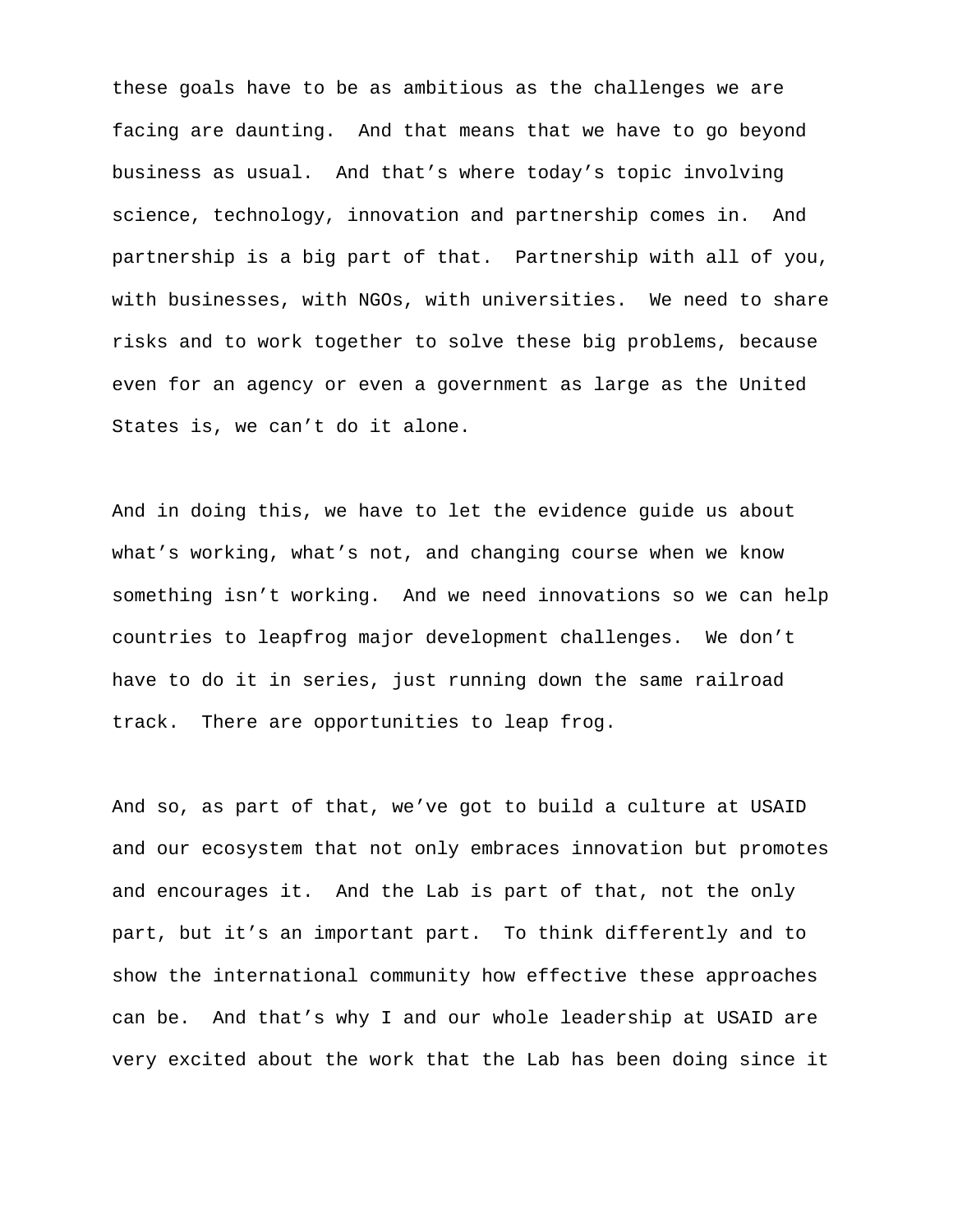these goals have to be as ambitious as the challenges we are facing are daunting. And that means that we have to go beyond business as usual. And that's where today's topic involving science, technology, innovation and partnership comes in. And partnership is a big part of that. Partnership with all of you, with businesses, with NGOs, with universities. We need to share risks and to work together to solve these big problems, because even for an agency or even a government as large as the United States is, we can't do it alone.

And in doing this, we have to let the evidence guide us about what's working, what's not, and changing course when we know something isn't working. And we need innovations so we can help countries to leapfrog major development challenges. We don't have to do it in series, just running down the same railroad track. There are opportunities to leap frog.

And so, as part of that, we've got to build a culture at USAID and our ecosystem that not only embraces innovation but promotes and encourages it. And the Lab is part of that, not the only part, but it's an important part. To think differently and to show the international community how effective these approaches can be. And that's why I and our whole leadership at USAID are very excited about the work that the Lab has been doing since it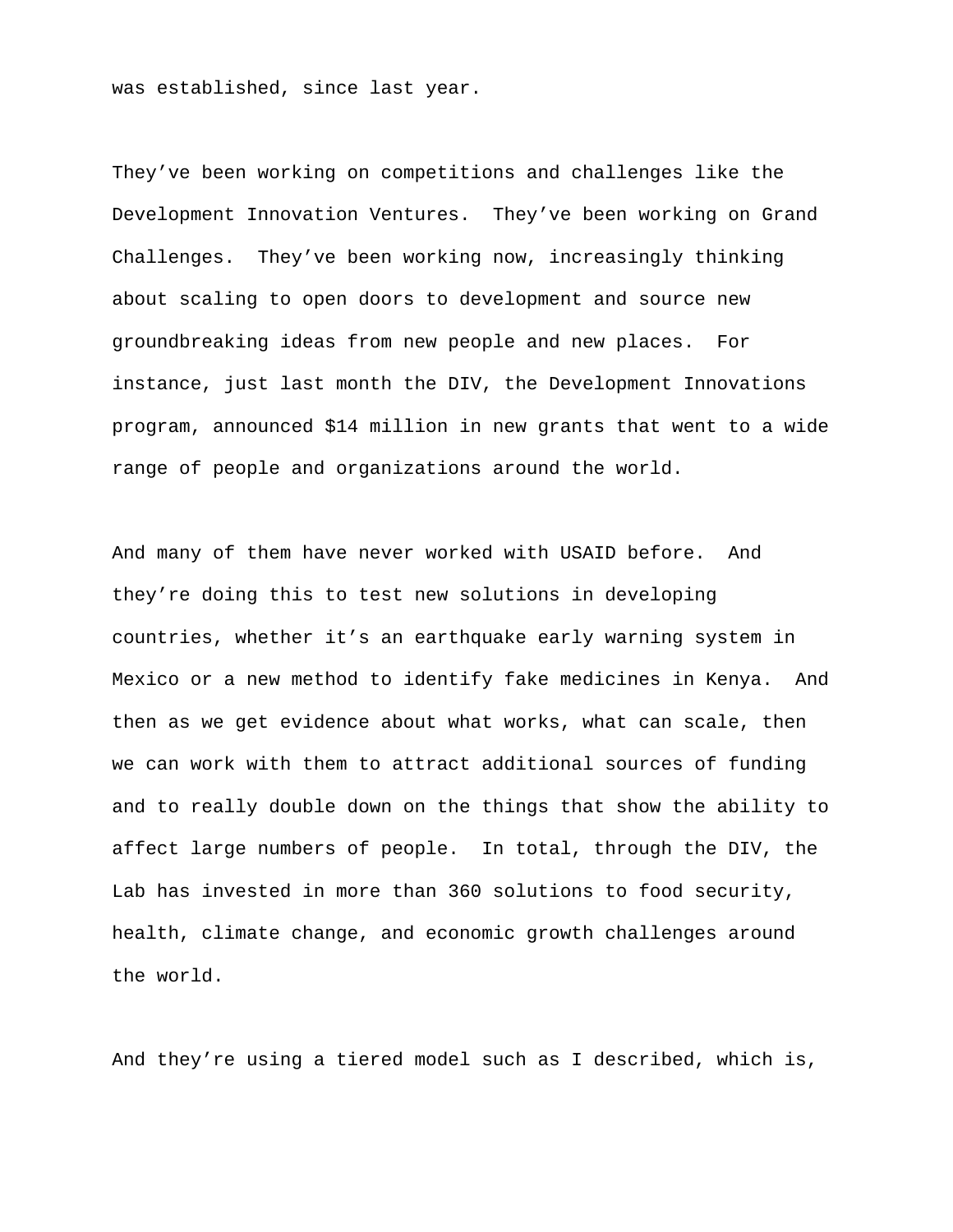was established, since last year.

They've been working on competitions and challenges like the Development Innovation Ventures. They've been working on Grand Challenges. They've been working now, increasingly thinking about scaling to open doors to development and source new groundbreaking ideas from new people and new places. For instance, just last month the DIV, the Development Innovations program, announced \$14 million in new grants that went to a wide range of people and organizations around the world.

And many of them have never worked with USAID before. And they're doing this to test new solutions in developing countries, whether it's an earthquake early warning system in Mexico or a new method to identify fake medicines in Kenya. And then as we get evidence about what works, what can scale, then we can work with them to attract additional sources of funding and to really double down on the things that show the ability to affect large numbers of people. In total, through the DIV, the Lab has invested in more than 360 solutions to food security, health, climate change, and economic growth challenges around the world.

And they're using a tiered model such as I described, which is,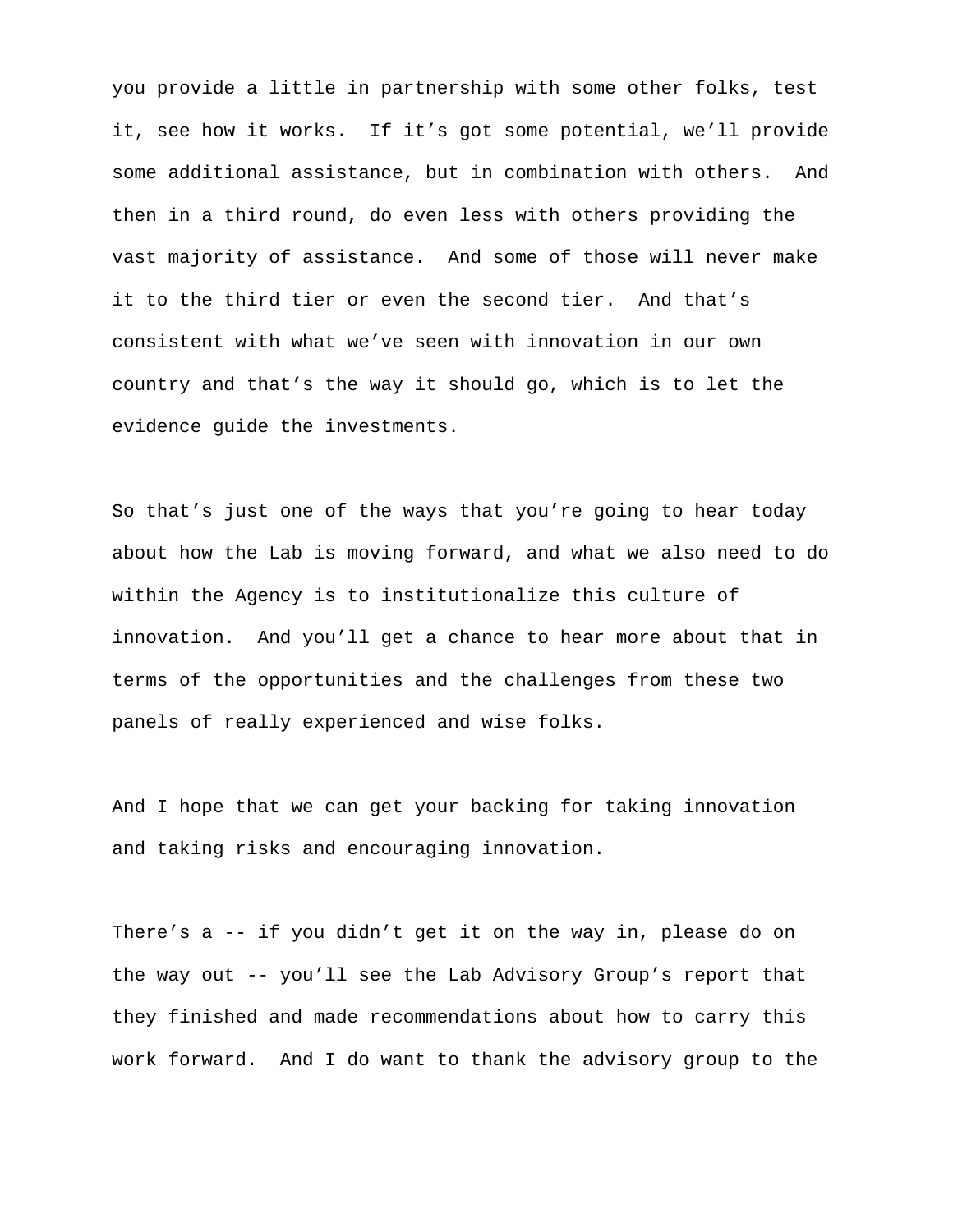you provide a little in partnership with some other folks, test it, see how it works. If it's got some potential, we'll provide some additional assistance, but in combination with others. And then in a third round, do even less with others providing the vast majority of assistance. And some of those will never make it to the third tier or even the second tier. And that's consistent with what we've seen with innovation in our own country and that's the way it should go, which is to let the evidence guide the investments.

So that's just one of the ways that you're going to hear today about how the Lab is moving forward, and what we also need to do within the Agency is to institutionalize this culture of innovation. And you'll get a chance to hear more about that in terms of the opportunities and the challenges from these two panels of really experienced and wise folks.

And I hope that we can get your backing for taking innovation and taking risks and encouraging innovation.

There's a -- if you didn't get it on the way in, please do on the way out -- you'll see the Lab Advisory Group's report that they finished and made recommendations about how to carry this work forward. And I do want to thank the advisory group to the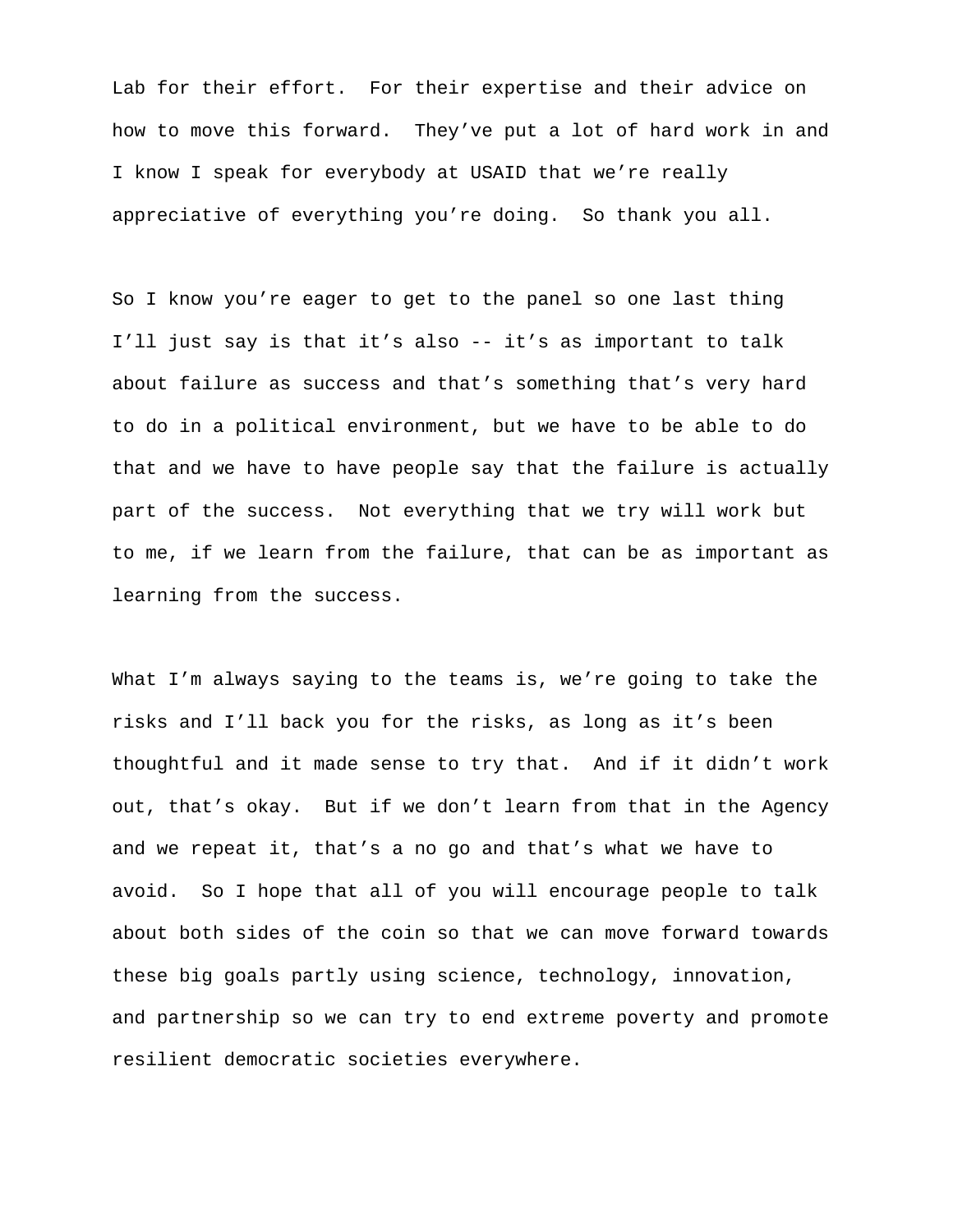Lab for their effort. For their expertise and their advice on how to move this forward. They've put a lot of hard work in and I know I speak for everybody at USAID that we're really appreciative of everything you're doing. So thank you all.

So I know you're eager to get to the panel so one last thing I'll just say is that it's also -- it's as important to talk about failure as success and that's something that's very hard to do in a political environment, but we have to be able to do that and we have to have people say that the failure is actually part of the success. Not everything that we try will work but to me, if we learn from the failure, that can be as important as learning from the success.

What I'm always saying to the teams is, we're going to take the risks and I'll back you for the risks, as long as it's been thoughtful and it made sense to try that. And if it didn't work out, that's okay. But if we don't learn from that in the Agency and we repeat it, that's a no go and that's what we have to avoid. So I hope that all of you will encourage people to talk about both sides of the coin so that we can move forward towards these big goals partly using science, technology, innovation, and partnership so we can try to end extreme poverty and promote resilient democratic societies everywhere.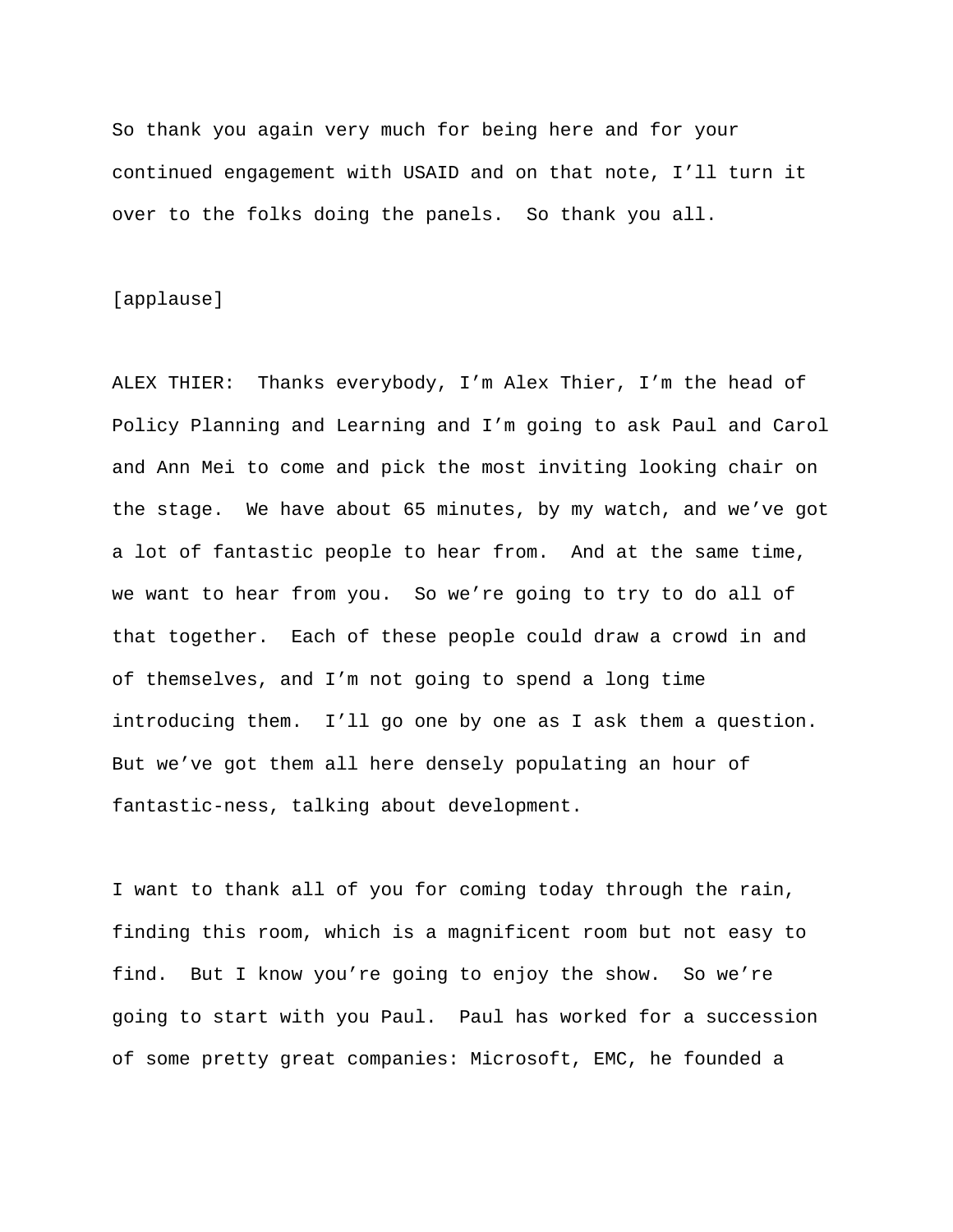So thank you again very much for being here and for your continued engagement with USAID and on that note, I'll turn it over to the folks doing the panels. So thank you all.

#### [applause]

ALEX THIER: Thanks everybody, I'm Alex Thier, I'm the head of Policy Planning and Learning and I'm going to ask Paul and Carol and Ann Mei to come and pick the most inviting looking chair on the stage. We have about 65 minutes, by my watch, and we've got a lot of fantastic people to hear from. And at the same time, we want to hear from you. So we're going to try to do all of that together. Each of these people could draw a crowd in and of themselves, and I'm not going to spend a long time introducing them. I'll go one by one as I ask them a question. But we've got them all here densely populating an hour of fantastic-ness, talking about development.

I want to thank all of you for coming today through the rain, finding this room, which is a magnificent room but not easy to find. But I know you're going to enjoy the show. So we're going to start with you Paul. Paul has worked for a succession of some pretty great companies: Microsoft, EMC, he founded a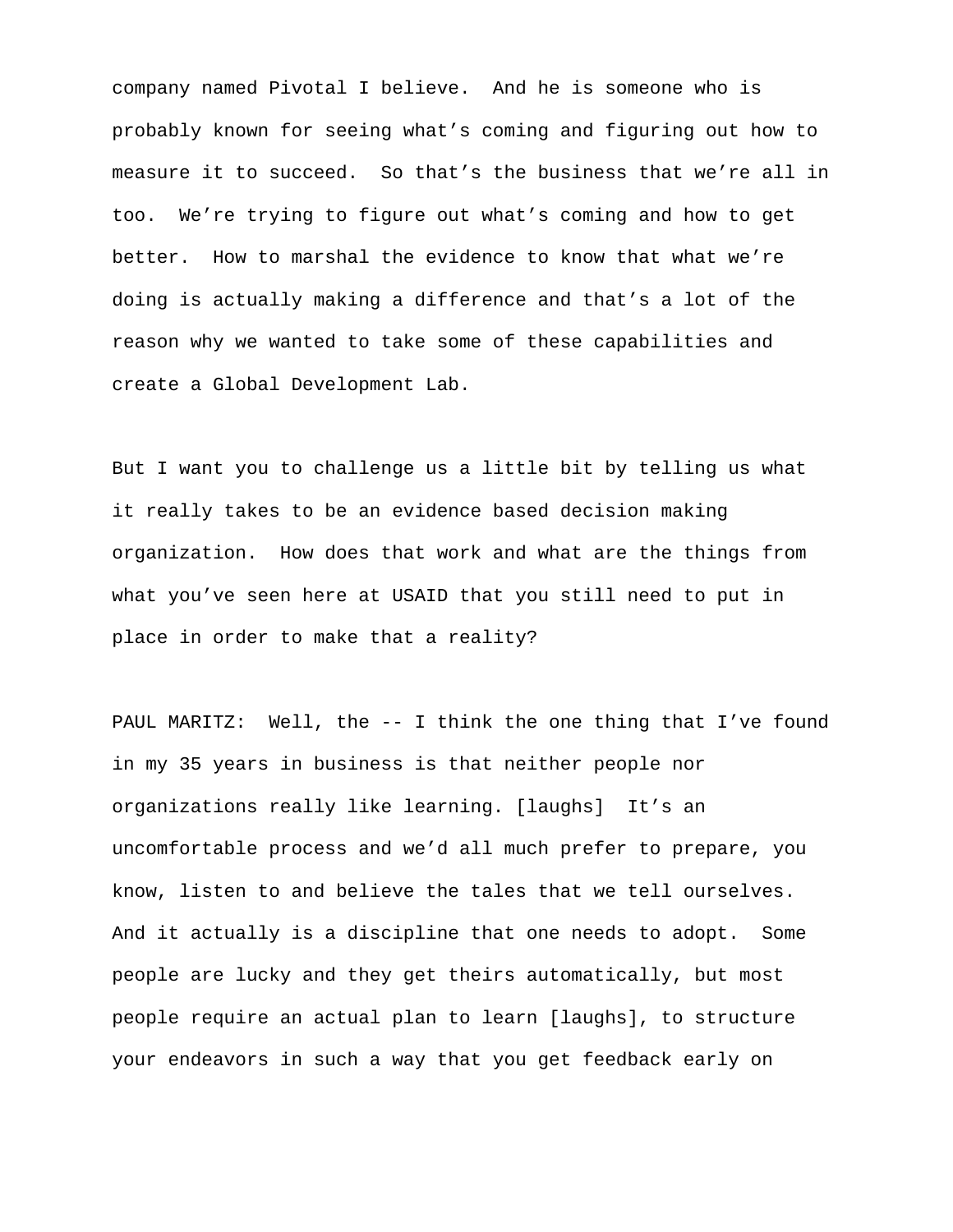company named Pivotal I believe. And he is someone who is probably known for seeing what's coming and figuring out how to measure it to succeed. So that's the business that we're all in too. We're trying to figure out what's coming and how to get better. How to marshal the evidence to know that what we're doing is actually making a difference and that's a lot of the reason why we wanted to take some of these capabilities and create a Global Development Lab.

But I want you to challenge us a little bit by telling us what it really takes to be an evidence based decision making organization. How does that work and what are the things from what you've seen here at USAID that you still need to put in place in order to make that a reality?

PAUL MARITZ: Well, the -- I think the one thing that I've found in my 35 years in business is that neither people nor organizations really like learning. [laughs] It's an uncomfortable process and we'd all much prefer to prepare, you know, listen to and believe the tales that we tell ourselves. And it actually is a discipline that one needs to adopt. Some people are lucky and they get theirs automatically, but most people require an actual plan to learn [laughs], to structure your endeavors in such a way that you get feedback early on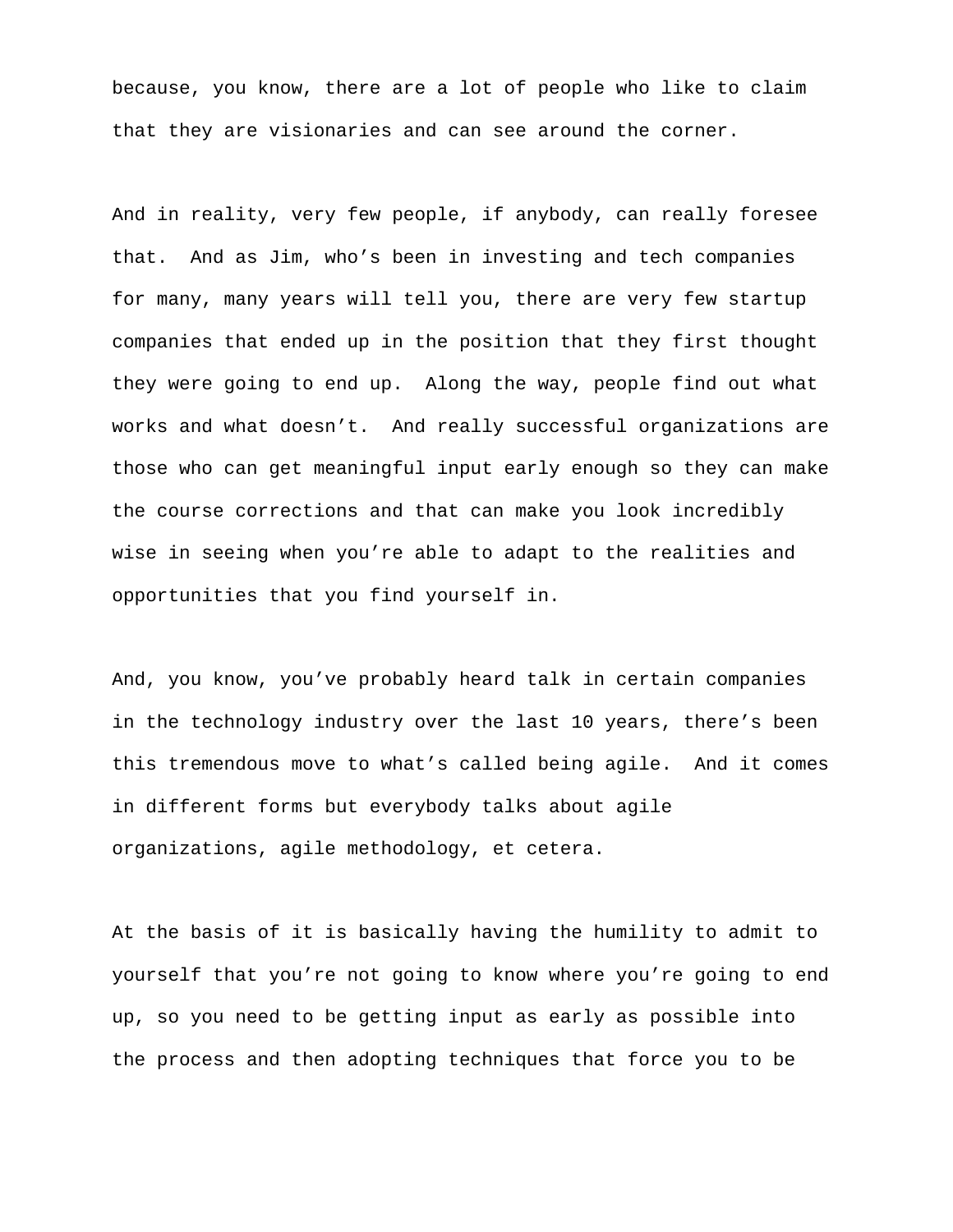because, you know, there are a lot of people who like to claim that they are visionaries and can see around the corner.

And in reality, very few people, if anybody, can really foresee that. And as Jim, who's been in investing and tech companies for many, many years will tell you, there are very few startup companies that ended up in the position that they first thought they were going to end up. Along the way, people find out what works and what doesn't. And really successful organizations are those who can get meaningful input early enough so they can make the course corrections and that can make you look incredibly wise in seeing when you're able to adapt to the realities and opportunities that you find yourself in.

And, you know, you've probably heard talk in certain companies in the technology industry over the last 10 years, there's been this tremendous move to what's called being agile. And it comes in different forms but everybody talks about agile organizations, agile methodology, et cetera.

At the basis of it is basically having the humility to admit to yourself that you're not going to know where you're going to end up, so you need to be getting input as early as possible into the process and then adopting techniques that force you to be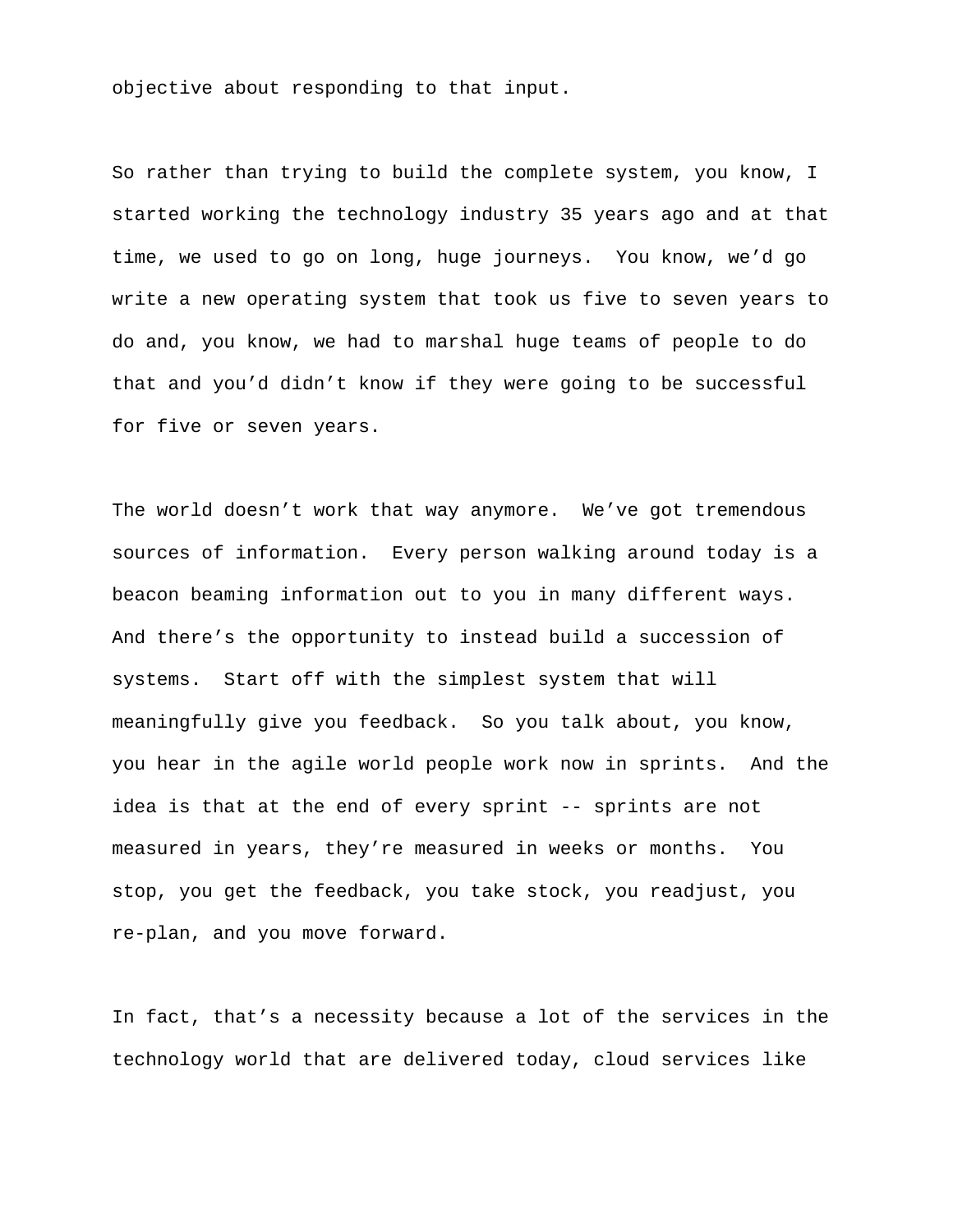objective about responding to that input.

So rather than trying to build the complete system, you know, I started working the technology industry 35 years ago and at that time, we used to go on long, huge journeys. You know, we'd go write a new operating system that took us five to seven years to do and, you know, we had to marshal huge teams of people to do that and you'd didn't know if they were going to be successful for five or seven years.

The world doesn't work that way anymore. We've got tremendous sources of information. Every person walking around today is a beacon beaming information out to you in many different ways. And there's the opportunity to instead build a succession of systems. Start off with the simplest system that will meaningfully give you feedback. So you talk about, you know, you hear in the agile world people work now in sprints. And the idea is that at the end of every sprint -- sprints are not measured in years, they're measured in weeks or months. You stop, you get the feedback, you take stock, you readjust, you re-plan, and you move forward.

In fact, that's a necessity because a lot of the services in the technology world that are delivered today, cloud services like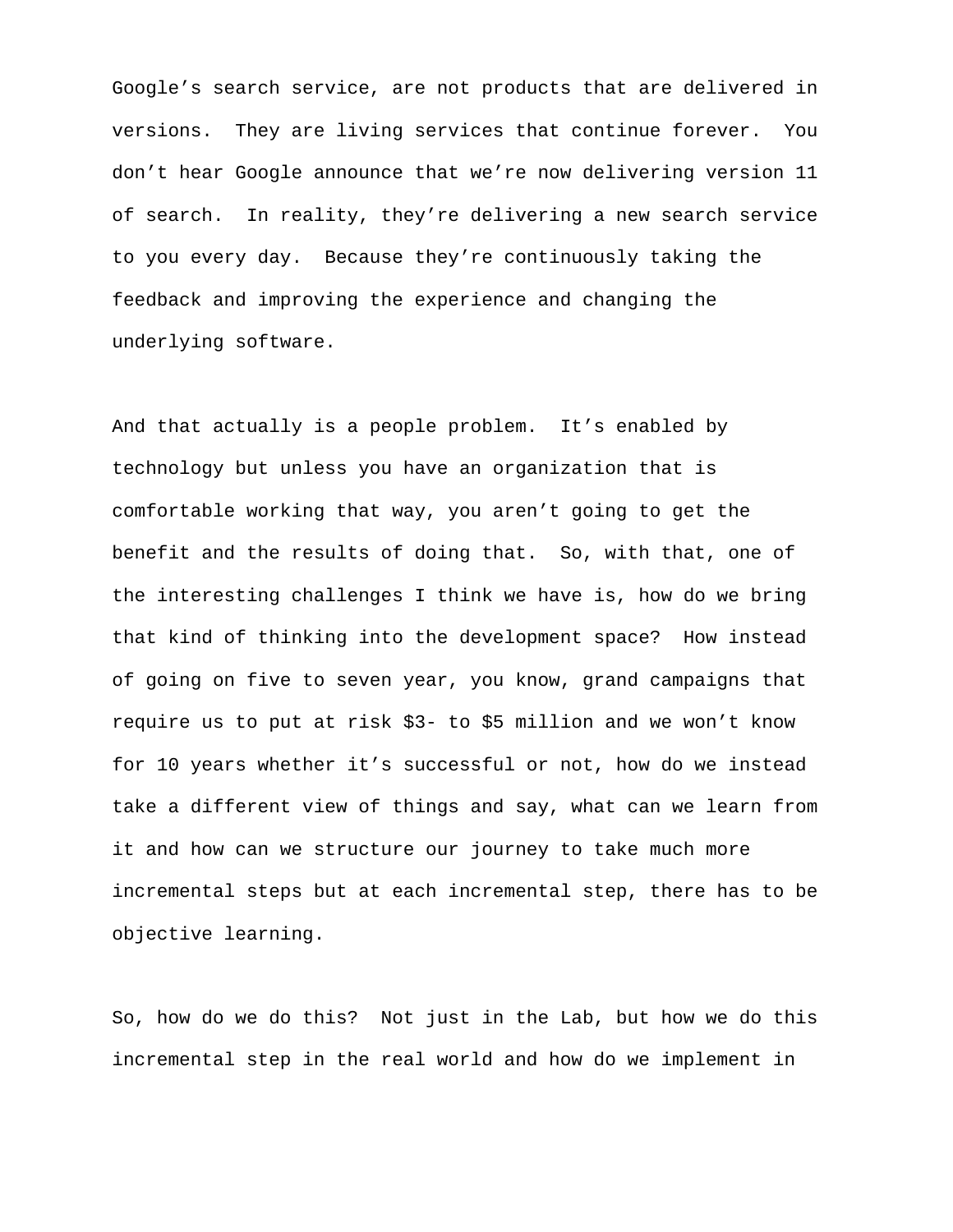Google's search service, are not products that are delivered in versions. They are living services that continue forever. You don't hear Google announce that we're now delivering version 11 of search. In reality, they're delivering a new search service to you every day. Because they're continuously taking the feedback and improving the experience and changing the underlying software.

And that actually is a people problem. It's enabled by technology but unless you have an organization that is comfortable working that way, you aren't going to get the benefit and the results of doing that. So, with that, one of the interesting challenges I think we have is, how do we bring that kind of thinking into the development space? How instead of going on five to seven year, you know, grand campaigns that require us to put at risk \$3- to \$5 million and we won't know for 10 years whether it's successful or not, how do we instead take a different view of things and say, what can we learn from it and how can we structure our journey to take much more incremental steps but at each incremental step, there has to be objective learning.

So, how do we do this? Not just in the Lab, but how we do this incremental step in the real world and how do we implement in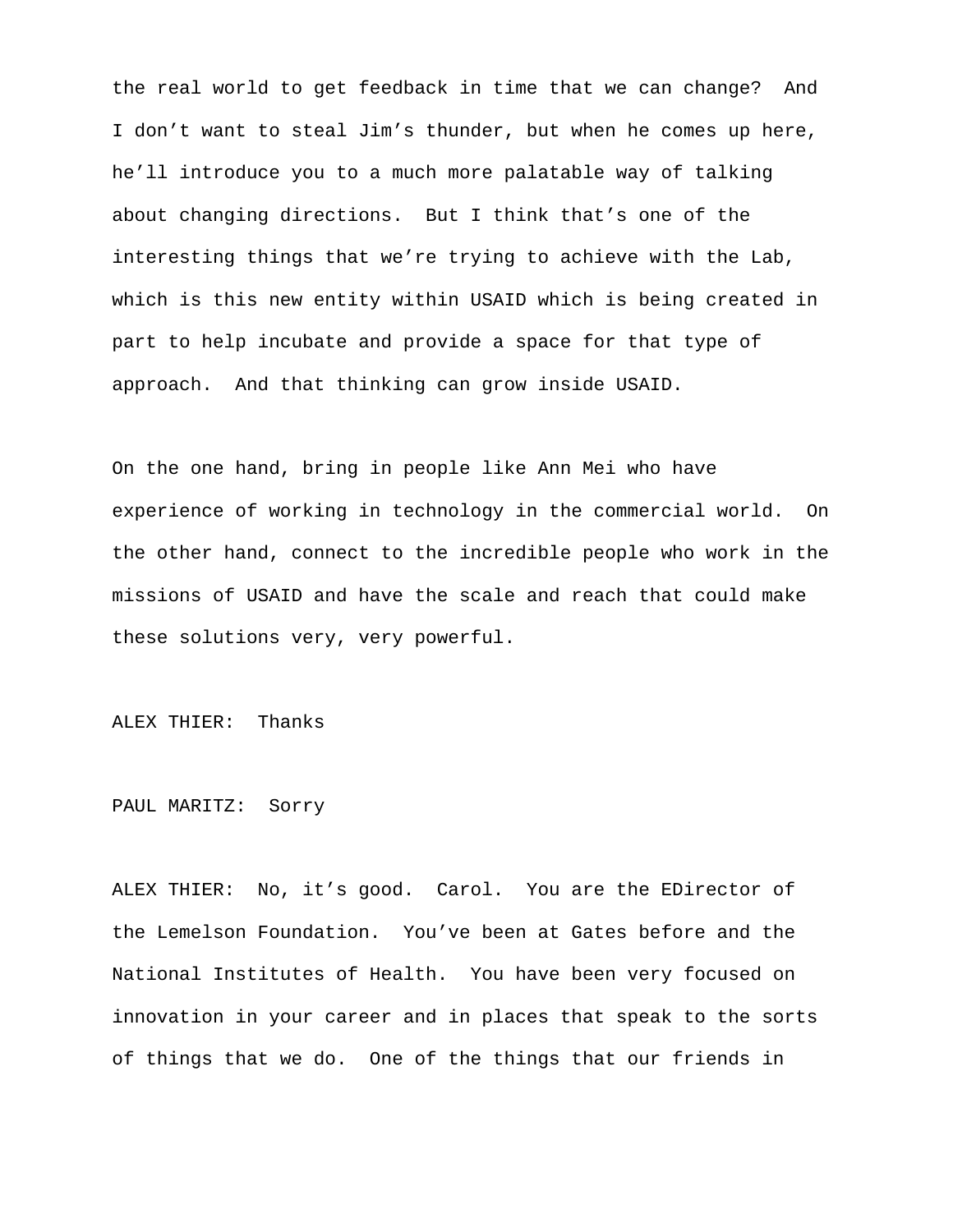the real world to get feedback in time that we can change? And I don't want to steal Jim's thunder, but when he comes up here, he'll introduce you to a much more palatable way of talking about changing directions. But I think that's one of the interesting things that we're trying to achieve with the Lab, which is this new entity within USAID which is being created in part to help incubate and provide a space for that type of approach. And that thinking can grow inside USAID.

On the one hand, bring in people like Ann Mei who have experience of working in technology in the commercial world. On the other hand, connect to the incredible people who work in the missions of USAID and have the scale and reach that could make these solutions very, very powerful.

ALEX THIER: Thanks

PAUL MARITZ: Sorry

ALEX THIER: No, it's good. Carol. You are the EDirector of the Lemelson Foundation. You've been at Gates before and the National Institutes of Health. You have been very focused on innovation in your career and in places that speak to the sorts of things that we do. One of the things that our friends in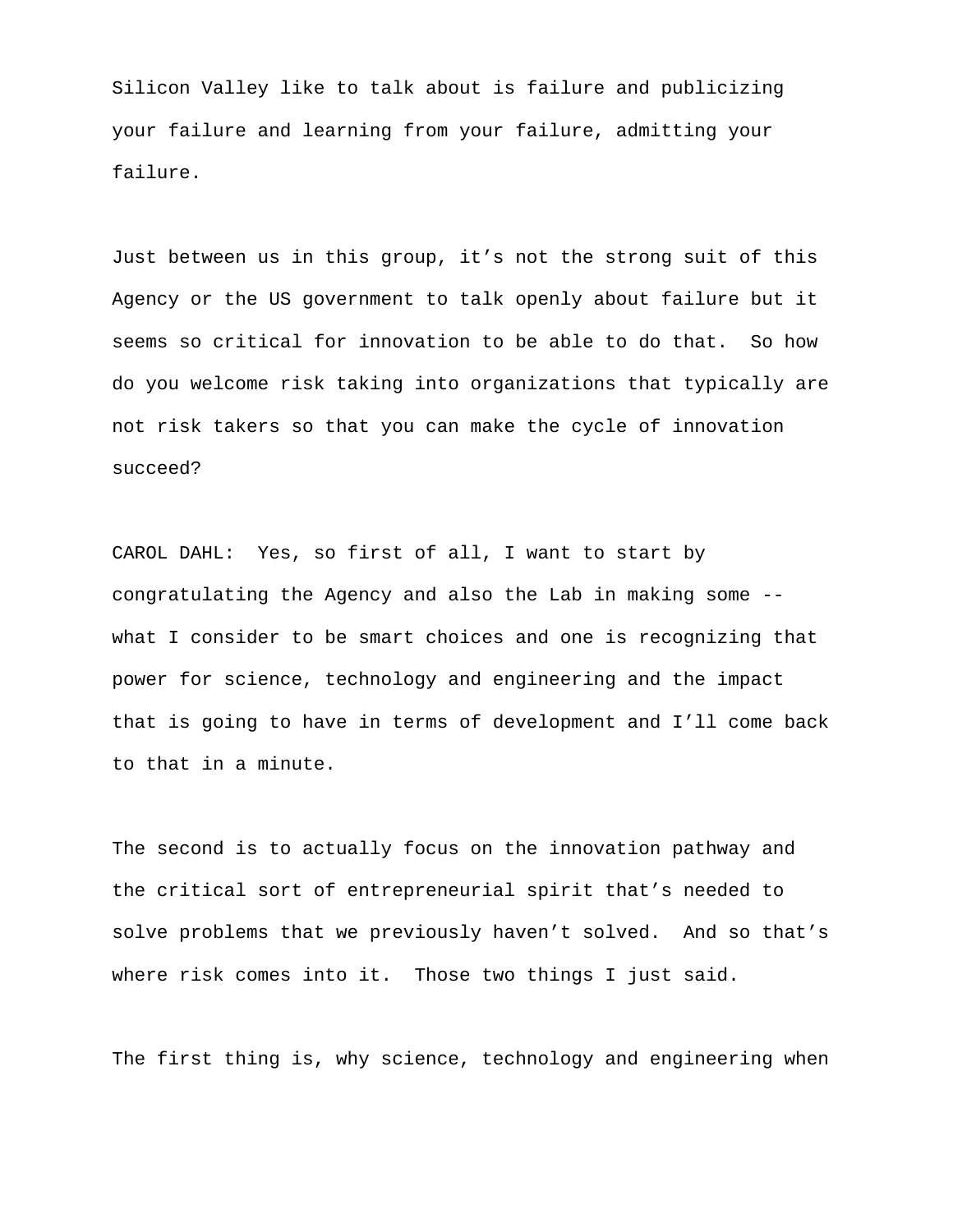Silicon Valley like to talk about is failure and publicizing your failure and learning from your failure, admitting your failure.

Just between us in this group, it's not the strong suit of this Agency or the US government to talk openly about failure but it seems so critical for innovation to be able to do that. So how do you welcome risk taking into organizations that typically are not risk takers so that you can make the cycle of innovation succeed?

CAROL DAHL: Yes, so first of all, I want to start by congratulating the Agency and also the Lab in making some - what I consider to be smart choices and one is recognizing that power for science, technology and engineering and the impact that is going to have in terms of development and I'll come back to that in a minute.

The second is to actually focus on the innovation pathway and the critical sort of entrepreneurial spirit that's needed to solve problems that we previously haven't solved. And so that's where risk comes into it. Those two things I just said.

The first thing is, why science, technology and engineering when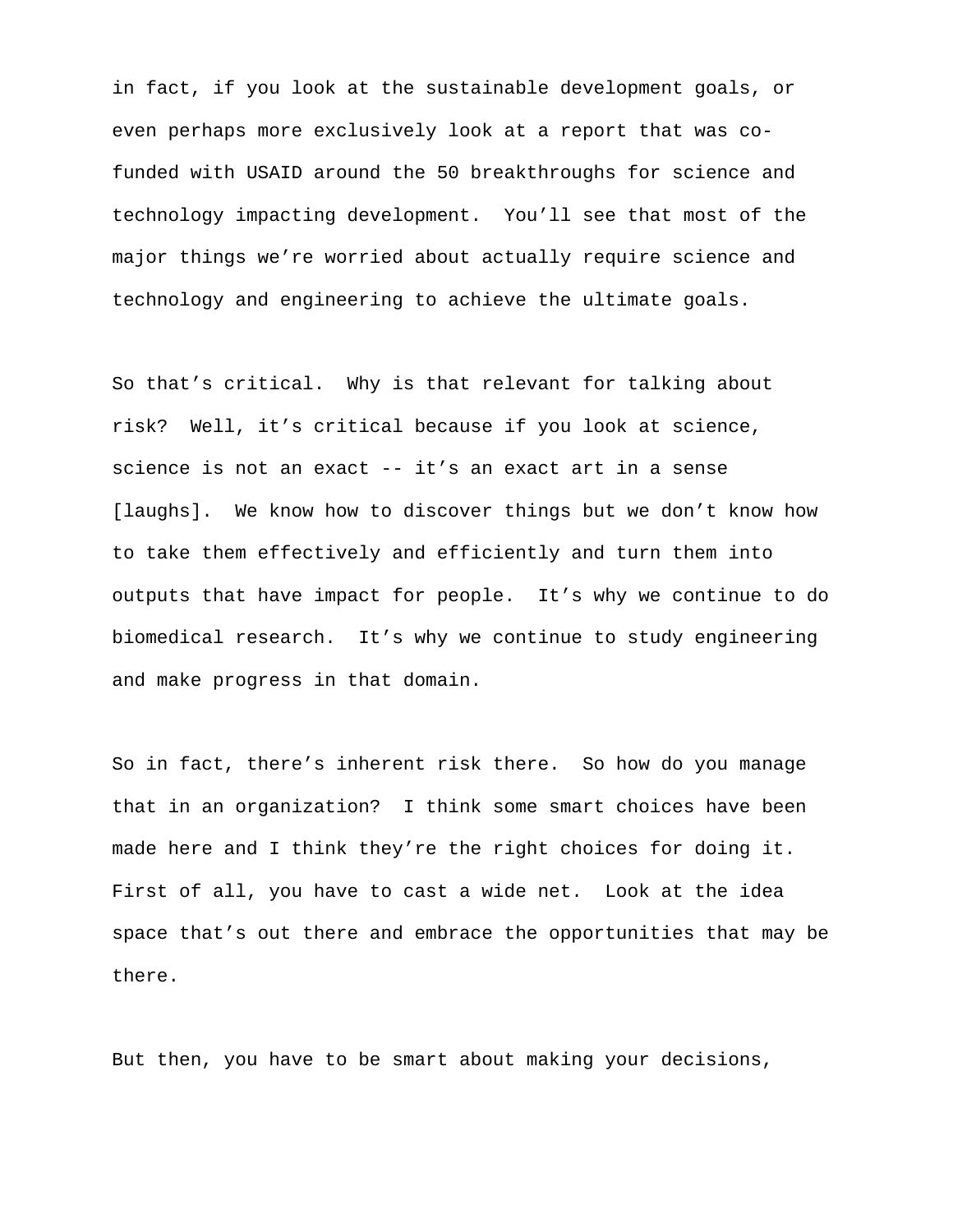in fact, if you look at the sustainable development goals, or even perhaps more exclusively look at a report that was cofunded with USAID around the 50 breakthroughs for science and technology impacting development. You'll see that most of the major things we're worried about actually require science and technology and engineering to achieve the ultimate goals.

So that's critical. Why is that relevant for talking about risk? Well, it's critical because if you look at science, science is not an exact -- it's an exact art in a sense [laughs]. We know how to discover things but we don't know how to take them effectively and efficiently and turn them into outputs that have impact for people. It's why we continue to do biomedical research. It's why we continue to study engineering and make progress in that domain.

So in fact, there's inherent risk there. So how do you manage that in an organization? I think some smart choices have been made here and I think they're the right choices for doing it. First of all, you have to cast a wide net. Look at the idea space that's out there and embrace the opportunities that may be there.

But then, you have to be smart about making your decisions,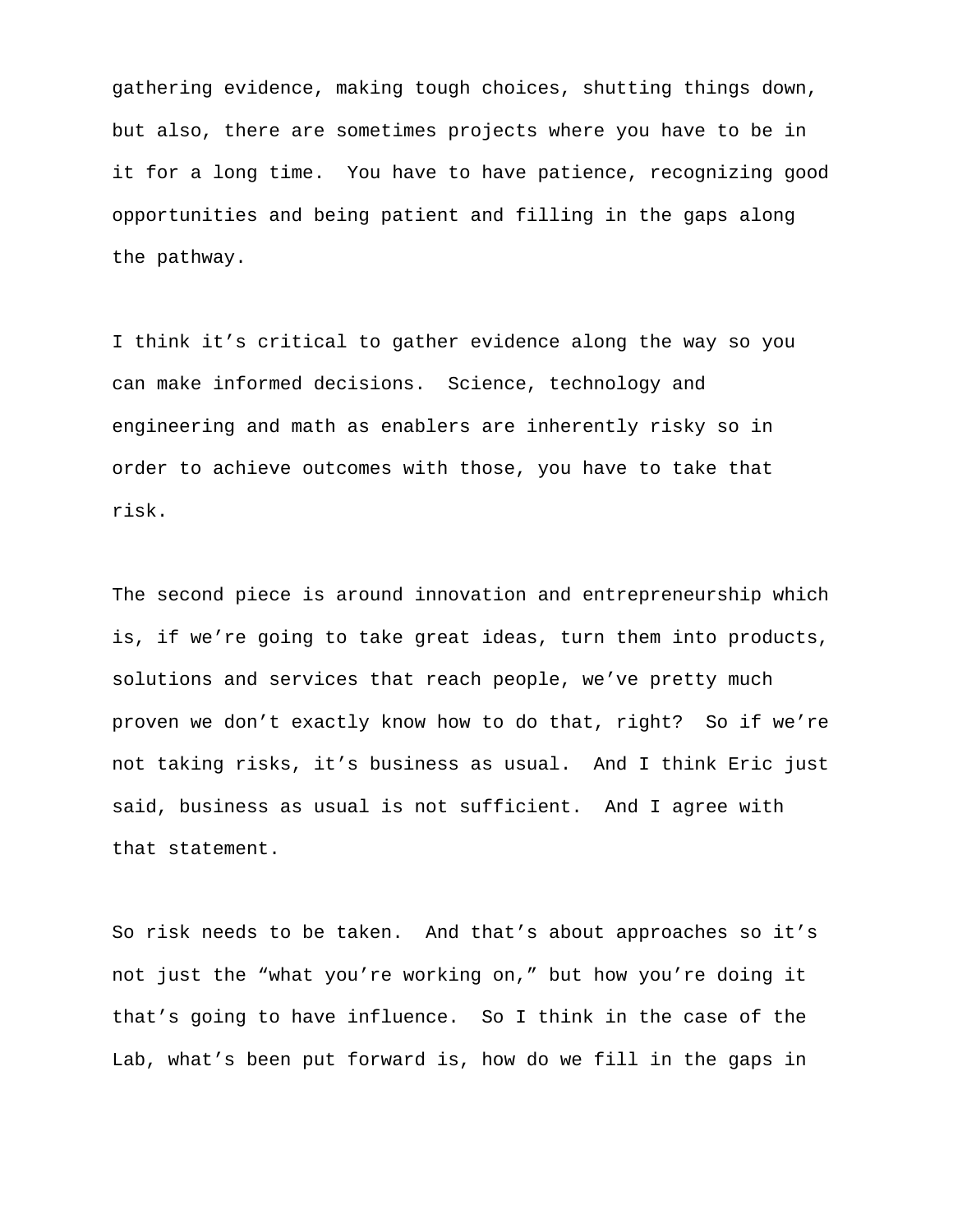gathering evidence, making tough choices, shutting things down, but also, there are sometimes projects where you have to be in it for a long time. You have to have patience, recognizing good opportunities and being patient and filling in the gaps along the pathway.

I think it's critical to gather evidence along the way so you can make informed decisions. Science, technology and engineering and math as enablers are inherently risky so in order to achieve outcomes with those, you have to take that risk.

The second piece is around innovation and entrepreneurship which is, if we're going to take great ideas, turn them into products, solutions and services that reach people, we've pretty much proven we don't exactly know how to do that, right? So if we're not taking risks, it's business as usual. And I think Eric just said, business as usual is not sufficient. And I agree with that statement.

So risk needs to be taken. And that's about approaches so it's not just the "what you're working on," but how you're doing it that's going to have influence. So I think in the case of the Lab, what's been put forward is, how do we fill in the gaps in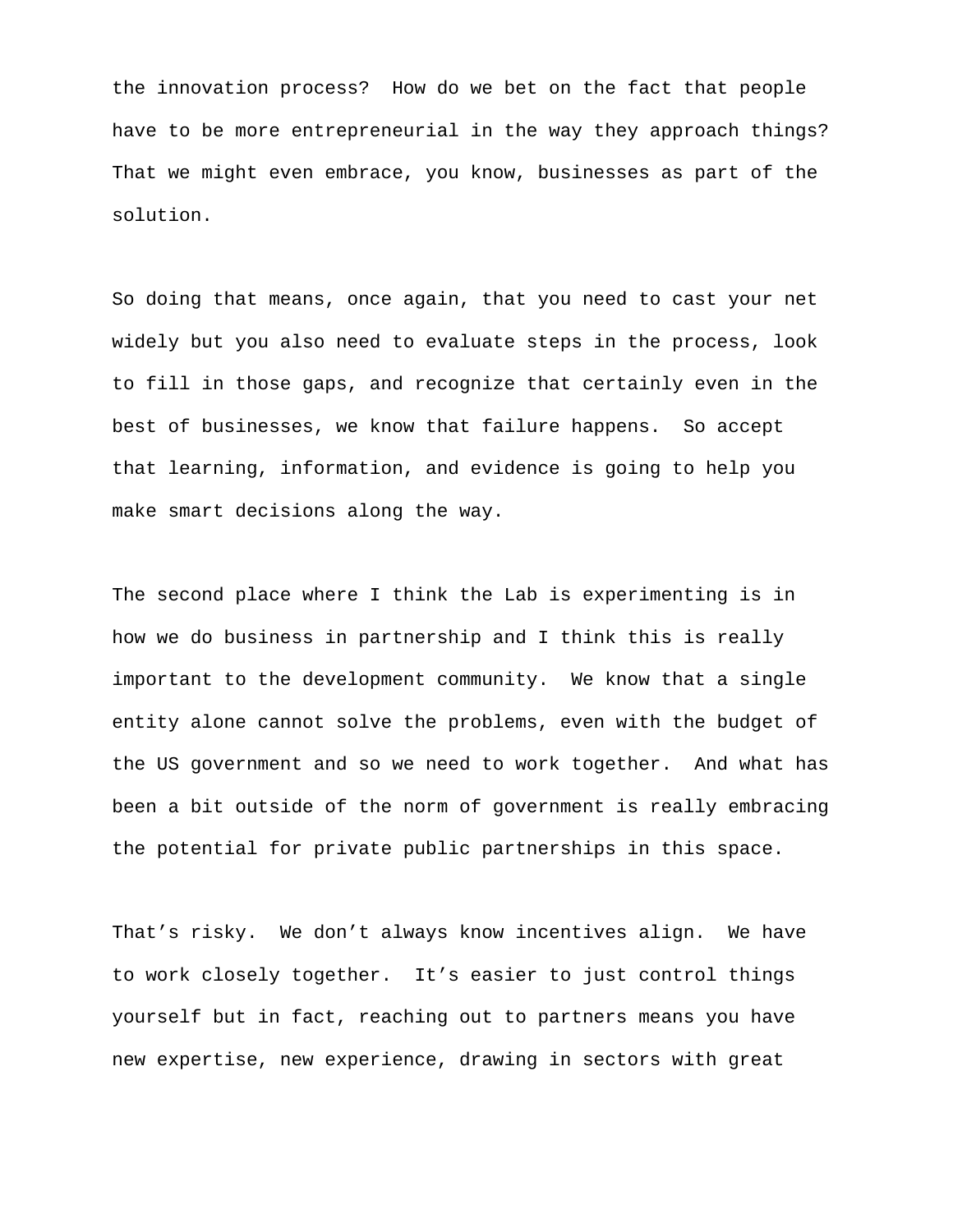the innovation process? How do we bet on the fact that people have to be more entrepreneurial in the way they approach things? That we might even embrace, you know, businesses as part of the solution.

So doing that means, once again, that you need to cast your net widely but you also need to evaluate steps in the process, look to fill in those gaps, and recognize that certainly even in the best of businesses, we know that failure happens. So accept that learning, information, and evidence is going to help you make smart decisions along the way.

The second place where I think the Lab is experimenting is in how we do business in partnership and I think this is really important to the development community. We know that a single entity alone cannot solve the problems, even with the budget of the US government and so we need to work together. And what has been a bit outside of the norm of government is really embracing the potential for private public partnerships in this space.

That's risky. We don't always know incentives align. We have to work closely together. It's easier to just control things yourself but in fact, reaching out to partners means you have new expertise, new experience, drawing in sectors with great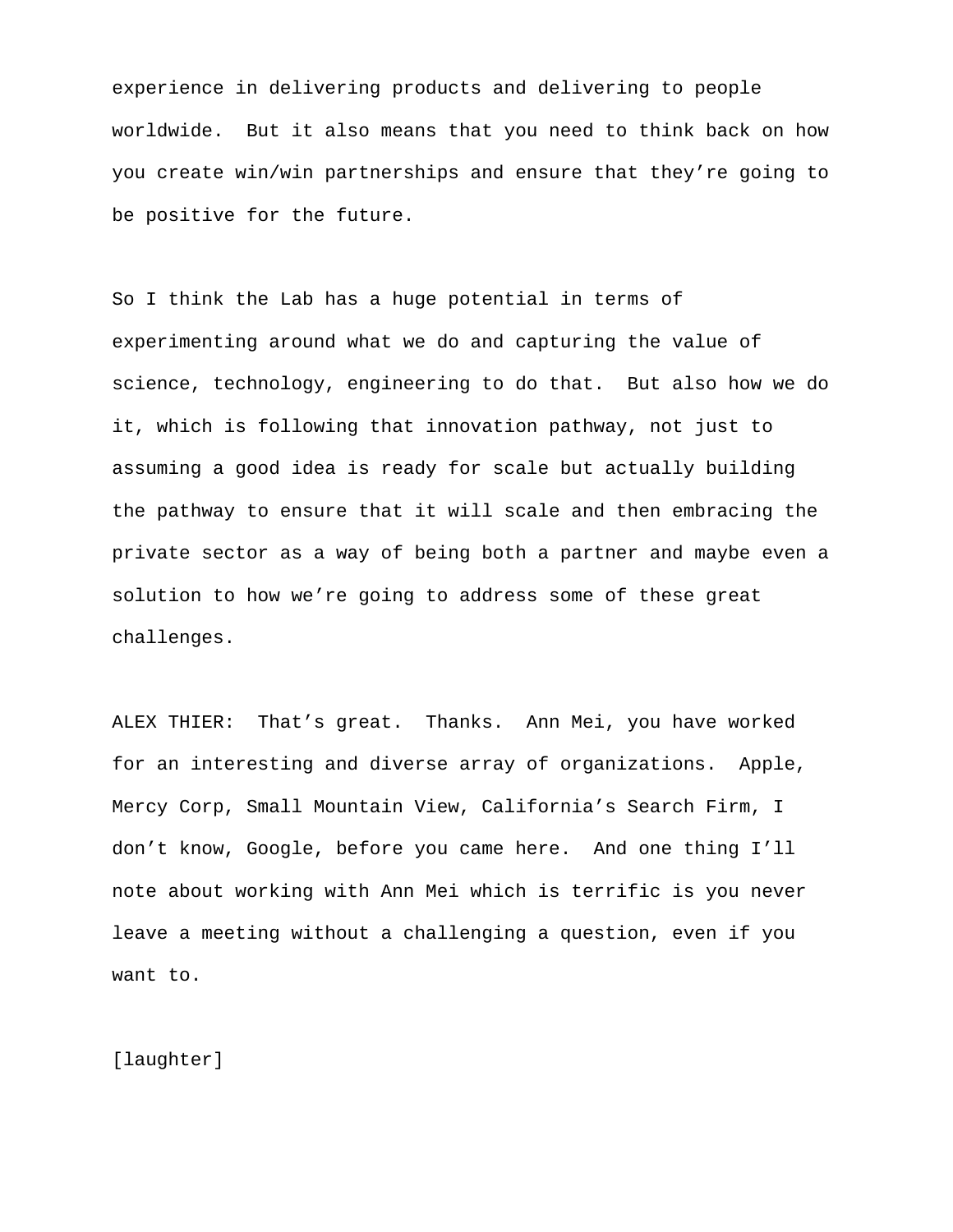experience in delivering products and delivering to people worldwide. But it also means that you need to think back on how you create win/win partnerships and ensure that they're going to be positive for the future.

So I think the Lab has a huge potential in terms of experimenting around what we do and capturing the value of science, technology, engineering to do that. But also how we do it, which is following that innovation pathway, not just to assuming a good idea is ready for scale but actually building the pathway to ensure that it will scale and then embracing the private sector as a way of being both a partner and maybe even a solution to how we're going to address some of these great challenges.

ALEX THIER: That's great. Thanks. Ann Mei, you have worked for an interesting and diverse array of organizations. Apple, Mercy Corp, Small Mountain View, California's Search Firm, I don't know, Google, before you came here. And one thing I'll note about working with Ann Mei which is terrific is you never leave a meeting without a challenging a question, even if you want to.

[laughter]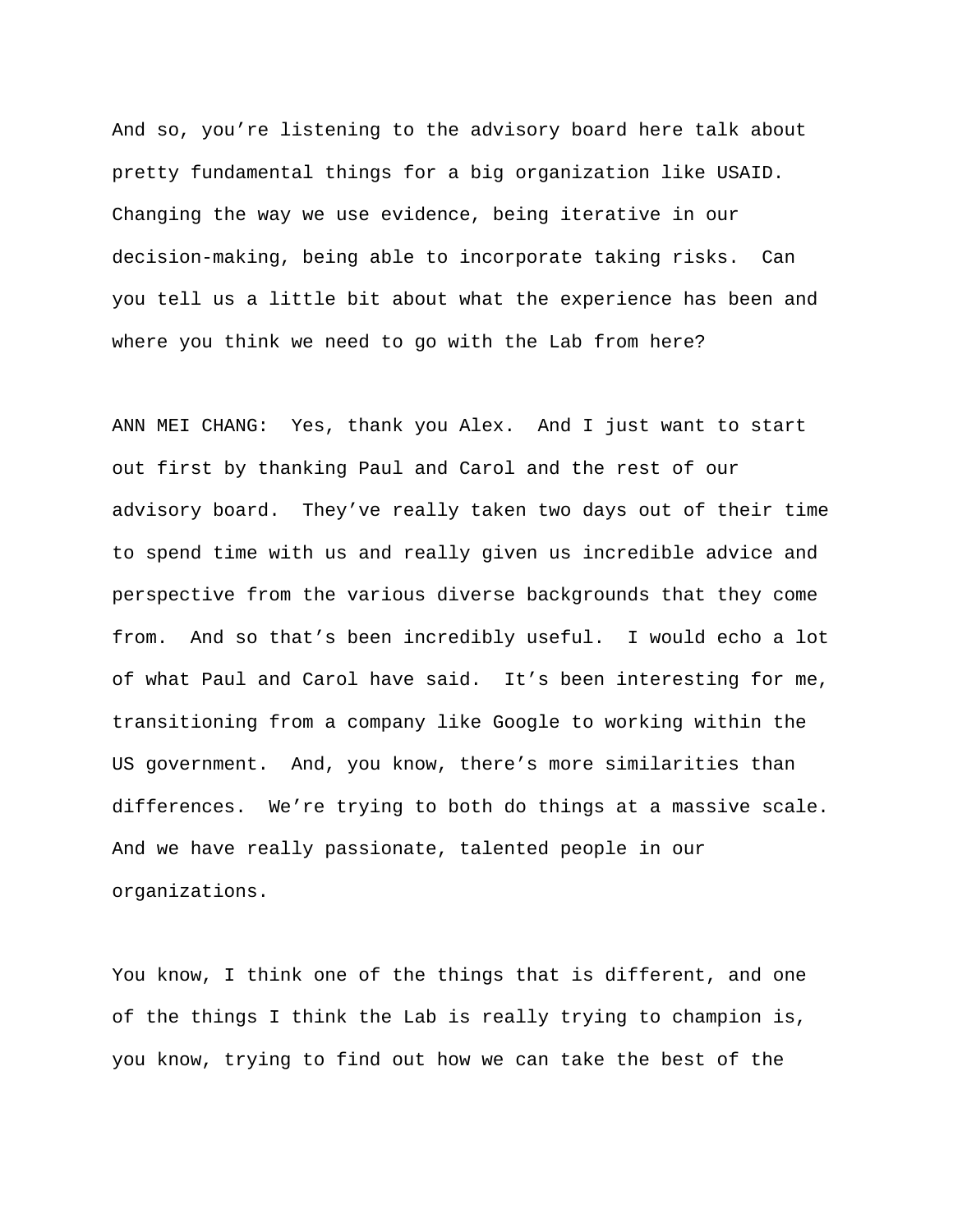And so, you're listening to the advisory board here talk about pretty fundamental things for a big organization like USAID. Changing the way we use evidence, being iterative in our decision-making, being able to incorporate taking risks. Can you tell us a little bit about what the experience has been and where you think we need to go with the Lab from here?

ANN MEI CHANG: Yes, thank you Alex. And I just want to start out first by thanking Paul and Carol and the rest of our advisory board. They've really taken two days out of their time to spend time with us and really given us incredible advice and perspective from the various diverse backgrounds that they come from. And so that's been incredibly useful. I would echo a lot of what Paul and Carol have said. It's been interesting for me, transitioning from a company like Google to working within the US government. And, you know, there's more similarities than differences. We're trying to both do things at a massive scale. And we have really passionate, talented people in our organizations.

You know, I think one of the things that is different, and one of the things I think the Lab is really trying to champion is, you know, trying to find out how we can take the best of the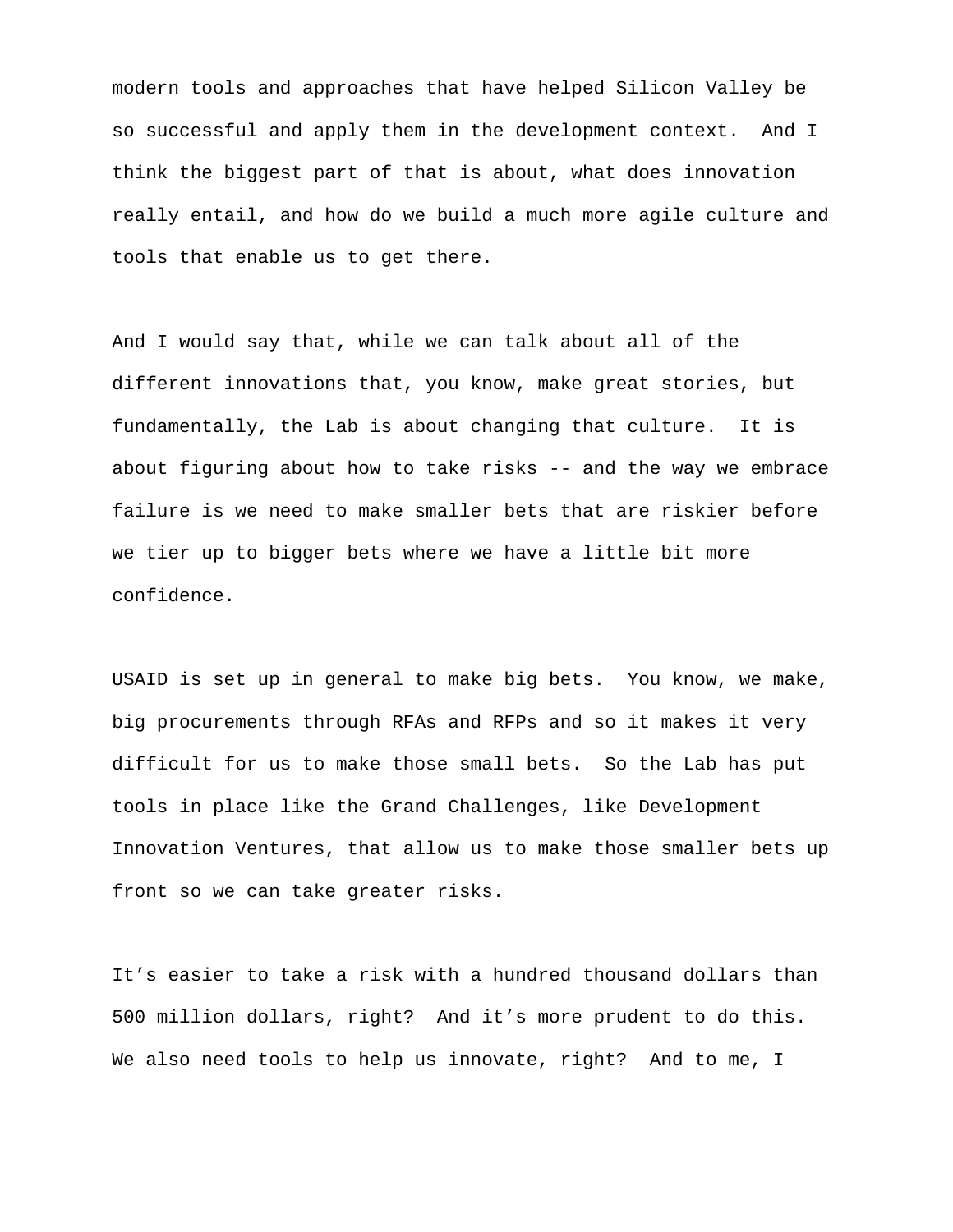modern tools and approaches that have helped Silicon Valley be so successful and apply them in the development context. And I think the biggest part of that is about, what does innovation really entail, and how do we build a much more agile culture and tools that enable us to get there.

And I would say that, while we can talk about all of the different innovations that, you know, make great stories, but fundamentally, the Lab is about changing that culture. It is about figuring about how to take risks -- and the way we embrace failure is we need to make smaller bets that are riskier before we tier up to bigger bets where we have a little bit more confidence.

USAID is set up in general to make big bets. You know, we make, big procurements through RFAs and RFPs and so it makes it very difficult for us to make those small bets. So the Lab has put tools in place like the Grand Challenges, like Development Innovation Ventures, that allow us to make those smaller bets up front so we can take greater risks.

It's easier to take a risk with a hundred thousand dollars than 500 million dollars, right? And it's more prudent to do this. We also need tools to help us innovate, right? And to me, I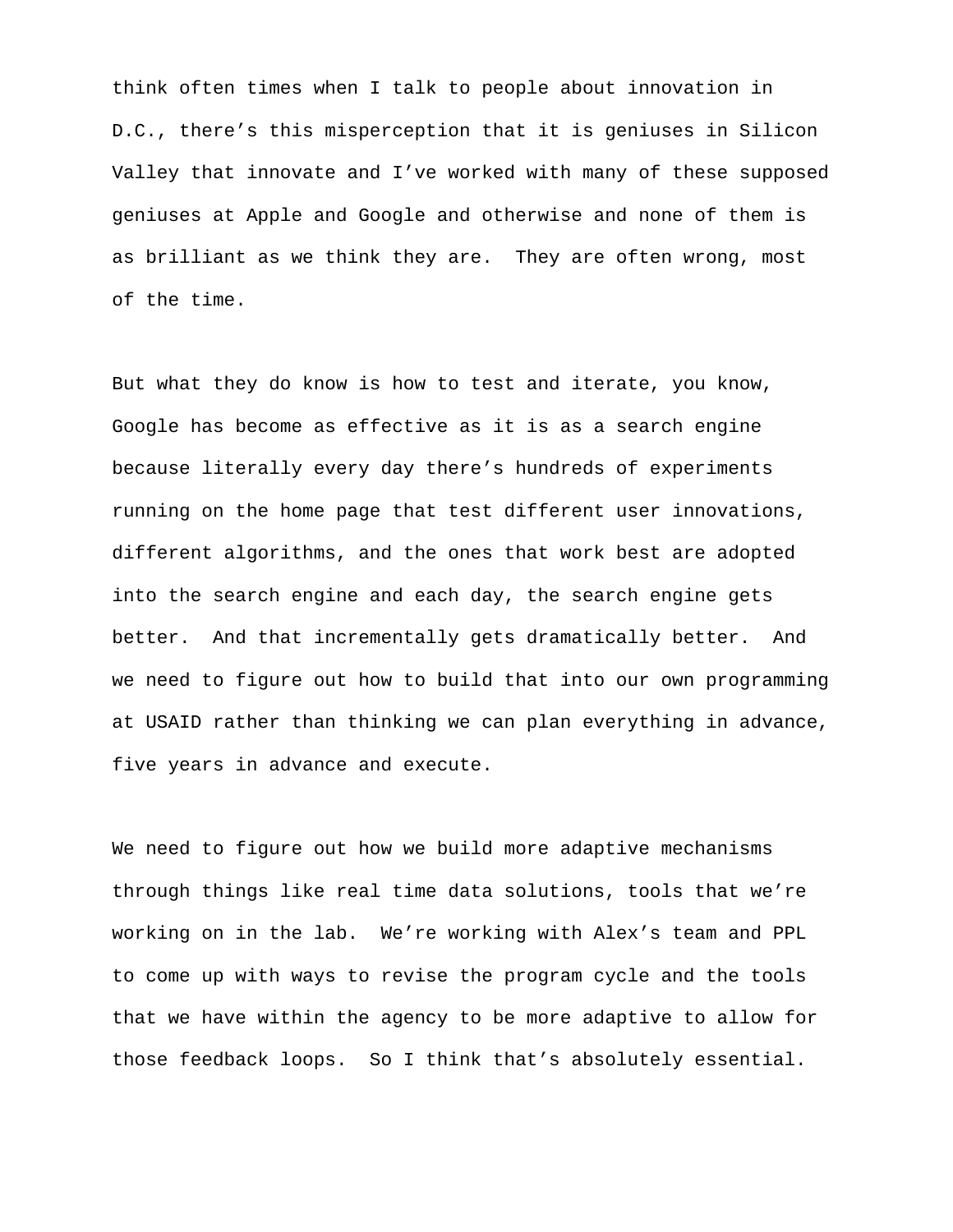think often times when I talk to people about innovation in D.C., there's this misperception that it is geniuses in Silicon Valley that innovate and I've worked with many of these supposed geniuses at Apple and Google and otherwise and none of them is as brilliant as we think they are. They are often wrong, most of the time.

But what they do know is how to test and iterate, you know, Google has become as effective as it is as a search engine because literally every day there's hundreds of experiments running on the home page that test different user innovations, different algorithms, and the ones that work best are adopted into the search engine and each day, the search engine gets better. And that incrementally gets dramatically better. And we need to figure out how to build that into our own programming at USAID rather than thinking we can plan everything in advance, five years in advance and execute.

We need to figure out how we build more adaptive mechanisms through things like real time data solutions, tools that we're working on in the lab. We're working with Alex's team and PPL to come up with ways to revise the program cycle and the tools that we have within the agency to be more adaptive to allow for those feedback loops. So I think that's absolutely essential.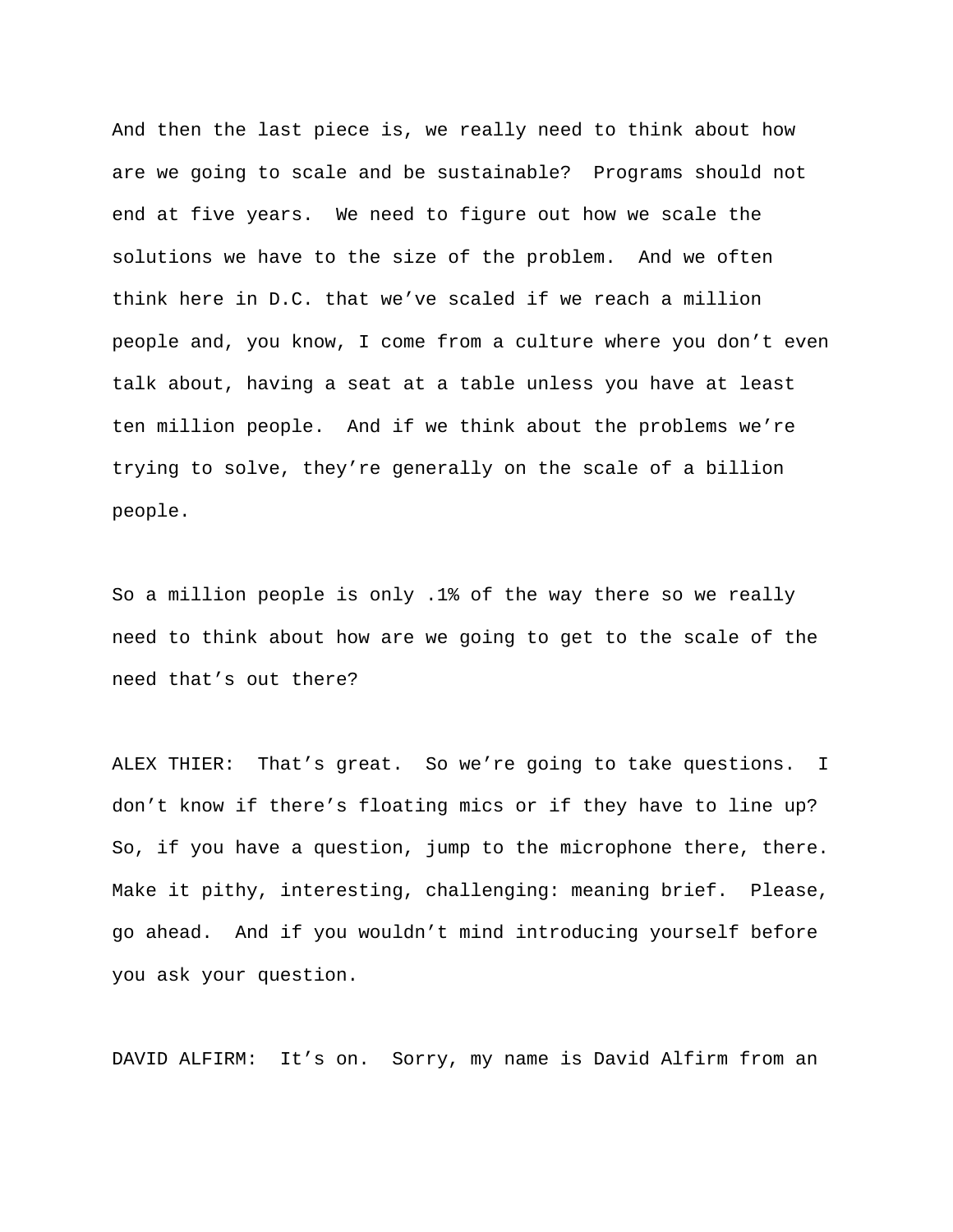And then the last piece is, we really need to think about how are we going to scale and be sustainable? Programs should not end at five years. We need to figure out how we scale the solutions we have to the size of the problem. And we often think here in D.C. that we've scaled if we reach a million people and, you know, I come from a culture where you don't even talk about, having a seat at a table unless you have at least ten million people. And if we think about the problems we're trying to solve, they're generally on the scale of a billion people.

So a million people is only .1% of the way there so we really need to think about how are we going to get to the scale of the need that's out there?

ALEX THIER: That's great. So we're going to take questions. I don't know if there's floating mics or if they have to line up? So, if you have a question, jump to the microphone there, there. Make it pithy, interesting, challenging: meaning brief. Please, go ahead. And if you wouldn't mind introducing yourself before you ask your question.

DAVID ALFIRM: It's on. Sorry, my name is David Alfirm from an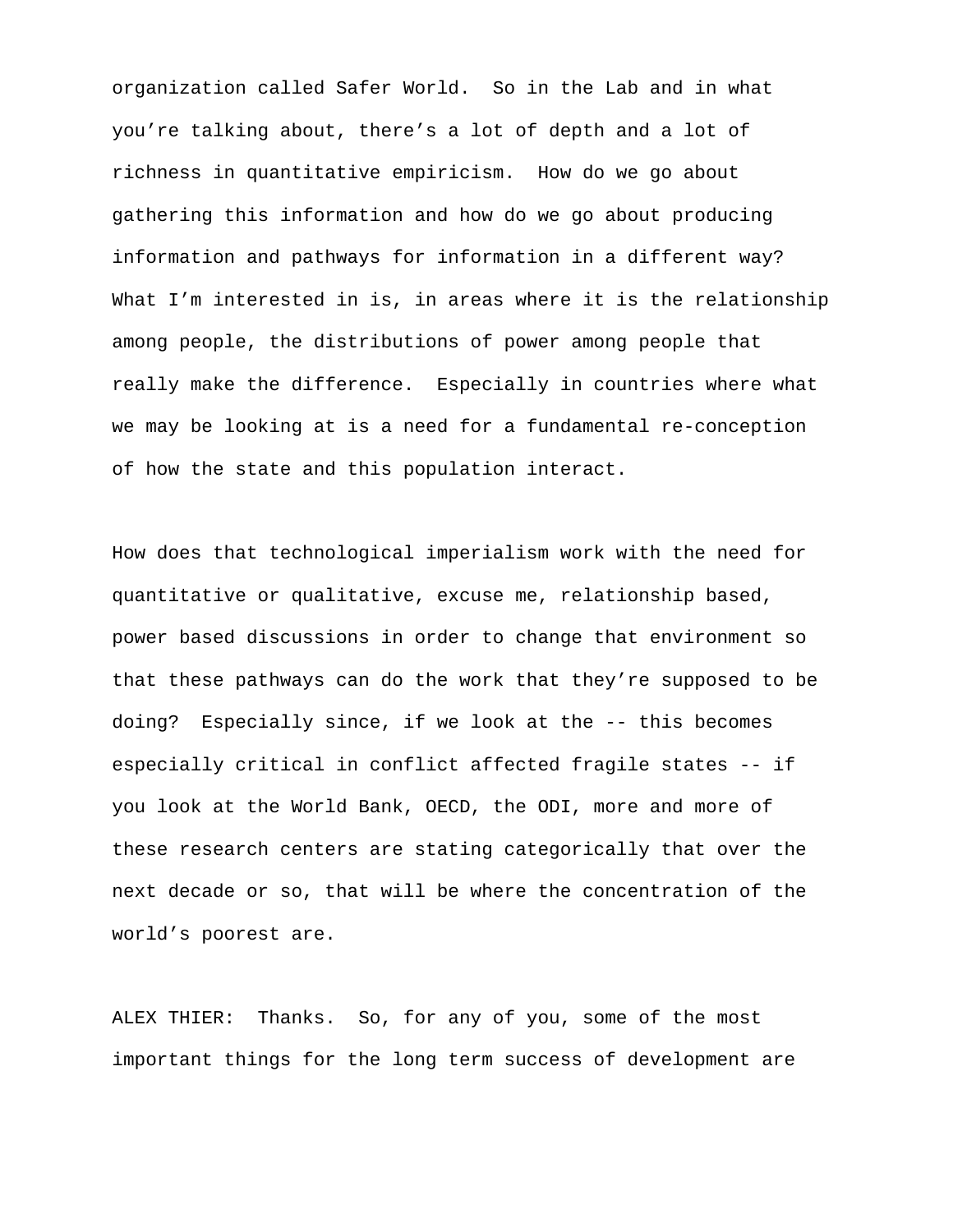organization called Safer World. So in the Lab and in what you're talking about, there's a lot of depth and a lot of richness in quantitative empiricism. How do we go about gathering this information and how do we go about producing information and pathways for information in a different way? What I'm interested in is, in areas where it is the relationship among people, the distributions of power among people that really make the difference. Especially in countries where what we may be looking at is a need for a fundamental re-conception of how the state and this population interact.

How does that technological imperialism work with the need for quantitative or qualitative, excuse me, relationship based, power based discussions in order to change that environment so that these pathways can do the work that they're supposed to be doing? Especially since, if we look at the -- this becomes especially critical in conflict affected fragile states -- if you look at the World Bank, OECD, the ODI, more and more of these research centers are stating categorically that over the next decade or so, that will be where the concentration of the world's poorest are.

ALEX THIER: Thanks. So, for any of you, some of the most important things for the long term success of development are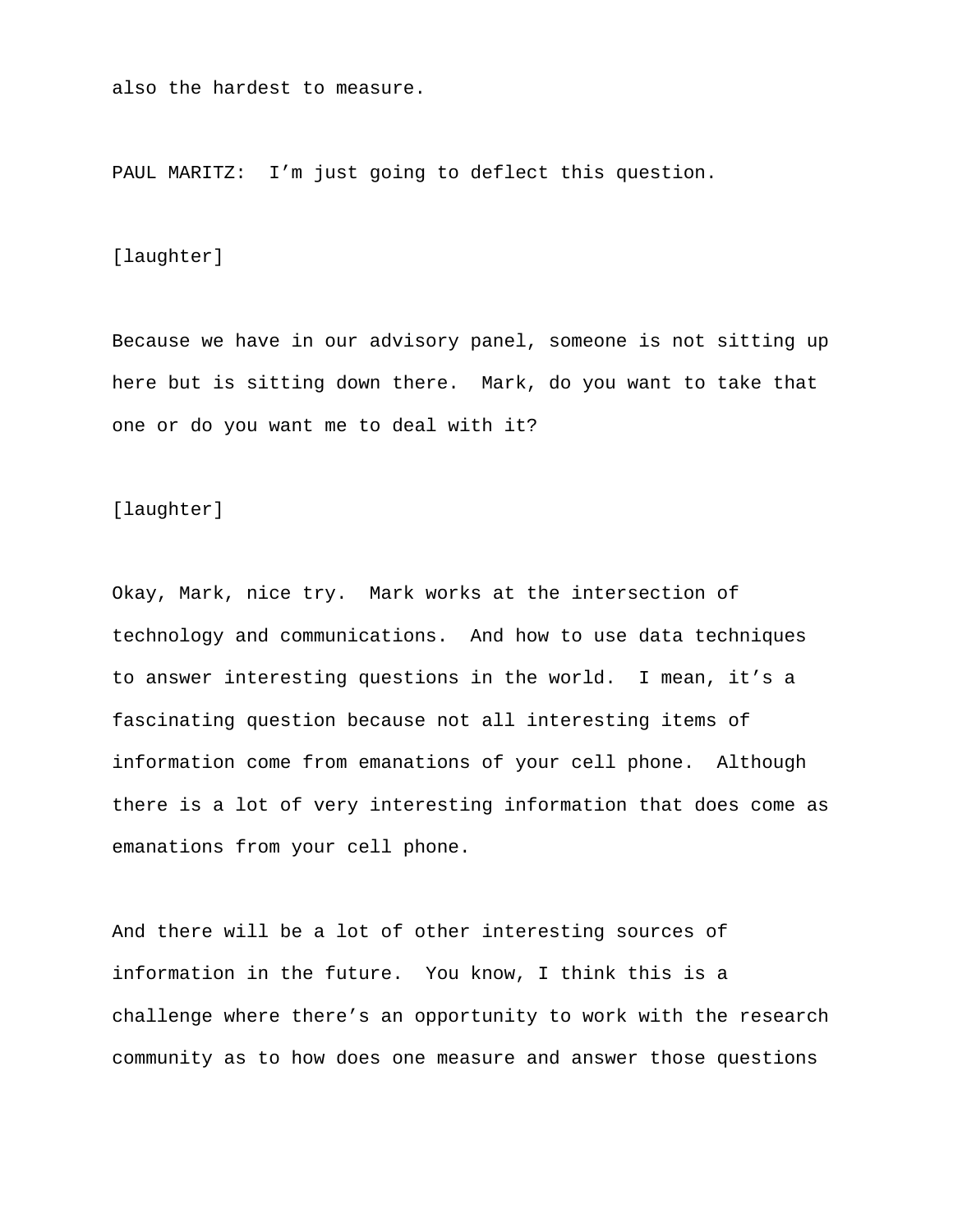also the hardest to measure.

PAUL MARITZ: I'm just going to deflect this question.

#### [laughter]

Because we have in our advisory panel, someone is not sitting up here but is sitting down there. Mark, do you want to take that one or do you want me to deal with it?

[laughter]

Okay, Mark, nice try. Mark works at the intersection of technology and communications. And how to use data techniques to answer interesting questions in the world. I mean, it's a fascinating question because not all interesting items of information come from emanations of your cell phone. Although there is a lot of very interesting information that does come as emanations from your cell phone.

And there will be a lot of other interesting sources of information in the future. You know, I think this is a challenge where there's an opportunity to work with the research community as to how does one measure and answer those questions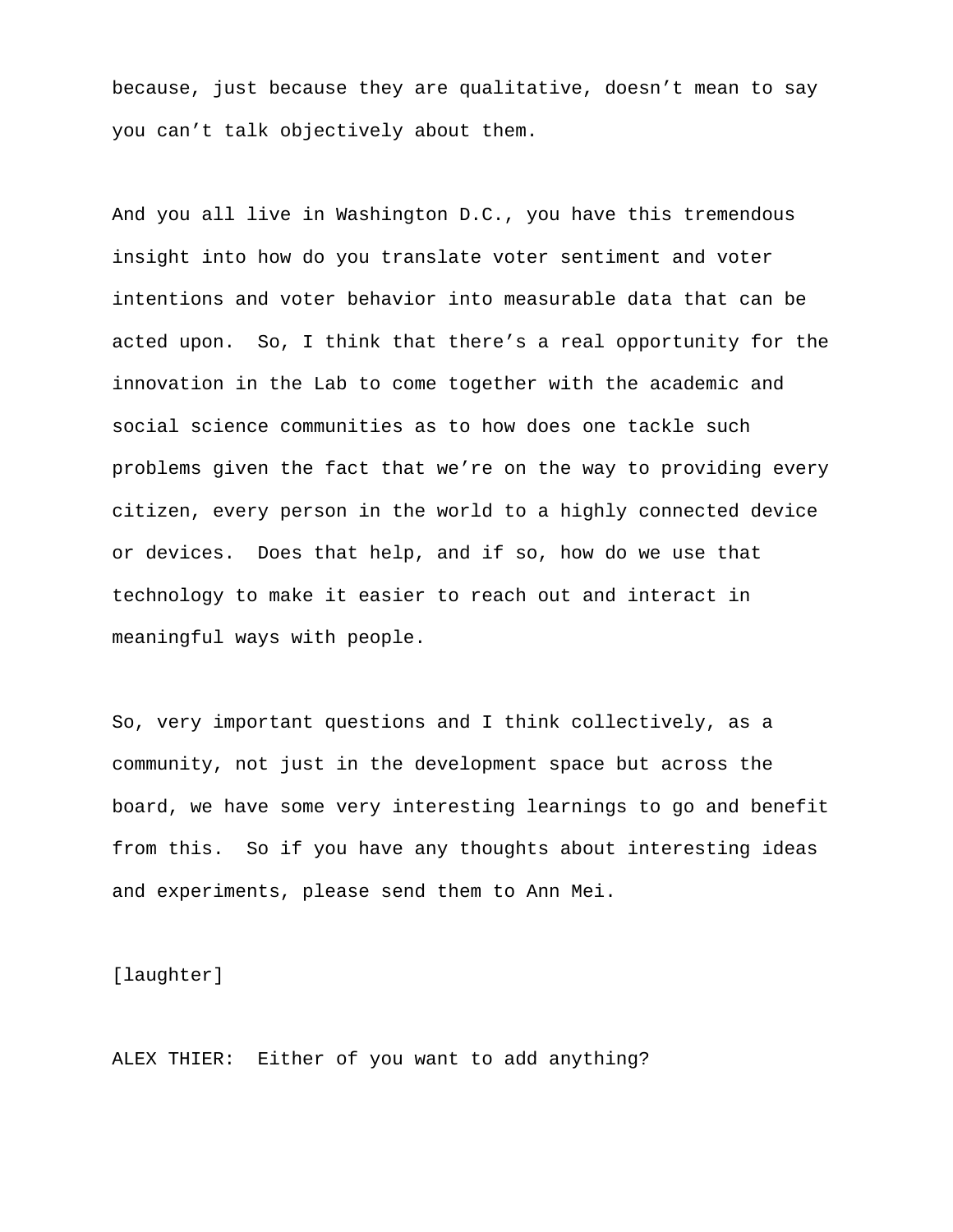because, just because they are qualitative, doesn't mean to say you can't talk objectively about them.

And you all live in Washington D.C., you have this tremendous insight into how do you translate voter sentiment and voter intentions and voter behavior into measurable data that can be acted upon. So, I think that there's a real opportunity for the innovation in the Lab to come together with the academic and social science communities as to how does one tackle such problems given the fact that we're on the way to providing every citizen, every person in the world to a highly connected device or devices. Does that help, and if so, how do we use that technology to make it easier to reach out and interact in meaningful ways with people.

So, very important questions and I think collectively, as a community, not just in the development space but across the board, we have some very interesting learnings to go and benefit from this. So if you have any thoughts about interesting ideas and experiments, please send them to Ann Mei.

[laughter]

ALEX THIER: Either of you want to add anything?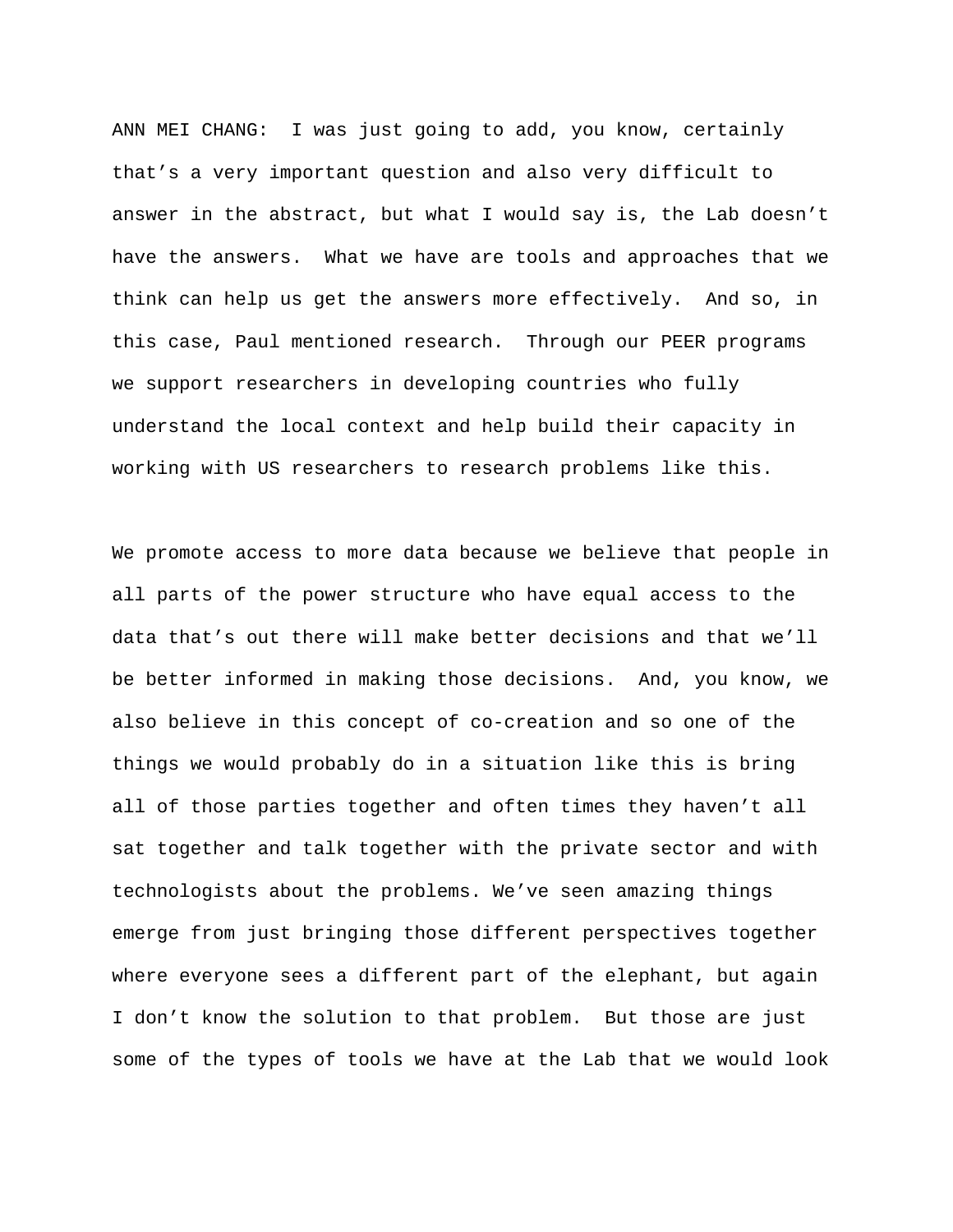ANN MEI CHANG: I was just going to add, you know, certainly that's a very important question and also very difficult to answer in the abstract, but what I would say is, the Lab doesn't have the answers. What we have are tools and approaches that we think can help us get the answers more effectively. And so, in this case, Paul mentioned research. Through our PEER programs we support researchers in developing countries who fully understand the local context and help build their capacity in working with US researchers to research problems like this.

We promote access to more data because we believe that people in all parts of the power structure who have equal access to the data that's out there will make better decisions and that we'll be better informed in making those decisions. And, you know, we also believe in this concept of co-creation and so one of the things we would probably do in a situation like this is bring all of those parties together and often times they haven't all sat together and talk together with the private sector and with technologists about the problems. We've seen amazing things emerge from just bringing those different perspectives together where everyone sees a different part of the elephant, but again I don't know the solution to that problem. But those are just some of the types of tools we have at the Lab that we would look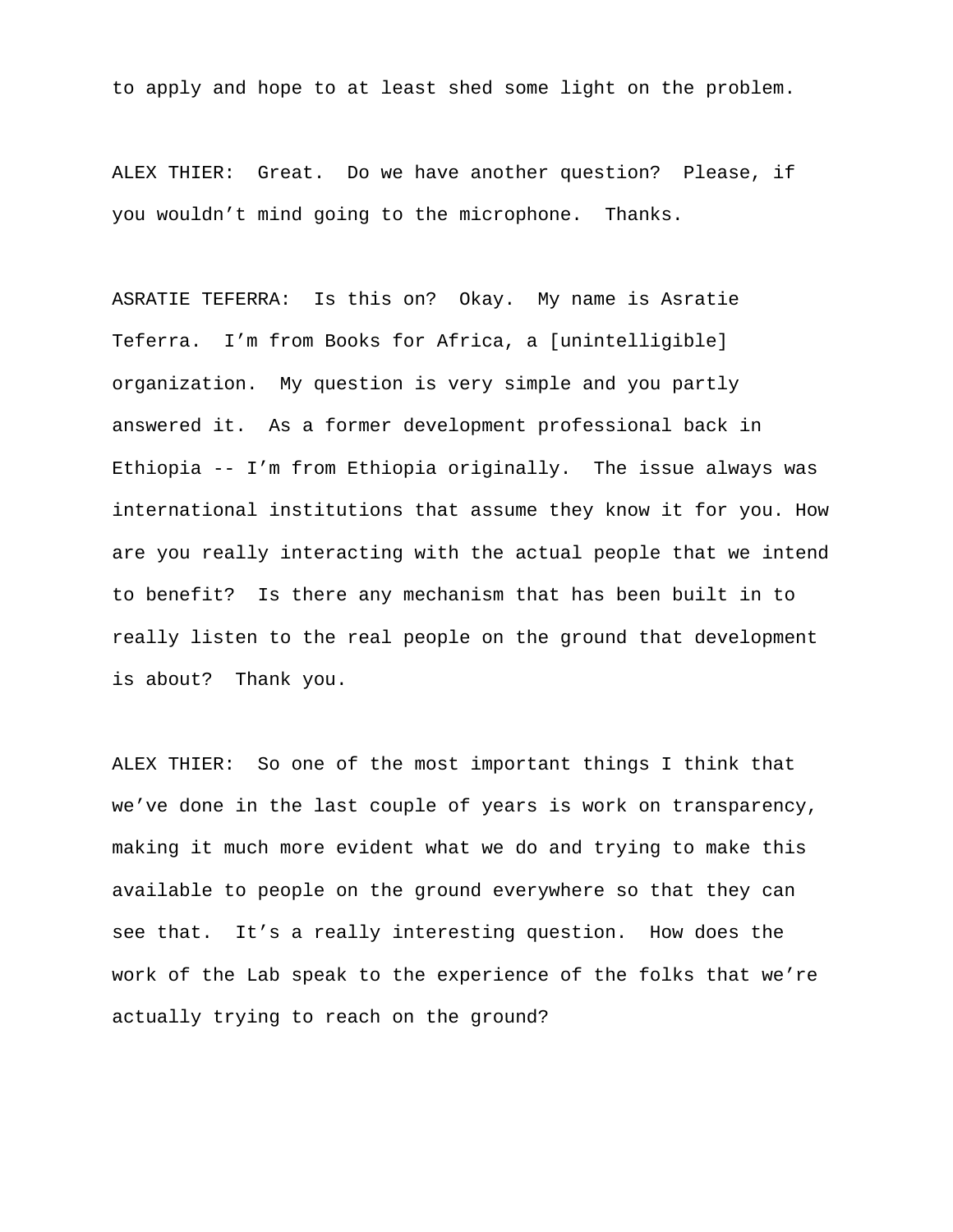to apply and hope to at least shed some light on the problem.

ALEX THIER: Great. Do we have another question? Please, if you wouldn't mind going to the microphone. Thanks.

ASRATIE TEFERRA: Is this on? Okay. My name is Asratie Teferra. I'm from Books for Africa, a [unintelligible] organization. My question is very simple and you partly answered it. As a former development professional back in Ethiopia -- I'm from Ethiopia originally. The issue always was international institutions that assume they know it for you. How are you really interacting with the actual people that we intend to benefit? Is there any mechanism that has been built in to really listen to the real people on the ground that development is about? Thank you.

ALEX THIER: So one of the most important things I think that we've done in the last couple of years is work on transparency, making it much more evident what we do and trying to make this available to people on the ground everywhere so that they can see that. It's a really interesting question. How does the work of the Lab speak to the experience of the folks that we're actually trying to reach on the ground?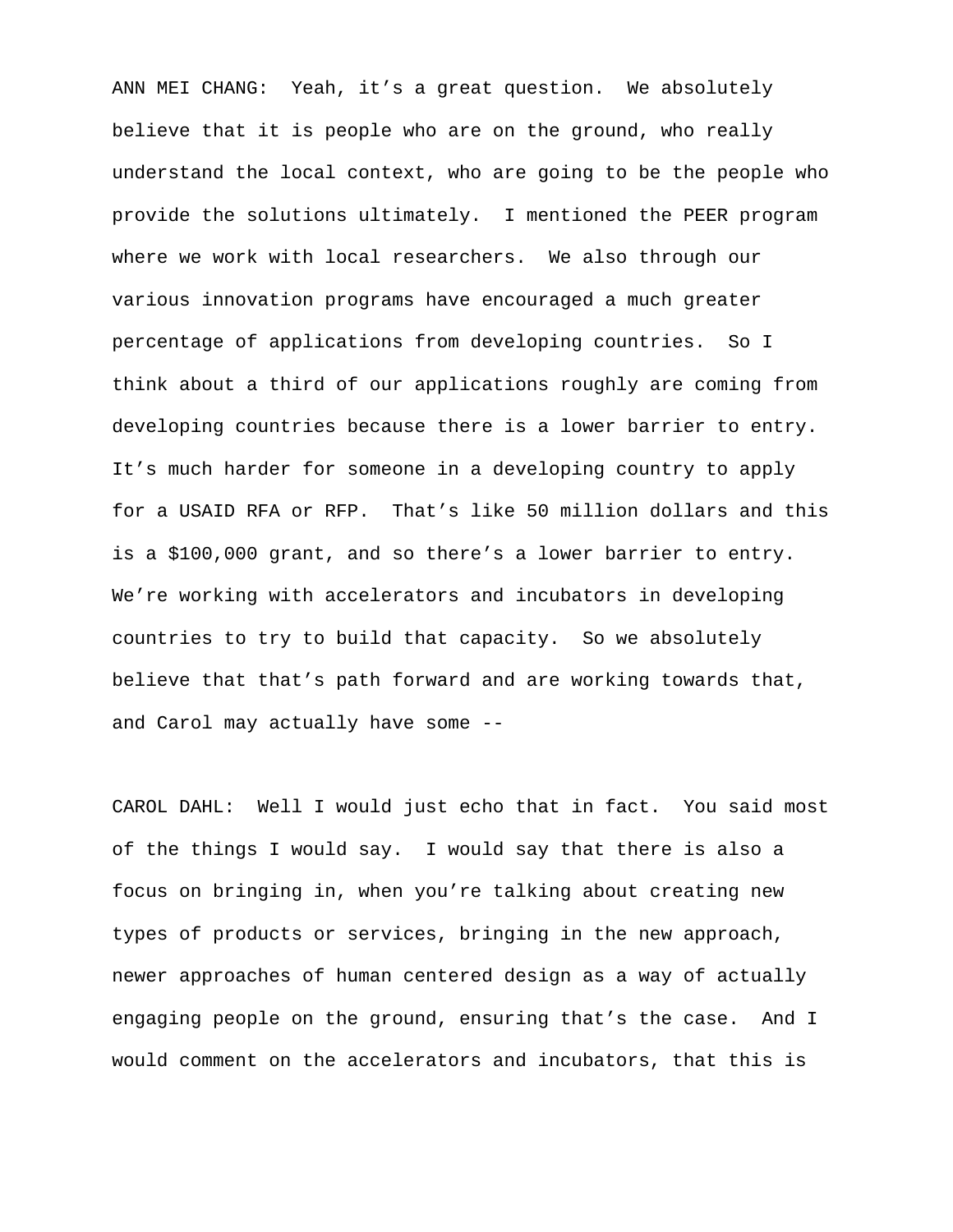ANN MEI CHANG: Yeah, it's a great question. We absolutely believe that it is people who are on the ground, who really understand the local context, who are going to be the people who provide the solutions ultimately. I mentioned the PEER program where we work with local researchers. We also through our various innovation programs have encouraged a much greater percentage of applications from developing countries. So I think about a third of our applications roughly are coming from developing countries because there is a lower barrier to entry. It's much harder for someone in a developing country to apply for a USAID RFA or RFP. That's like 50 million dollars and this is a \$100,000 grant, and so there's a lower barrier to entry. We're working with accelerators and incubators in developing countries to try to build that capacity. So we absolutely believe that that's path forward and are working towards that, and Carol may actually have some --

CAROL DAHL: Well I would just echo that in fact. You said most of the things I would say. I would say that there is also a focus on bringing in, when you're talking about creating new types of products or services, bringing in the new approach, newer approaches of human centered design as a way of actually engaging people on the ground, ensuring that's the case. And I would comment on the accelerators and incubators, that this is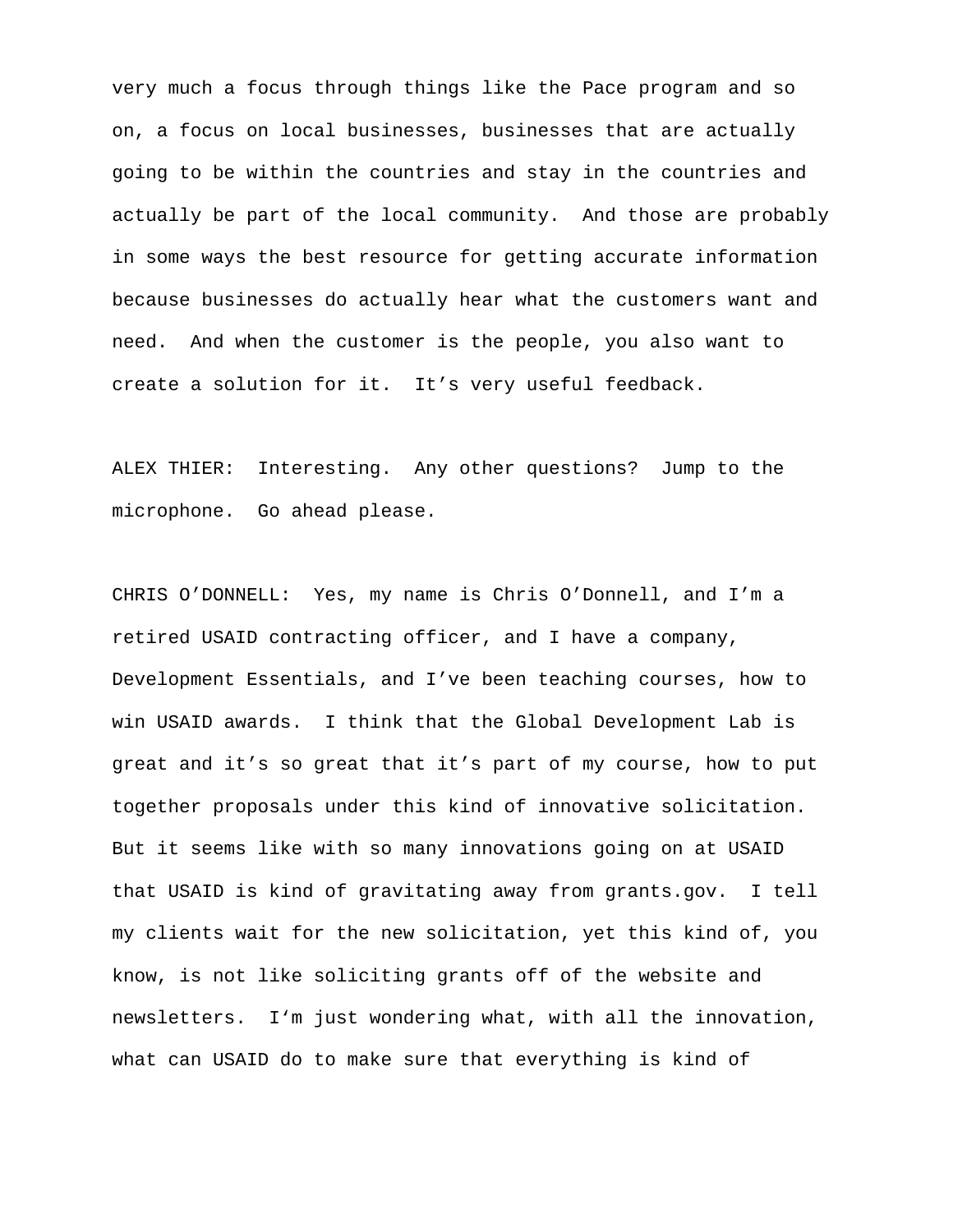very much a focus through things like the Pace program and so on, a focus on local businesses, businesses that are actually going to be within the countries and stay in the countries and actually be part of the local community. And those are probably in some ways the best resource for getting accurate information because businesses do actually hear what the customers want and need. And when the customer is the people, you also want to create a solution for it. It's very useful feedback.

ALEX THIER: Interesting. Any other questions? Jump to the microphone. Go ahead please.

CHRIS O'DONNELL: Yes, my name is Chris O'Donnell, and I'm a retired USAID contracting officer, and I have a company, Development Essentials, and I've been teaching courses, how to win USAID awards. I think that the Global Development Lab is great and it's so great that it's part of my course, how to put together proposals under this kind of innovative solicitation. But it seems like with so many innovations going on at USAID that USAID is kind of gravitating away from grants.gov. I tell my clients wait for the new solicitation, yet this kind of, you know, is not like soliciting grants off of the website and newsletters. I'm just wondering what, with all the innovation, what can USAID do to make sure that everything is kind of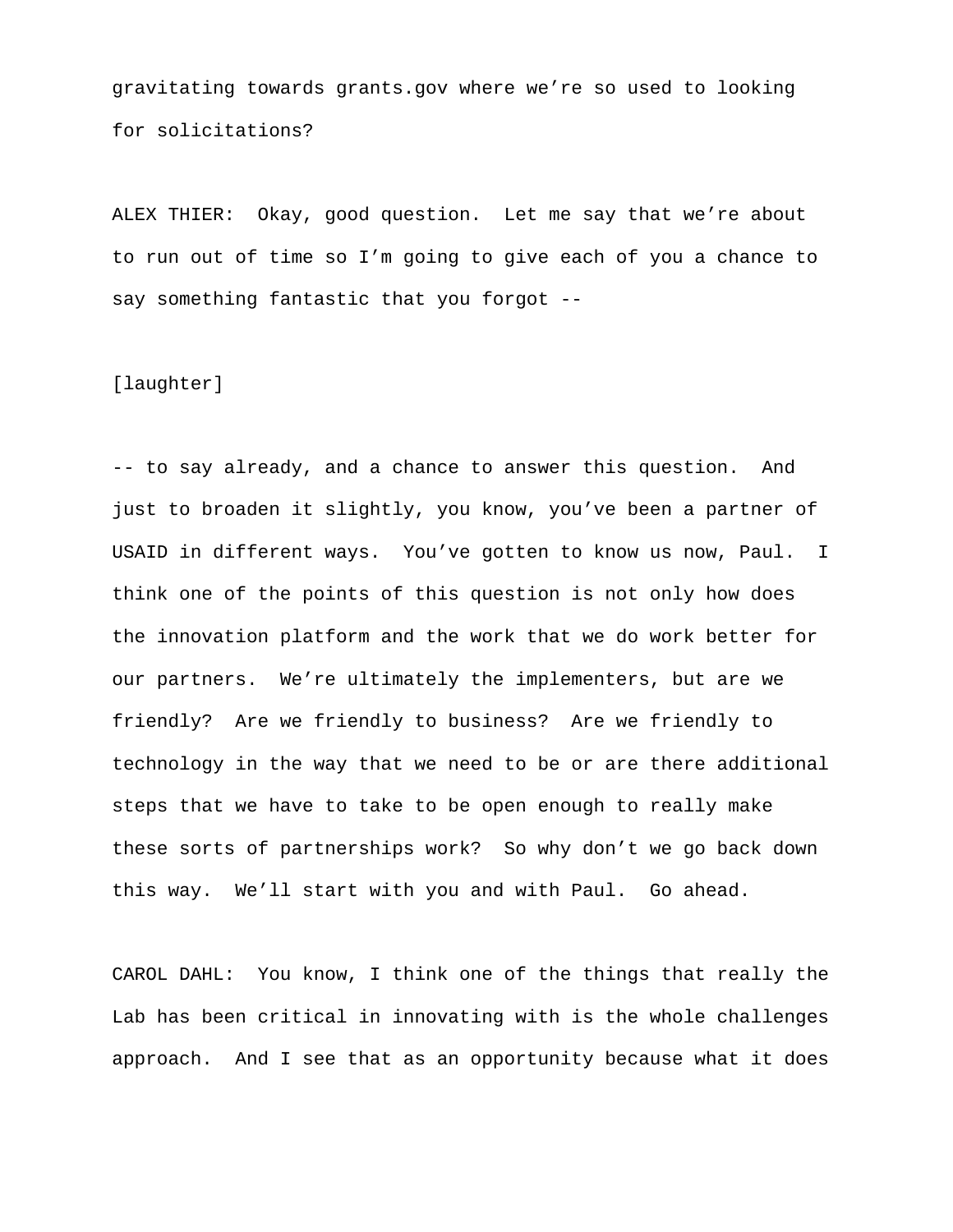gravitating towards grants.gov where we're so used to looking for solicitations?

ALEX THIER: Okay, good question. Let me say that we're about to run out of time so I'm going to give each of you a chance to say something fantastic that you forgot --

[laughter]

-- to say already, and a chance to answer this question. And just to broaden it slightly, you know, you've been a partner of USAID in different ways. You've gotten to know us now, Paul. I think one of the points of this question is not only how does the innovation platform and the work that we do work better for our partners. We're ultimately the implementers, but are we friendly? Are we friendly to business? Are we friendly to technology in the way that we need to be or are there additional steps that we have to take to be open enough to really make these sorts of partnerships work? So why don't we go back down this way. We'll start with you and with Paul. Go ahead.

CAROL DAHL: You know, I think one of the things that really the Lab has been critical in innovating with is the whole challenges approach. And I see that as an opportunity because what it does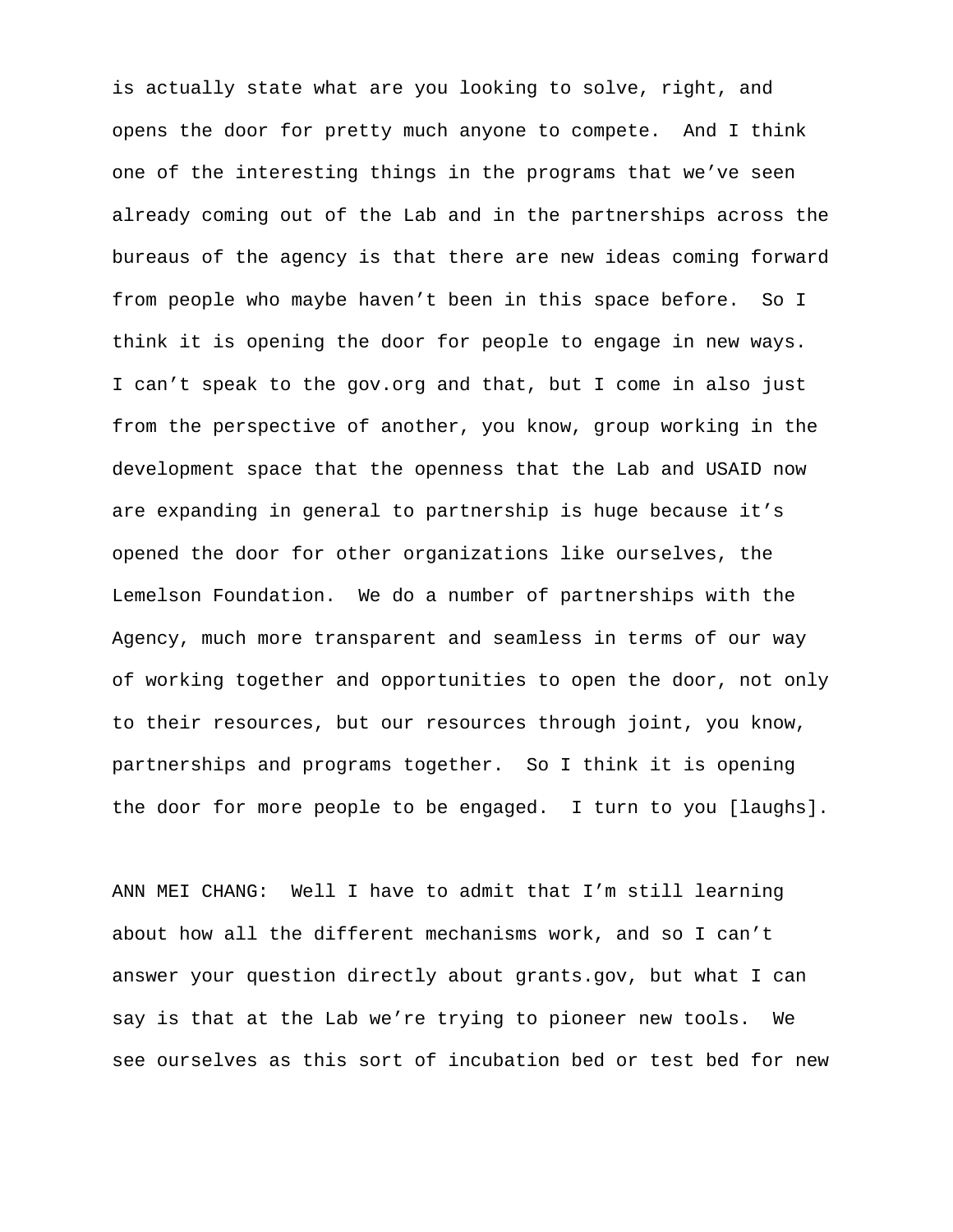is actually state what are you looking to solve, right, and opens the door for pretty much anyone to compete. And I think one of the interesting things in the programs that we've seen already coming out of the Lab and in the partnerships across the bureaus of the agency is that there are new ideas coming forward from people who maybe haven't been in this space before. So I think it is opening the door for people to engage in new ways. I can't speak to the gov.org and that, but I come in also just from the perspective of another, you know, group working in the development space that the openness that the Lab and USAID now are expanding in general to partnership is huge because it's opened the door for other organizations like ourselves, the Lemelson Foundation. We do a number of partnerships with the Agency, much more transparent and seamless in terms of our way of working together and opportunities to open the door, not only to their resources, but our resources through joint, you know, partnerships and programs together. So I think it is opening the door for more people to be engaged. I turn to you [laughs].

ANN MEI CHANG: Well I have to admit that I'm still learning about how all the different mechanisms work, and so I can't answer your question directly about grants.gov, but what I can say is that at the Lab we're trying to pioneer new tools. We see ourselves as this sort of incubation bed or test bed for new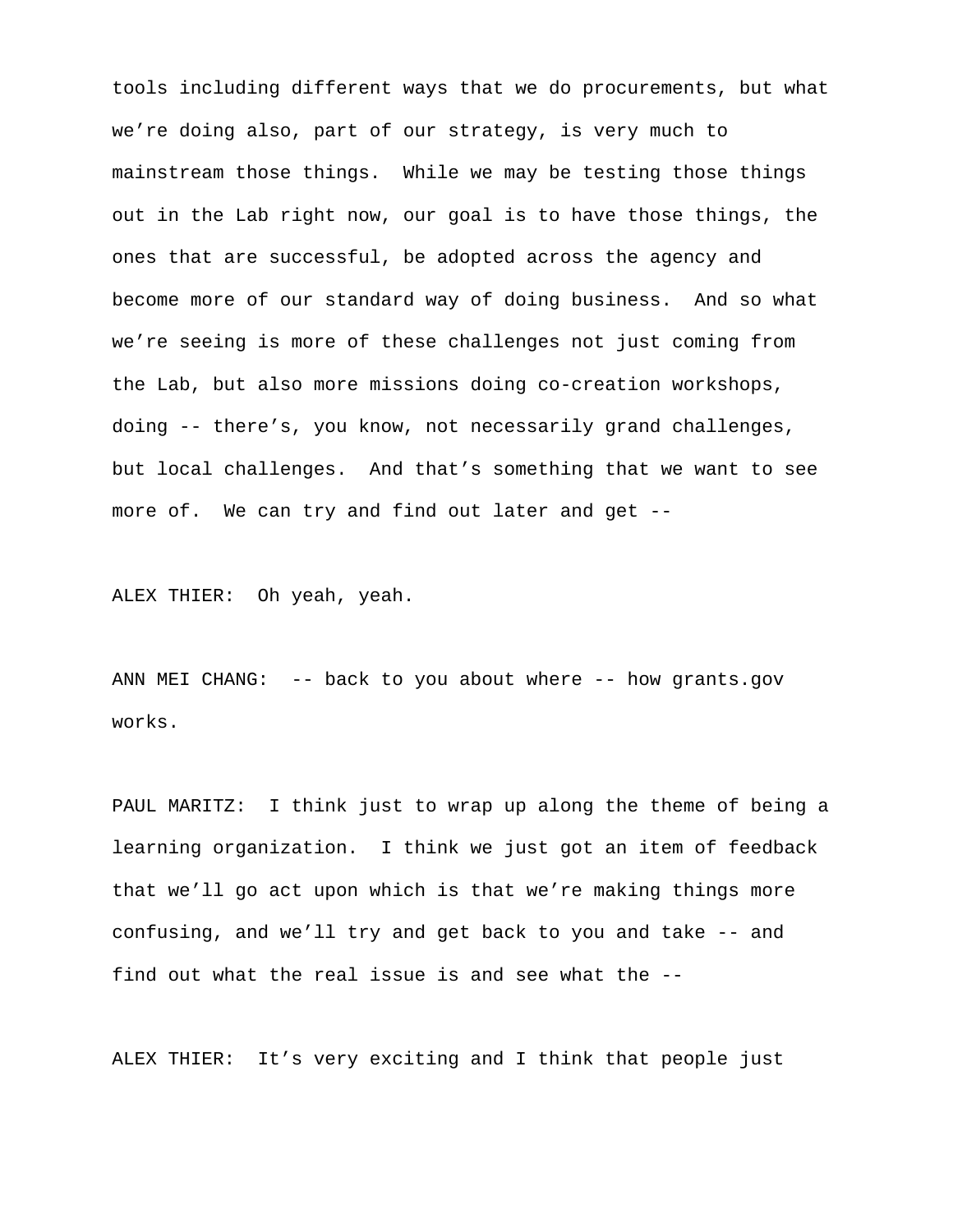tools including different ways that we do procurements, but what we're doing also, part of our strategy, is very much to mainstream those things. While we may be testing those things out in the Lab right now, our goal is to have those things, the ones that are successful, be adopted across the agency and become more of our standard way of doing business. And so what we're seeing is more of these challenges not just coming from the Lab, but also more missions doing co-creation workshops, doing -- there's, you know, not necessarily grand challenges, but local challenges. And that's something that we want to see more of. We can try and find out later and get --

ALEX THIER: Oh yeah, yeah.

ANN MEI CHANG: -- back to you about where -- how grants.gov works.

PAUL MARITZ: I think just to wrap up along the theme of being a learning organization. I think we just got an item of feedback that we'll go act upon which is that we're making things more confusing, and we'll try and get back to you and take -- and find out what the real issue is and see what the --

ALEX THIER: It's very exciting and I think that people just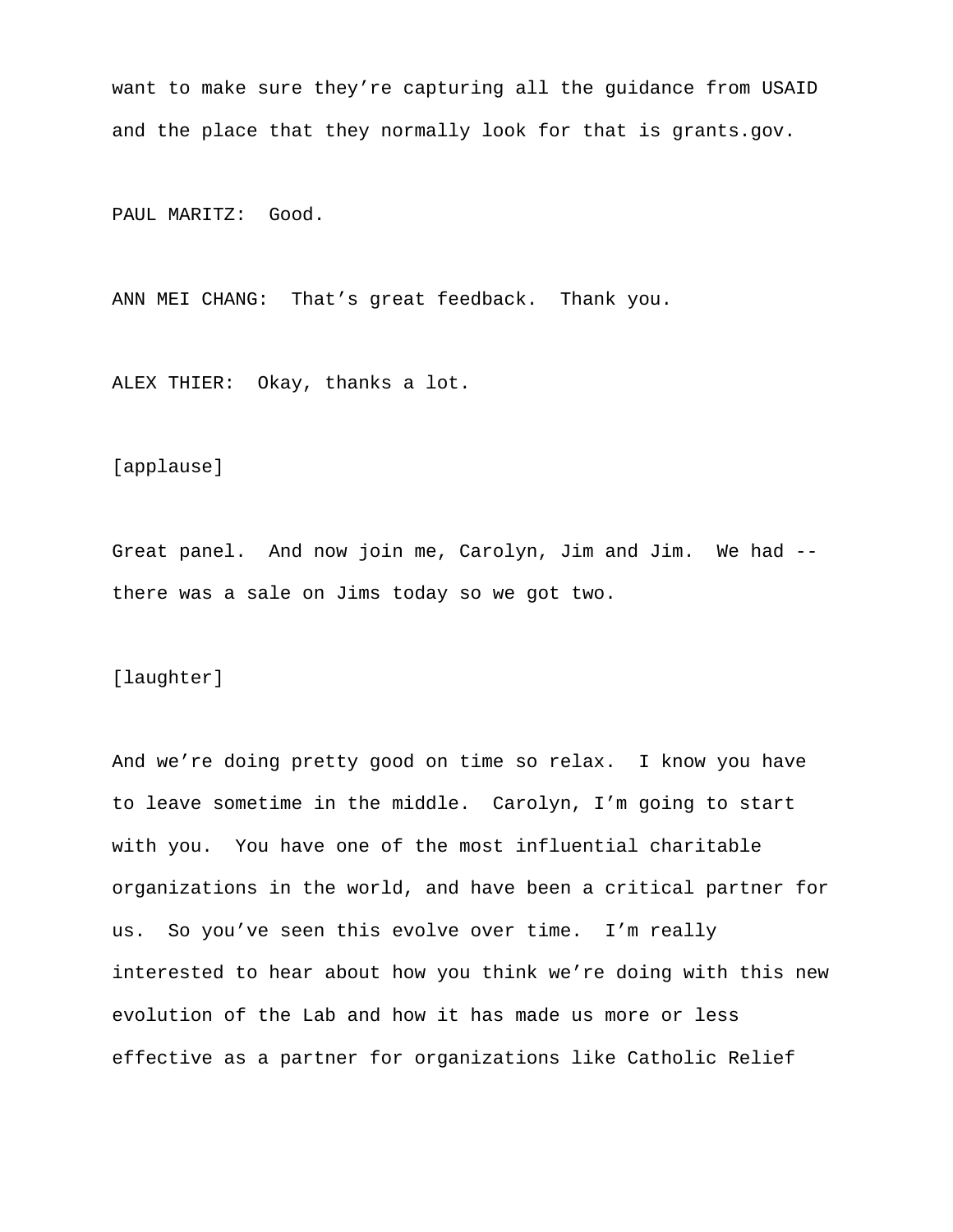want to make sure they're capturing all the guidance from USAID and the place that they normally look for that is grants.gov.

PAUL MARITZ: Good.

ANN MEI CHANG: That's great feedback. Thank you.

ALEX THIER: Okay, thanks a lot.

[applause]

Great panel. And now join me, Carolyn, Jim and Jim. We had - there was a sale on Jims today so we got two.

[laughter]

And we're doing pretty good on time so relax. I know you have to leave sometime in the middle. Carolyn, I'm going to start with you. You have one of the most influential charitable organizations in the world, and have been a critical partner for us. So you've seen this evolve over time. I'm really interested to hear about how you think we're doing with this new evolution of the Lab and how it has made us more or less effective as a partner for organizations like Catholic Relief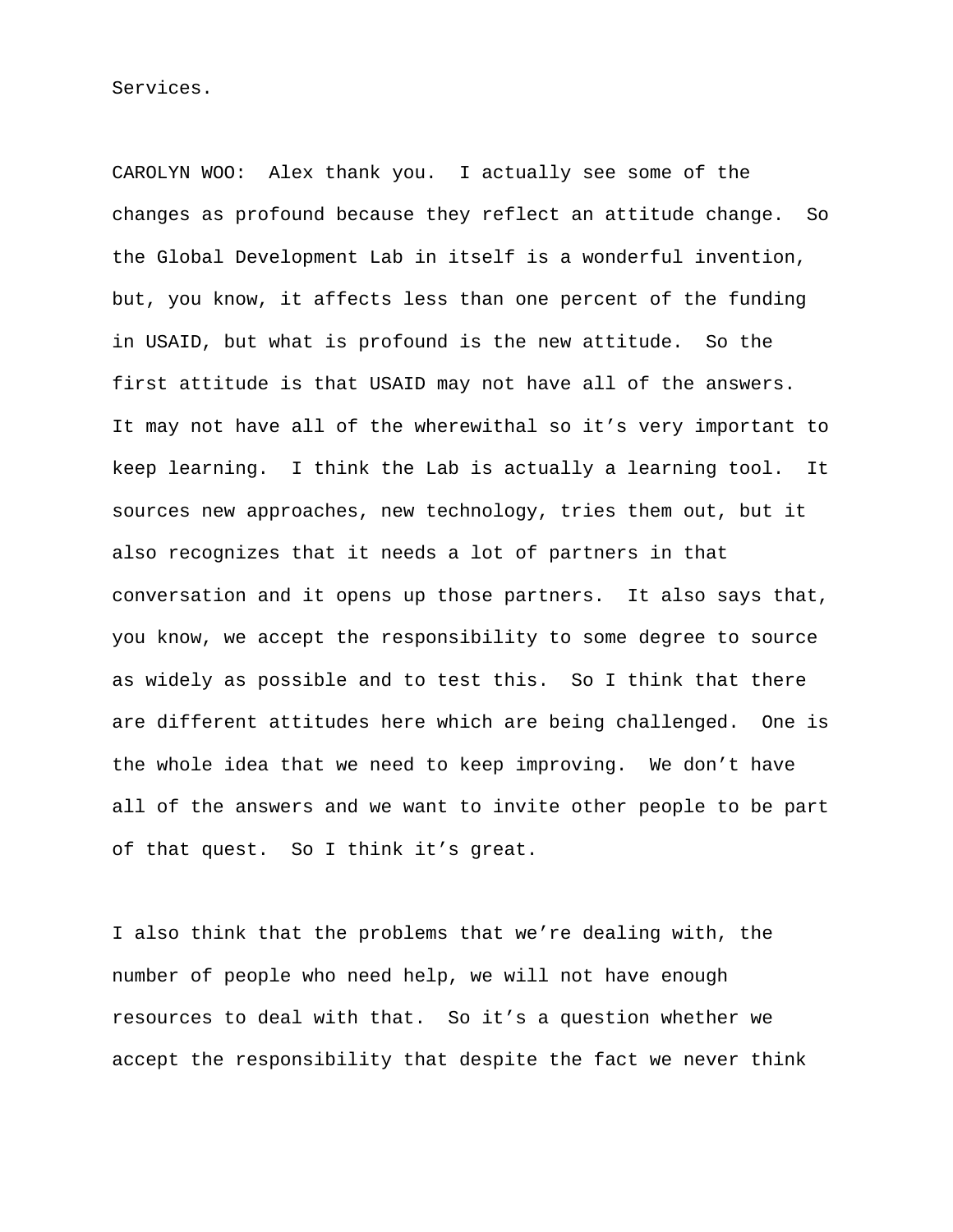Services.

CAROLYN WOO: Alex thank you. I actually see some of the changes as profound because they reflect an attitude change. So the Global Development Lab in itself is a wonderful invention, but, you know, it affects less than one percent of the funding in USAID, but what is profound is the new attitude. So the first attitude is that USAID may not have all of the answers. It may not have all of the wherewithal so it's very important to keep learning. I think the Lab is actually a learning tool. It sources new approaches, new technology, tries them out, but it also recognizes that it needs a lot of partners in that conversation and it opens up those partners. It also says that, you know, we accept the responsibility to some degree to source as widely as possible and to test this. So I think that there are different attitudes here which are being challenged. One is the whole idea that we need to keep improving. We don't have all of the answers and we want to invite other people to be part of that quest. So I think it's great.

I also think that the problems that we're dealing with, the number of people who need help, we will not have enough resources to deal with that. So it's a question whether we accept the responsibility that despite the fact we never think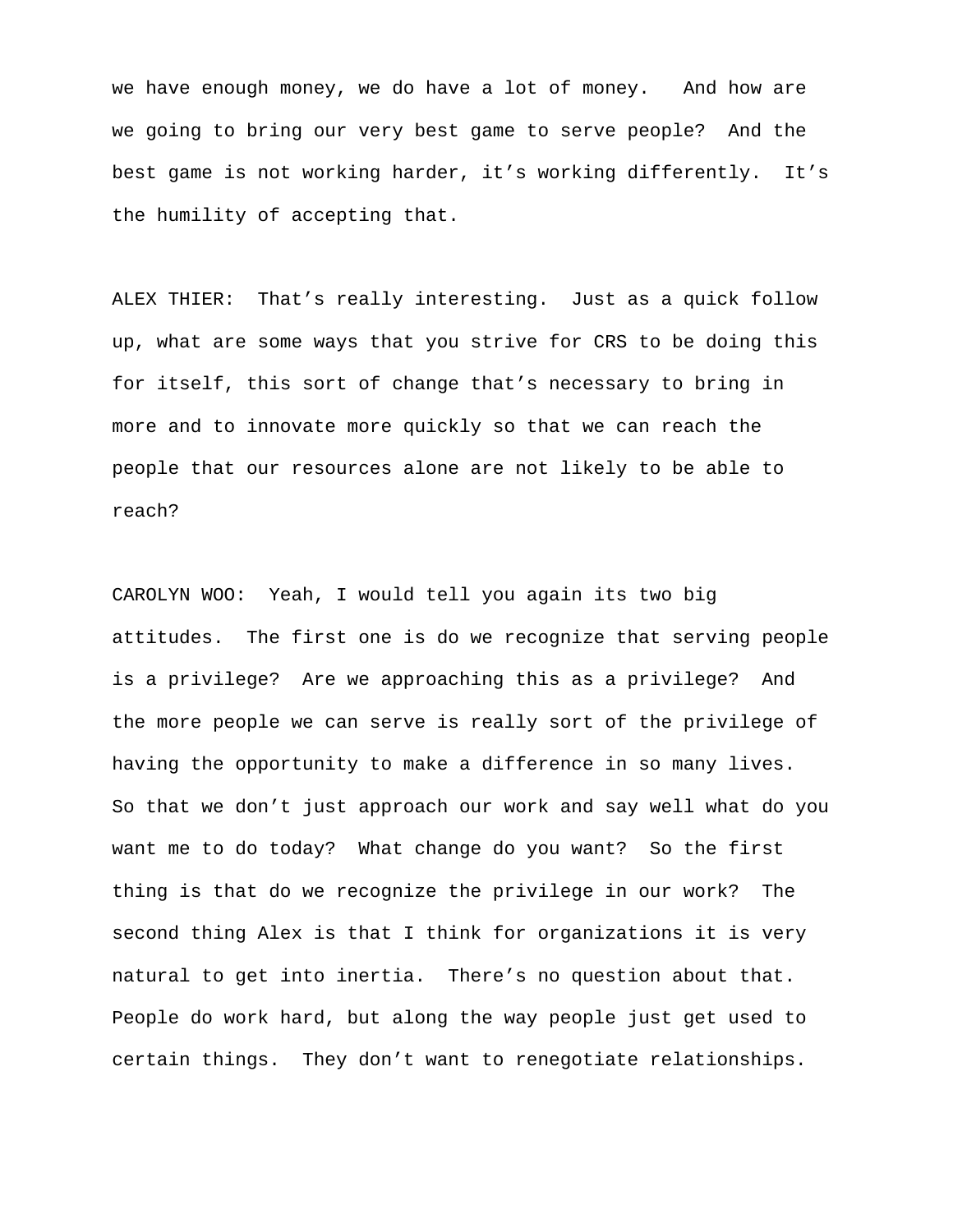we have enough money, we do have a lot of money. And how are we going to bring our very best game to serve people? And the best game is not working harder, it's working differently. It's the humility of accepting that.

ALEX THIER: That's really interesting. Just as a quick follow up, what are some ways that you strive for CRS to be doing this for itself, this sort of change that's necessary to bring in more and to innovate more quickly so that we can reach the people that our resources alone are not likely to be able to reach?

CAROLYN WOO: Yeah, I would tell you again its two big attitudes. The first one is do we recognize that serving people is a privilege? Are we approaching this as a privilege? And the more people we can serve is really sort of the privilege of having the opportunity to make a difference in so many lives. So that we don't just approach our work and say well what do you want me to do today? What change do you want? So the first thing is that do we recognize the privilege in our work? The second thing Alex is that I think for organizations it is very natural to get into inertia. There's no question about that. People do work hard, but along the way people just get used to certain things. They don't want to renegotiate relationships.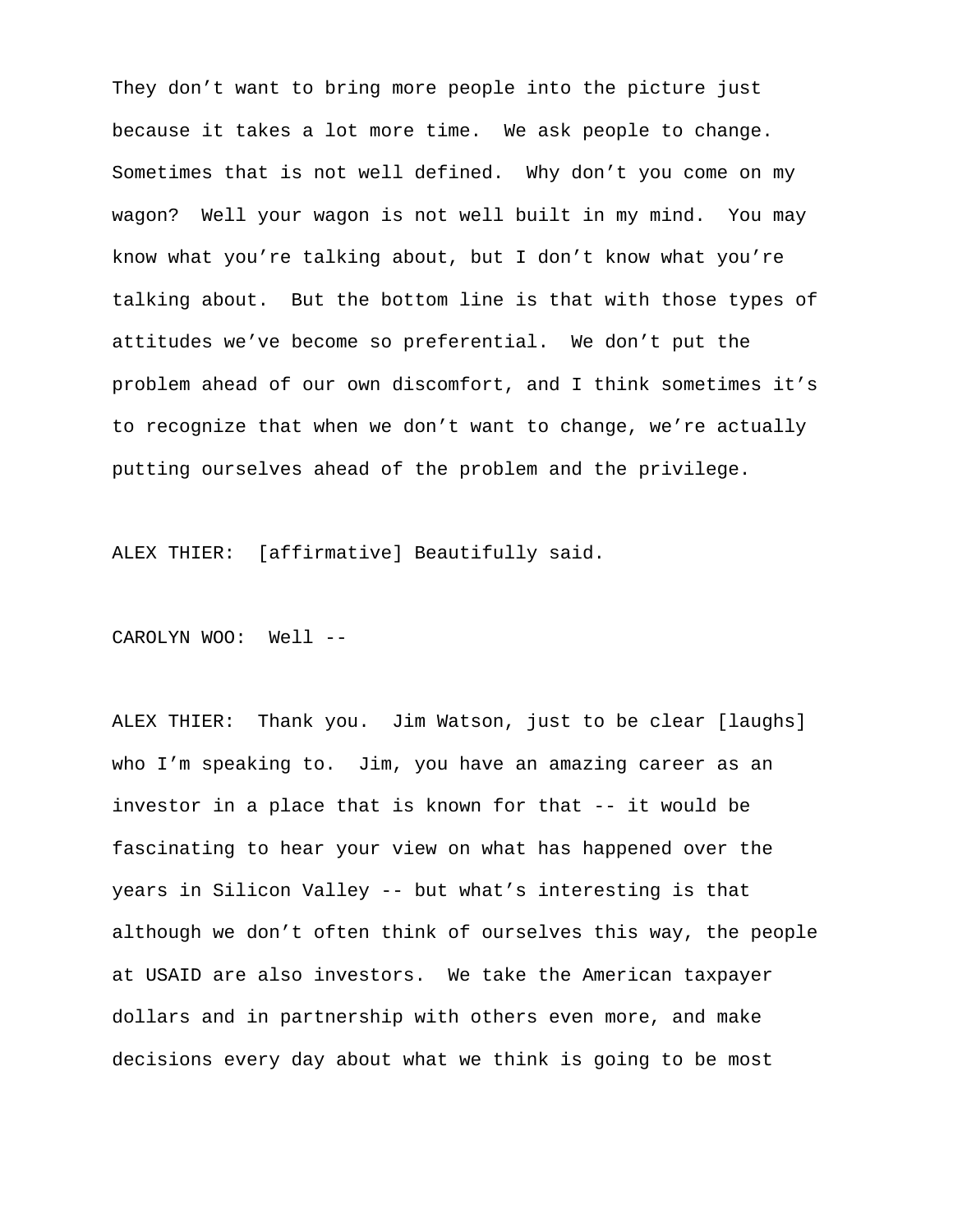They don't want to bring more people into the picture just because it takes a lot more time. We ask people to change. Sometimes that is not well defined. Why don't you come on my wagon? Well your wagon is not well built in my mind. You may know what you're talking about, but I don't know what you're talking about. But the bottom line is that with those types of attitudes we've become so preferential. We don't put the problem ahead of our own discomfort, and I think sometimes it's to recognize that when we don't want to change, we're actually putting ourselves ahead of the problem and the privilege.

ALEX THIER: [affirmative] Beautifully said.

CAROLYN WOO: Well --

ALEX THIER: Thank you. Jim Watson, just to be clear [laughs] who I'm speaking to. Jim, you have an amazing career as an investor in a place that is known for that -- it would be fascinating to hear your view on what has happened over the years in Silicon Valley -- but what's interesting is that although we don't often think of ourselves this way, the people at USAID are also investors. We take the American taxpayer dollars and in partnership with others even more, and make decisions every day about what we think is going to be most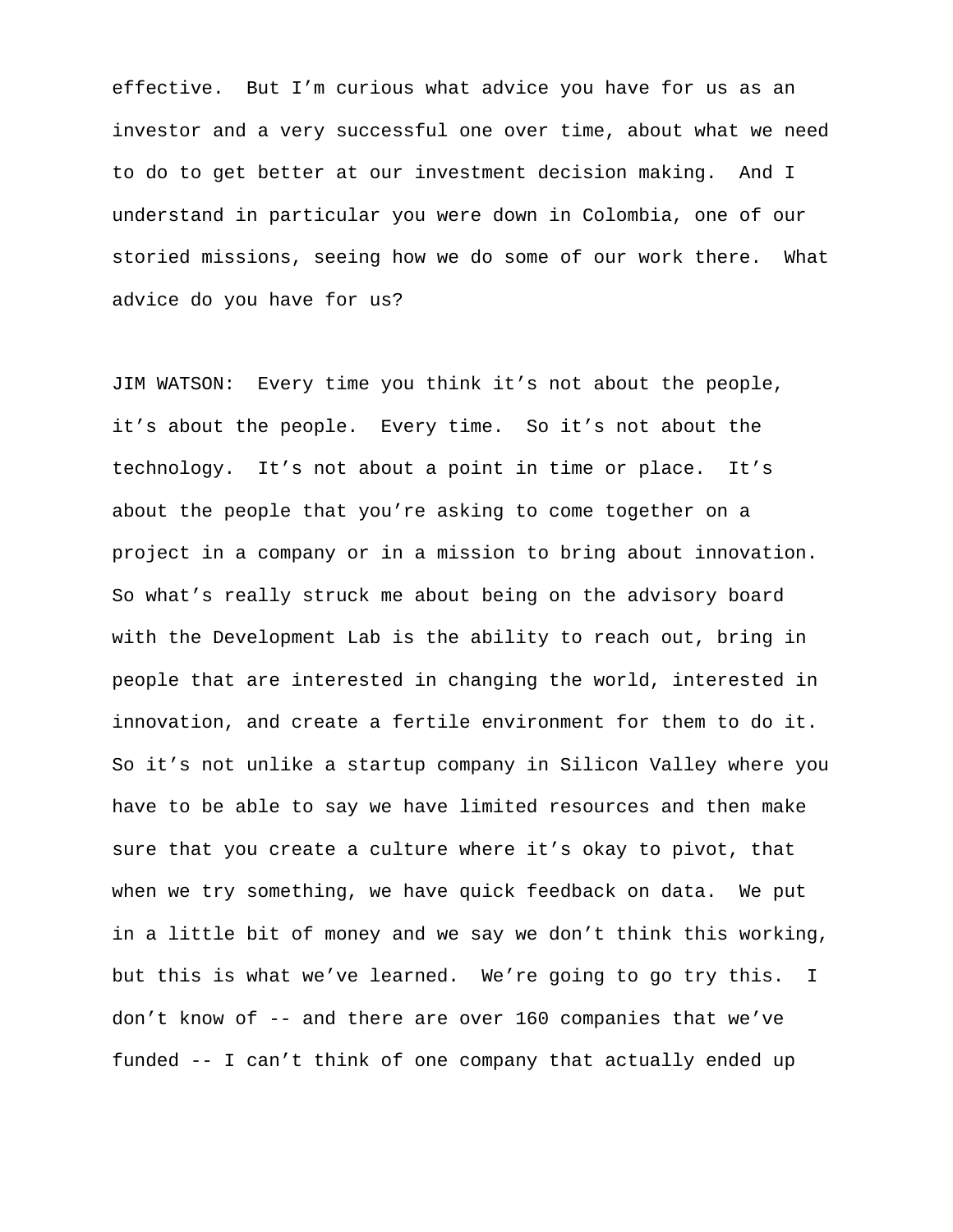effective. But I'm curious what advice you have for us as an investor and a very successful one over time, about what we need to do to get better at our investment decision making. And I understand in particular you were down in Colombia, one of our storied missions, seeing how we do some of our work there. What advice do you have for us?

JIM WATSON: Every time you think it's not about the people, it's about the people. Every time. So it's not about the technology. It's not about a point in time or place. It's about the people that you're asking to come together on a project in a company or in a mission to bring about innovation. So what's really struck me about being on the advisory board with the Development Lab is the ability to reach out, bring in people that are interested in changing the world, interested in innovation, and create a fertile environment for them to do it. So it's not unlike a startup company in Silicon Valley where you have to be able to say we have limited resources and then make sure that you create a culture where it's okay to pivot, that when we try something, we have quick feedback on data. We put in a little bit of money and we say we don't think this working, but this is what we've learned. We're going to go try this. I don't know of -- and there are over 160 companies that we've funded -- I can't think of one company that actually ended up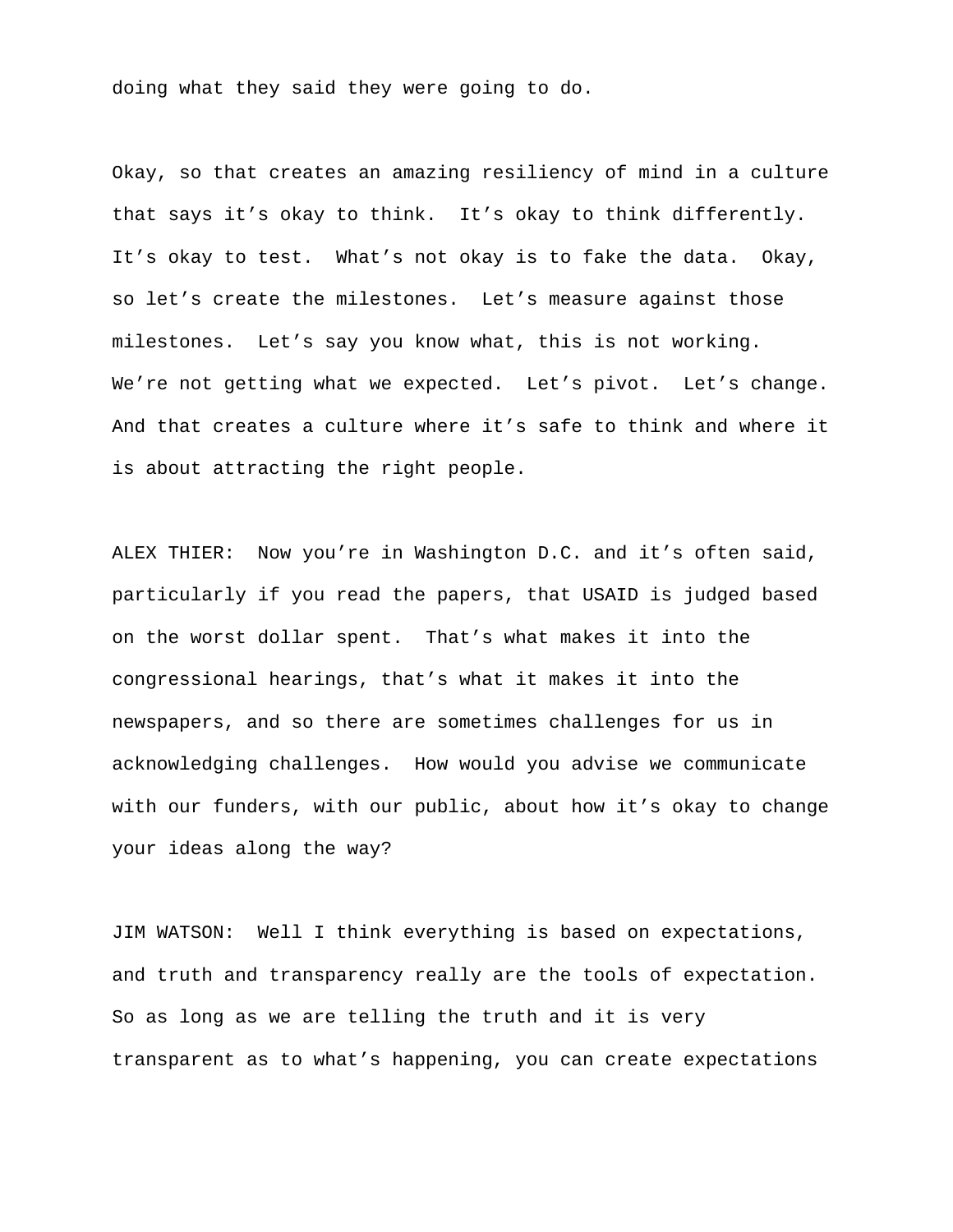doing what they said they were going to do.

Okay, so that creates an amazing resiliency of mind in a culture that says it's okay to think. It's okay to think differently. It's okay to test. What's not okay is to fake the data. Okay, so let's create the milestones. Let's measure against those milestones. Let's say you know what, this is not working. We're not getting what we expected. Let's pivot. Let's change. And that creates a culture where it's safe to think and where it is about attracting the right people.

ALEX THIER: Now you're in Washington D.C. and it's often said, particularly if you read the papers, that USAID is judged based on the worst dollar spent. That's what makes it into the congressional hearings, that's what it makes it into the newspapers, and so there are sometimes challenges for us in acknowledging challenges. How would you advise we communicate with our funders, with our public, about how it's okay to change your ideas along the way?

JIM WATSON: Well I think everything is based on expectations, and truth and transparency really are the tools of expectation. So as long as we are telling the truth and it is very transparent as to what's happening, you can create expectations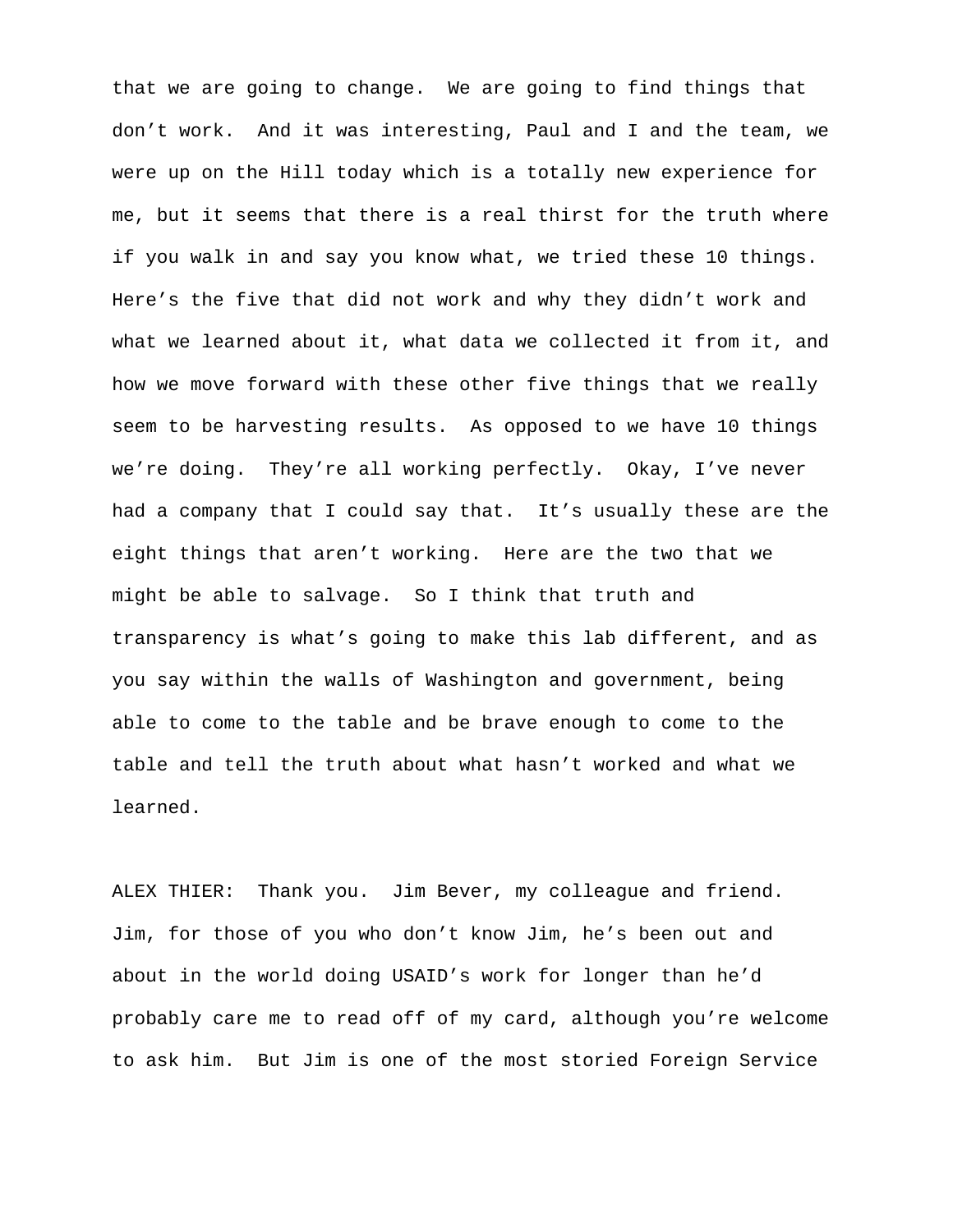that we are going to change. We are going to find things that don't work. And it was interesting, Paul and I and the team, we were up on the Hill today which is a totally new experience for me, but it seems that there is a real thirst for the truth where if you walk in and say you know what, we tried these 10 things. Here's the five that did not work and why they didn't work and what we learned about it, what data we collected it from it, and how we move forward with these other five things that we really seem to be harvesting results. As opposed to we have 10 things we're doing. They're all working perfectly. Okay, I've never had a company that I could say that. It's usually these are the eight things that aren't working. Here are the two that we might be able to salvage. So I think that truth and transparency is what's going to make this lab different, and as you say within the walls of Washington and government, being able to come to the table and be brave enough to come to the table and tell the truth about what hasn't worked and what we learned.

ALEX THIER: Thank you. Jim Bever, my colleague and friend. Jim, for those of you who don't know Jim, he's been out and about in the world doing USAID's work for longer than he'd probably care me to read off of my card, although you're welcome to ask him. But Jim is one of the most storied Foreign Service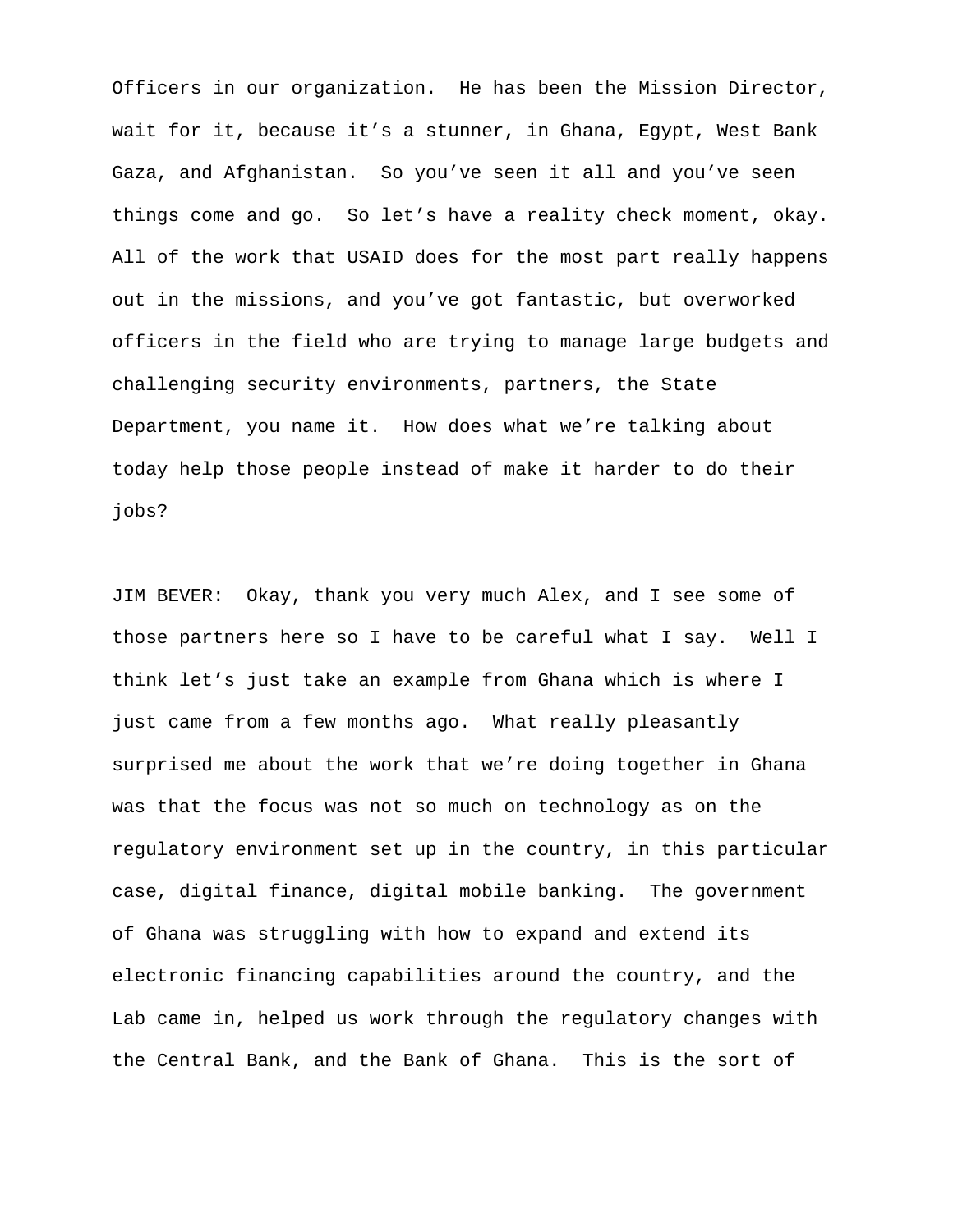Officers in our organization. He has been the Mission Director, wait for it, because it's a stunner, in Ghana, Egypt, West Bank Gaza, and Afghanistan. So you've seen it all and you've seen things come and go. So let's have a reality check moment, okay. All of the work that USAID does for the most part really happens out in the missions, and you've got fantastic, but overworked officers in the field who are trying to manage large budgets and challenging security environments, partners, the State Department, you name it. How does what we're talking about today help those people instead of make it harder to do their jobs?

JIM BEVER: Okay, thank you very much Alex, and I see some of those partners here so I have to be careful what I say. Well I think let's just take an example from Ghana which is where I just came from a few months ago. What really pleasantly surprised me about the work that we're doing together in Ghana was that the focus was not so much on technology as on the regulatory environment set up in the country, in this particular case, digital finance, digital mobile banking. The government of Ghana was struggling with how to expand and extend its electronic financing capabilities around the country, and the Lab came in, helped us work through the regulatory changes with the Central Bank, and the Bank of Ghana. This is the sort of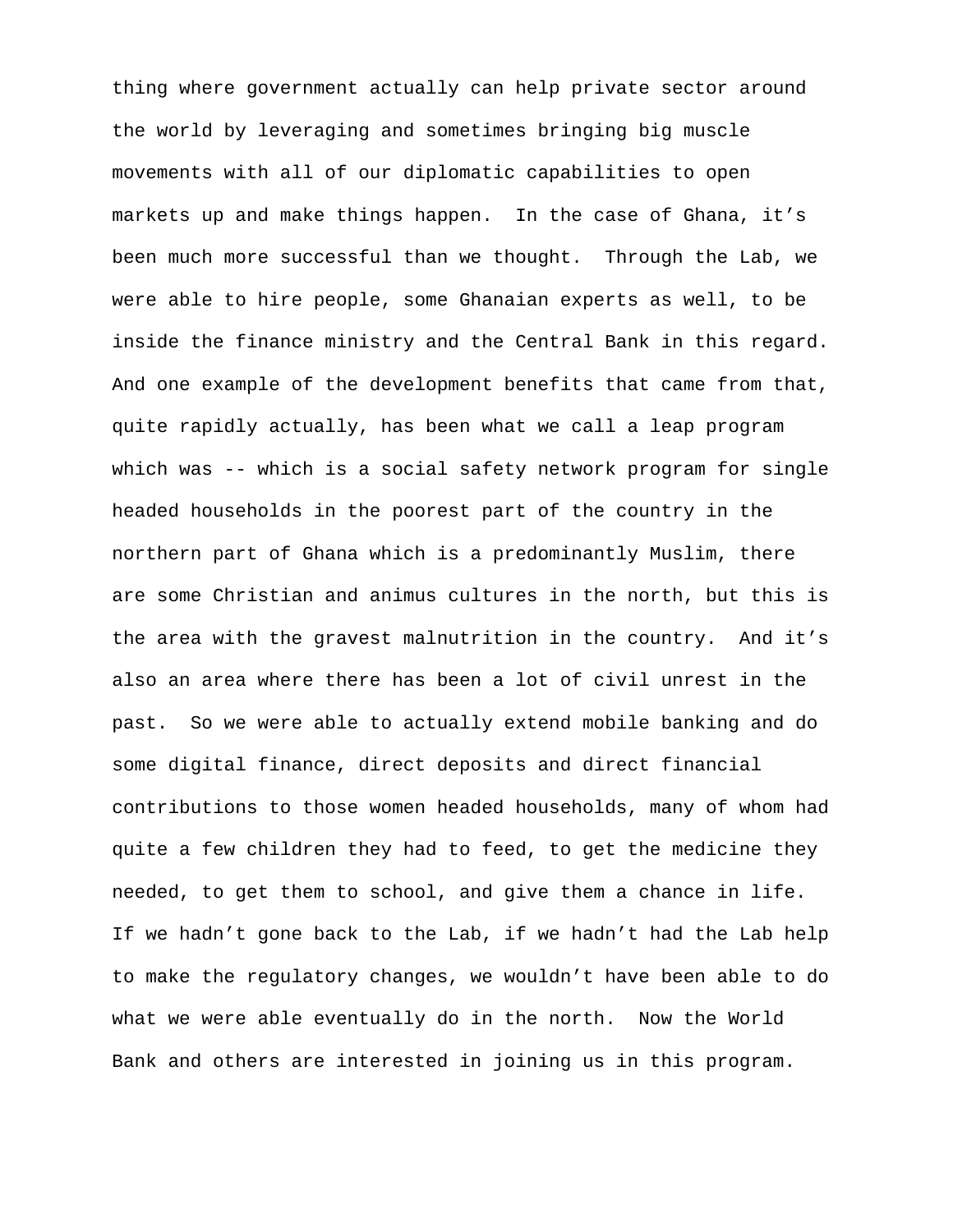thing where government actually can help private sector around the world by leveraging and sometimes bringing big muscle movements with all of our diplomatic capabilities to open markets up and make things happen. In the case of Ghana, it's been much more successful than we thought. Through the Lab, we were able to hire people, some Ghanaian experts as well, to be inside the finance ministry and the Central Bank in this regard. And one example of the development benefits that came from that, quite rapidly actually, has been what we call a leap program which was -- which is a social safety network program for single headed households in the poorest part of the country in the northern part of Ghana which is a predominantly Muslim, there are some Christian and animus cultures in the north, but this is the area with the gravest malnutrition in the country. And it's also an area where there has been a lot of civil unrest in the past. So we were able to actually extend mobile banking and do some digital finance, direct deposits and direct financial contributions to those women headed households, many of whom had quite a few children they had to feed, to get the medicine they needed, to get them to school, and give them a chance in life. If we hadn't gone back to the Lab, if we hadn't had the Lab help to make the regulatory changes, we wouldn't have been able to do what we were able eventually do in the north. Now the World Bank and others are interested in joining us in this program.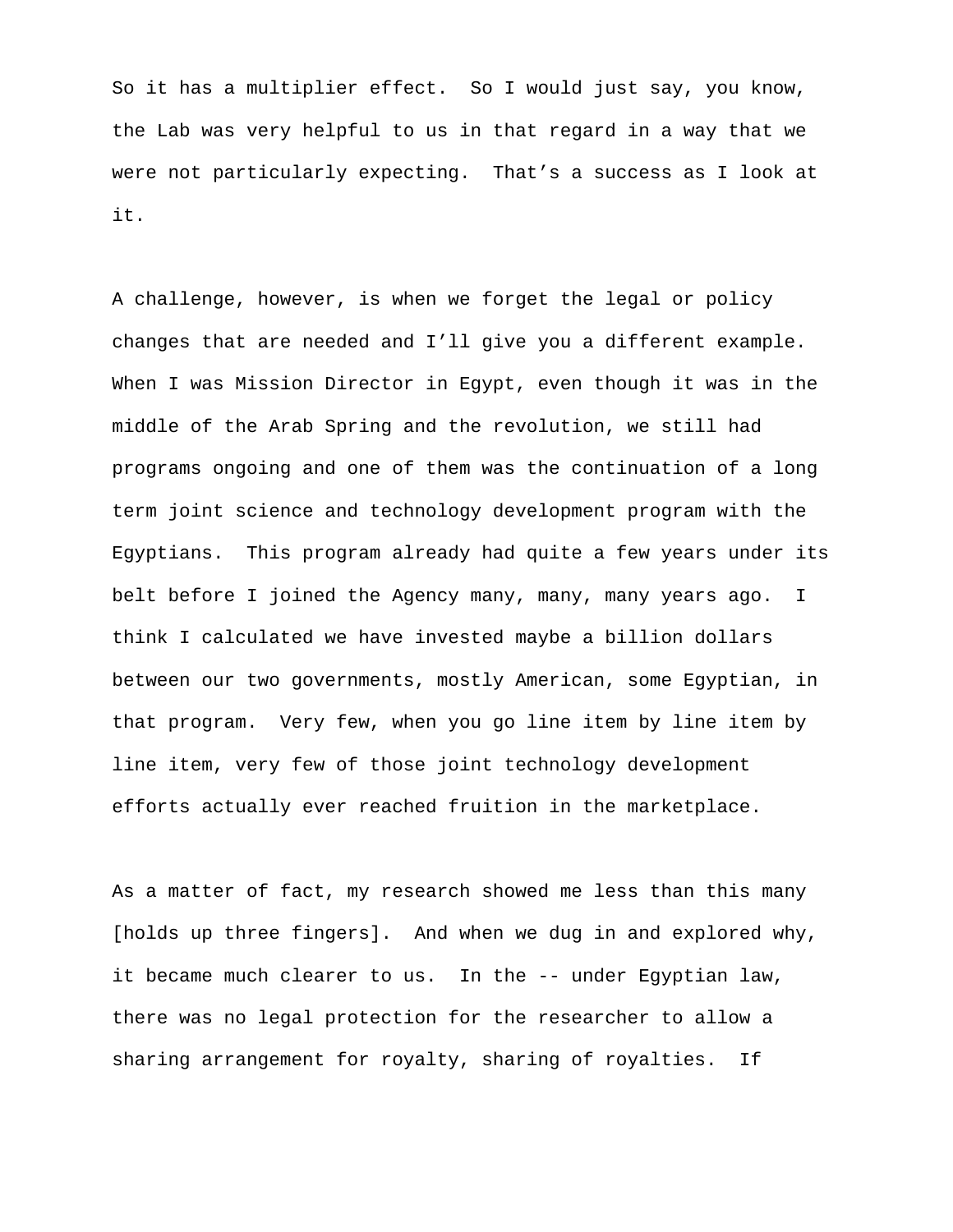So it has a multiplier effect. So I would just say, you know, the Lab was very helpful to us in that regard in a way that we were not particularly expecting. That's a success as I look at it.

A challenge, however, is when we forget the legal or policy changes that are needed and I'll give you a different example. When I was Mission Director in Egypt, even though it was in the middle of the Arab Spring and the revolution, we still had programs ongoing and one of them was the continuation of a long term joint science and technology development program with the Egyptians. This program already had quite a few years under its belt before I joined the Agency many, many, many years ago. I think I calculated we have invested maybe a billion dollars between our two governments, mostly American, some Egyptian, in that program. Very few, when you go line item by line item by line item, very few of those joint technology development efforts actually ever reached fruition in the marketplace.

As a matter of fact, my research showed me less than this many [holds up three fingers]. And when we dug in and explored why, it became much clearer to us. In the -- under Egyptian law, there was no legal protection for the researcher to allow a sharing arrangement for royalty, sharing of royalties. If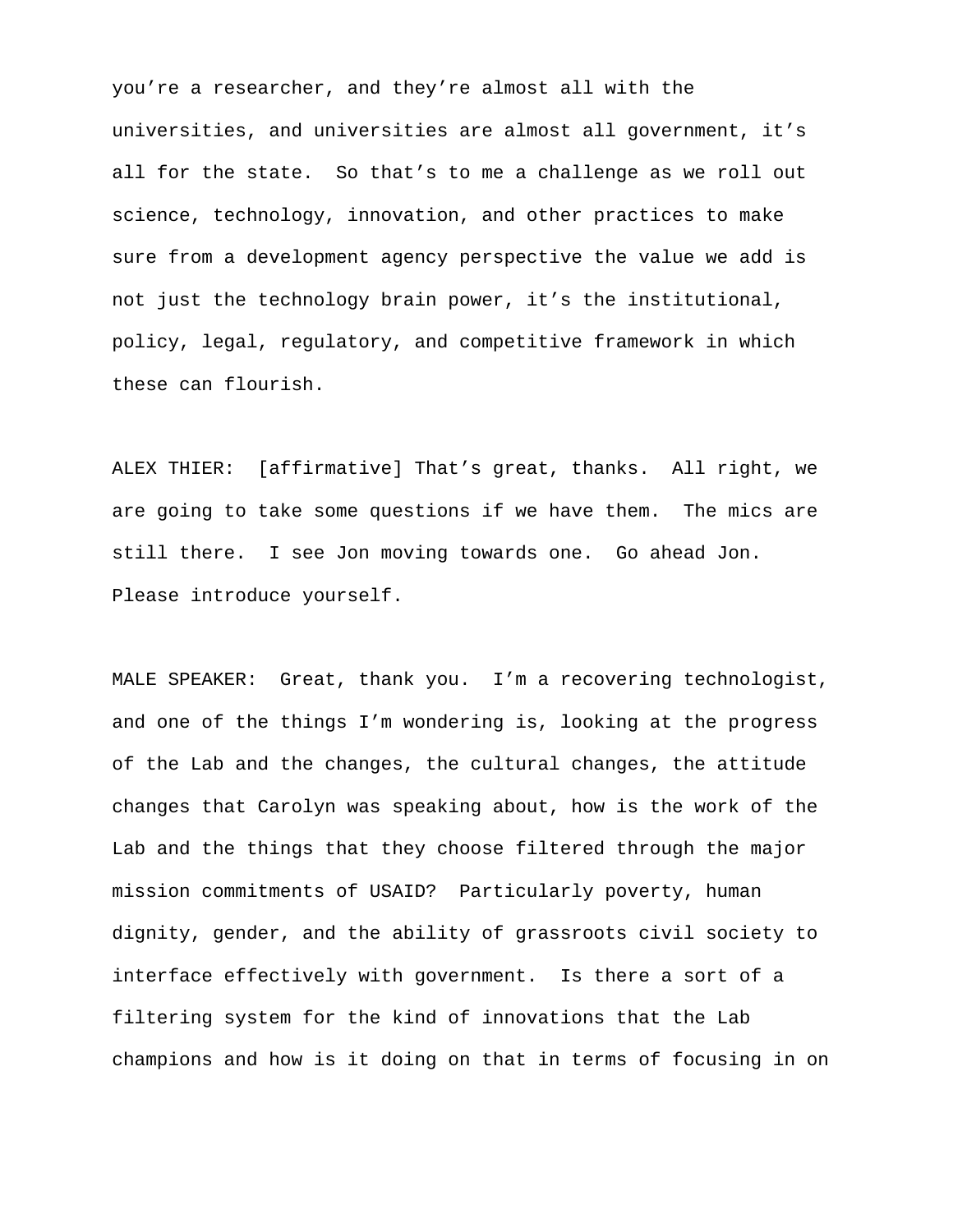you're a researcher, and they're almost all with the universities, and universities are almost all government, it's all for the state. So that's to me a challenge as we roll out science, technology, innovation, and other practices to make sure from a development agency perspective the value we add is not just the technology brain power, it's the institutional, policy, legal, regulatory, and competitive framework in which these can flourish.

ALEX THIER: [affirmative] That's great, thanks. All right, we are going to take some questions if we have them. The mics are still there. I see Jon moving towards one. Go ahead Jon. Please introduce yourself.

MALE SPEAKER: Great, thank you. I'm a recovering technologist, and one of the things I'm wondering is, looking at the progress of the Lab and the changes, the cultural changes, the attitude changes that Carolyn was speaking about, how is the work of the Lab and the things that they choose filtered through the major mission commitments of USAID? Particularly poverty, human dignity, gender, and the ability of grassroots civil society to interface effectively with government. Is there a sort of a filtering system for the kind of innovations that the Lab champions and how is it doing on that in terms of focusing in on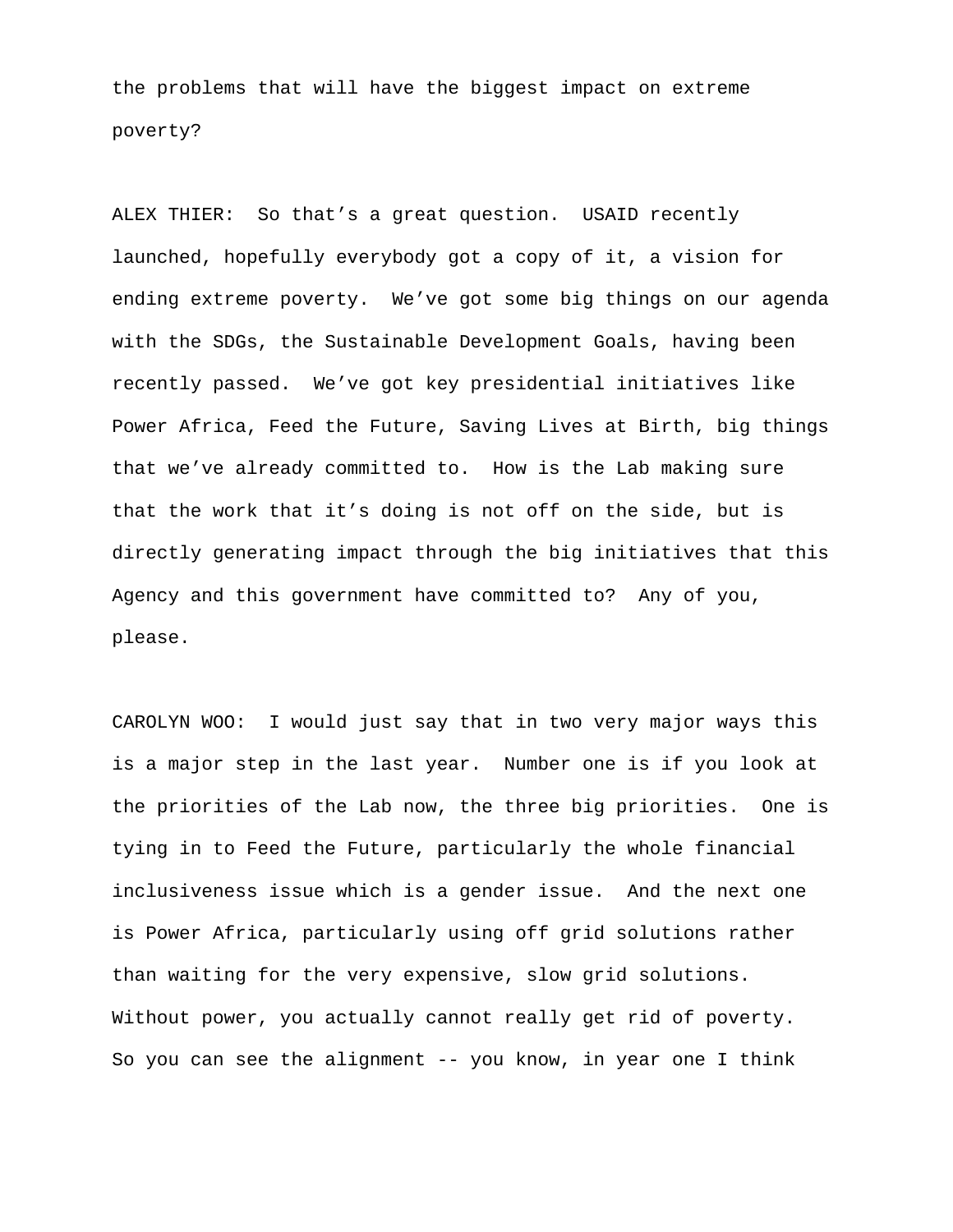the problems that will have the biggest impact on extreme poverty?

ALEX THIER: So that's a great question. USAID recently launched, hopefully everybody got a copy of it, a vision for ending extreme poverty. We've got some big things on our agenda with the SDGs, the Sustainable Development Goals, having been recently passed. We've got key presidential initiatives like Power Africa, Feed the Future, Saving Lives at Birth, big things that we've already committed to. How is the Lab making sure that the work that it's doing is not off on the side, but is directly generating impact through the big initiatives that this Agency and this government have committed to? Any of you, please.

CAROLYN WOO: I would just say that in two very major ways this is a major step in the last year. Number one is if you look at the priorities of the Lab now, the three big priorities. One is tying in to Feed the Future, particularly the whole financial inclusiveness issue which is a gender issue. And the next one is Power Africa, particularly using off grid solutions rather than waiting for the very expensive, slow grid solutions. Without power, you actually cannot really get rid of poverty. So you can see the alignment -- you know, in year one I think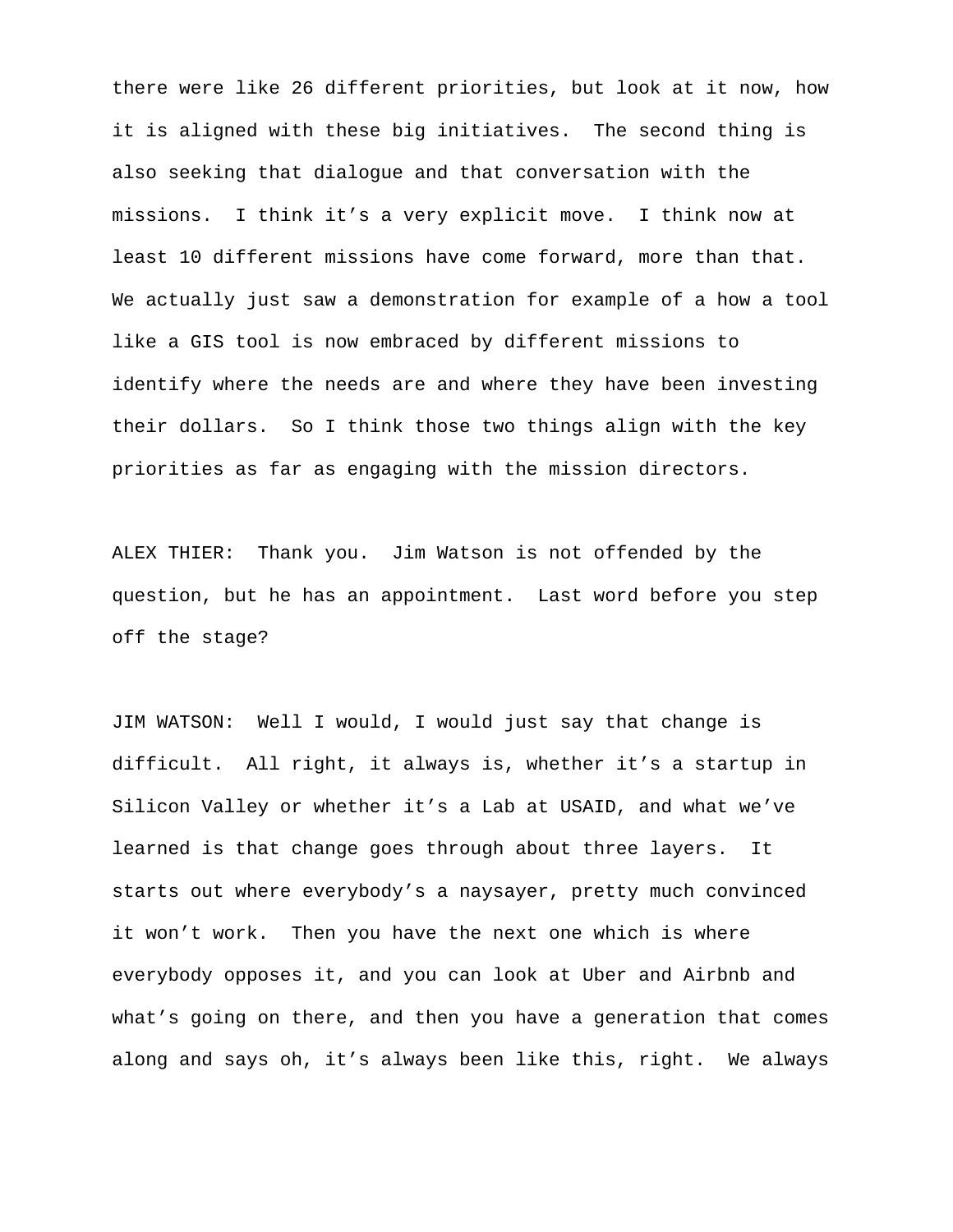there were like 26 different priorities, but look at it now, how it is aligned with these big initiatives. The second thing is also seeking that dialogue and that conversation with the missions. I think it's a very explicit move. I think now at least 10 different missions have come forward, more than that. We actually just saw a demonstration for example of a how a tool like a GIS tool is now embraced by different missions to identify where the needs are and where they have been investing their dollars. So I think those two things align with the key priorities as far as engaging with the mission directors.

ALEX THIER: Thank you. Jim Watson is not offended by the question, but he has an appointment. Last word before you step off the stage?

JIM WATSON: Well I would, I would just say that change is difficult. All right, it always is, whether it's a startup in Silicon Valley or whether it's a Lab at USAID, and what we've learned is that change goes through about three layers. It starts out where everybody's a naysayer, pretty much convinced it won't work. Then you have the next one which is where everybody opposes it, and you can look at Uber and Airbnb and what's going on there, and then you have a generation that comes along and says oh, it's always been like this, right. We always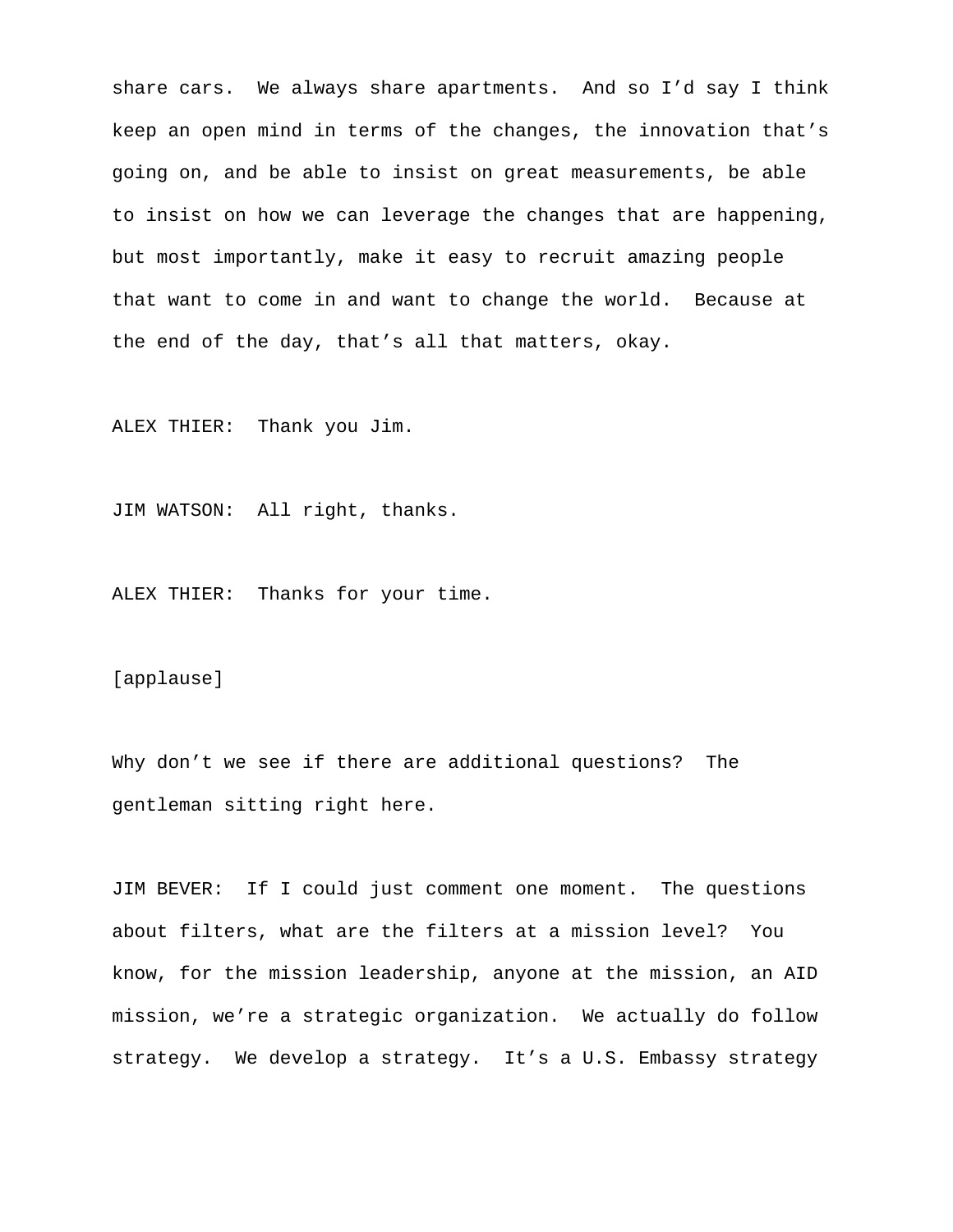share cars. We always share apartments. And so I'd say I think keep an open mind in terms of the changes, the innovation that's going on, and be able to insist on great measurements, be able to insist on how we can leverage the changes that are happening, but most importantly, make it easy to recruit amazing people that want to come in and want to change the world. Because at the end of the day, that's all that matters, okay.

ALEX THIER: Thank you Jim.

JIM WATSON: All right, thanks.

ALEX THIER: Thanks for your time.

[applause]

Why don't we see if there are additional questions? The gentleman sitting right here.

JIM BEVER: If I could just comment one moment. The questions about filters, what are the filters at a mission level? You know, for the mission leadership, anyone at the mission, an AID mission, we're a strategic organization. We actually do follow strategy. We develop a strategy. It's a U.S. Embassy strategy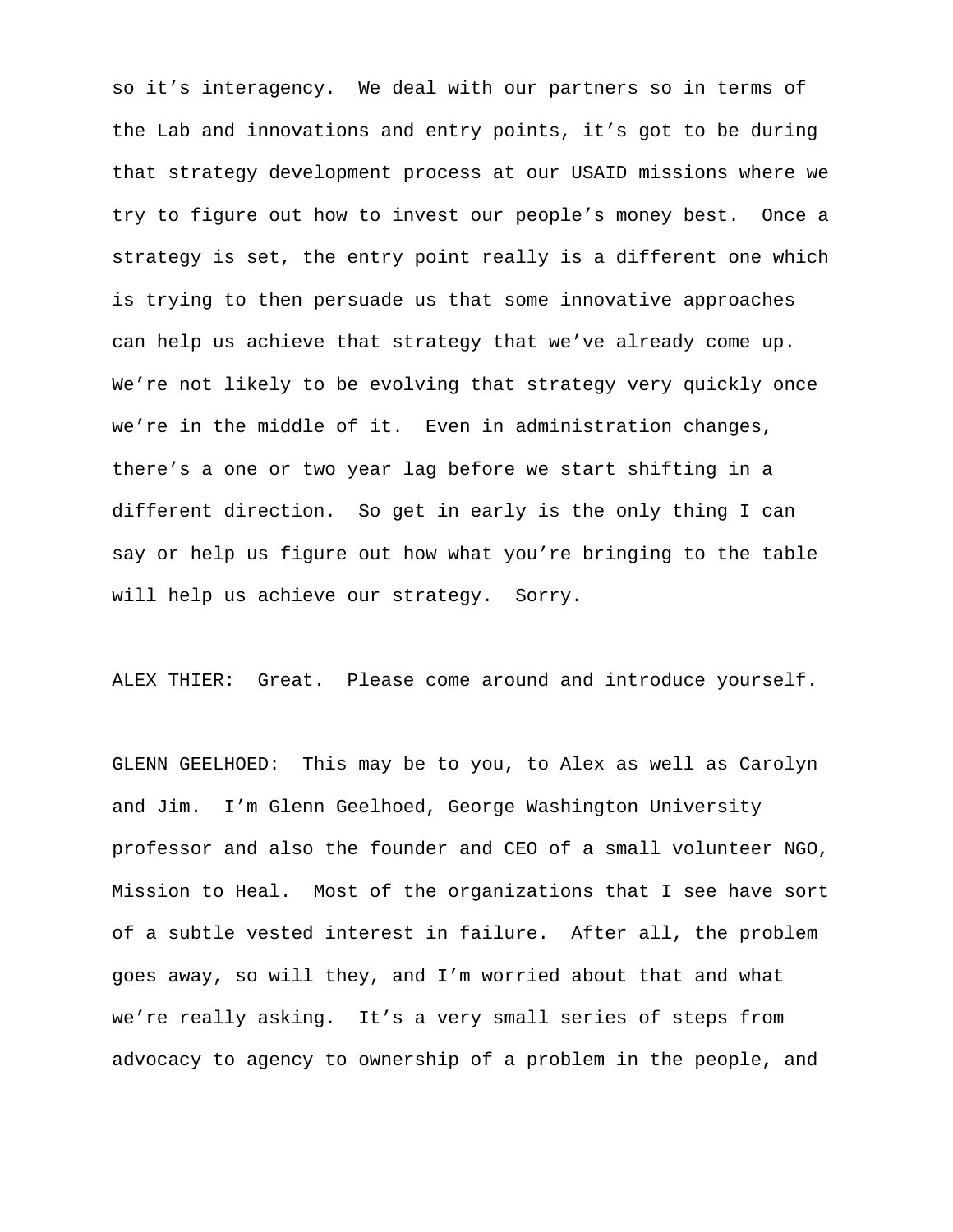so it's interagency. We deal with our partners so in terms of the Lab and innovations and entry points, it's got to be during that strategy development process at our USAID missions where we try to figure out how to invest our people's money best. Once a strategy is set, the entry point really is a different one which is trying to then persuade us that some innovative approaches can help us achieve that strategy that we've already come up. We're not likely to be evolving that strategy very quickly once we're in the middle of it. Even in administration changes, there's a one or two year lag before we start shifting in a different direction. So get in early is the only thing I can say or help us figure out how what you're bringing to the table will help us achieve our strategy. Sorry.

ALEX THIER: Great. Please come around and introduce yourself.

GLENN GEELHOED: This may be to you, to Alex as well as Carolyn and Jim. I'm Glenn Geelhoed, George Washington University professor and also the founder and CEO of a small volunteer NGO, Mission to Heal. Most of the organizations that I see have sort of a subtle vested interest in failure. After all, the problem goes away, so will they, and I'm worried about that and what we're really asking. It's a very small series of steps from advocacy to agency to ownership of a problem in the people, and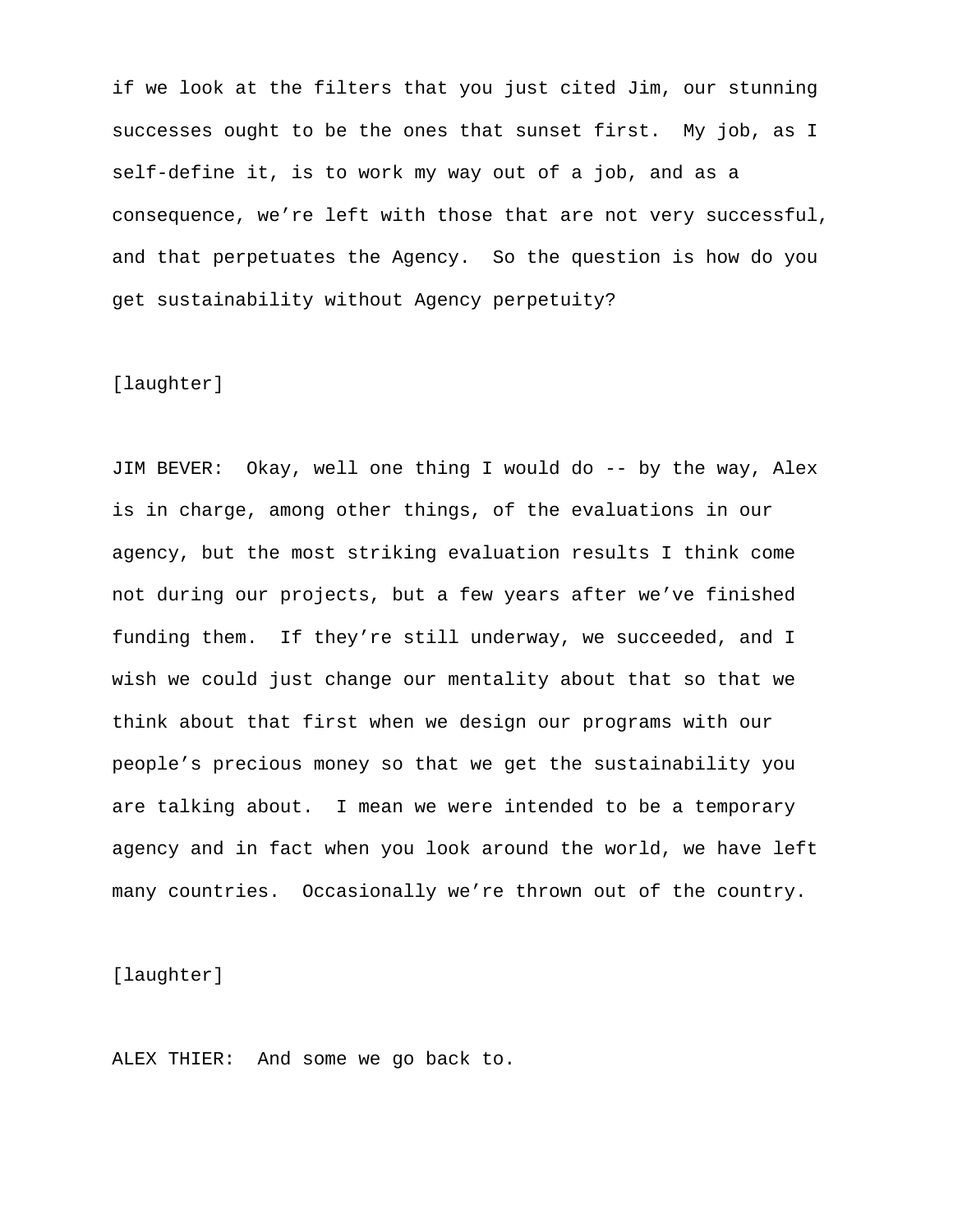if we look at the filters that you just cited Jim, our stunning successes ought to be the ones that sunset first. My job, as I self-define it, is to work my way out of a job, and as a consequence, we're left with those that are not very successful, and that perpetuates the Agency. So the question is how do you get sustainability without Agency perpetuity?

### [laughter]

JIM BEVER: Okay, well one thing I would do -- by the way, Alex is in charge, among other things, of the evaluations in our agency, but the most striking evaluation results I think come not during our projects, but a few years after we've finished funding them. If they're still underway, we succeeded, and I wish we could just change our mentality about that so that we think about that first when we design our programs with our people's precious money so that we get the sustainability you are talking about. I mean we were intended to be a temporary agency and in fact when you look around the world, we have left many countries. Occasionally we're thrown out of the country.

[laughter]

ALEX THIER: And some we go back to.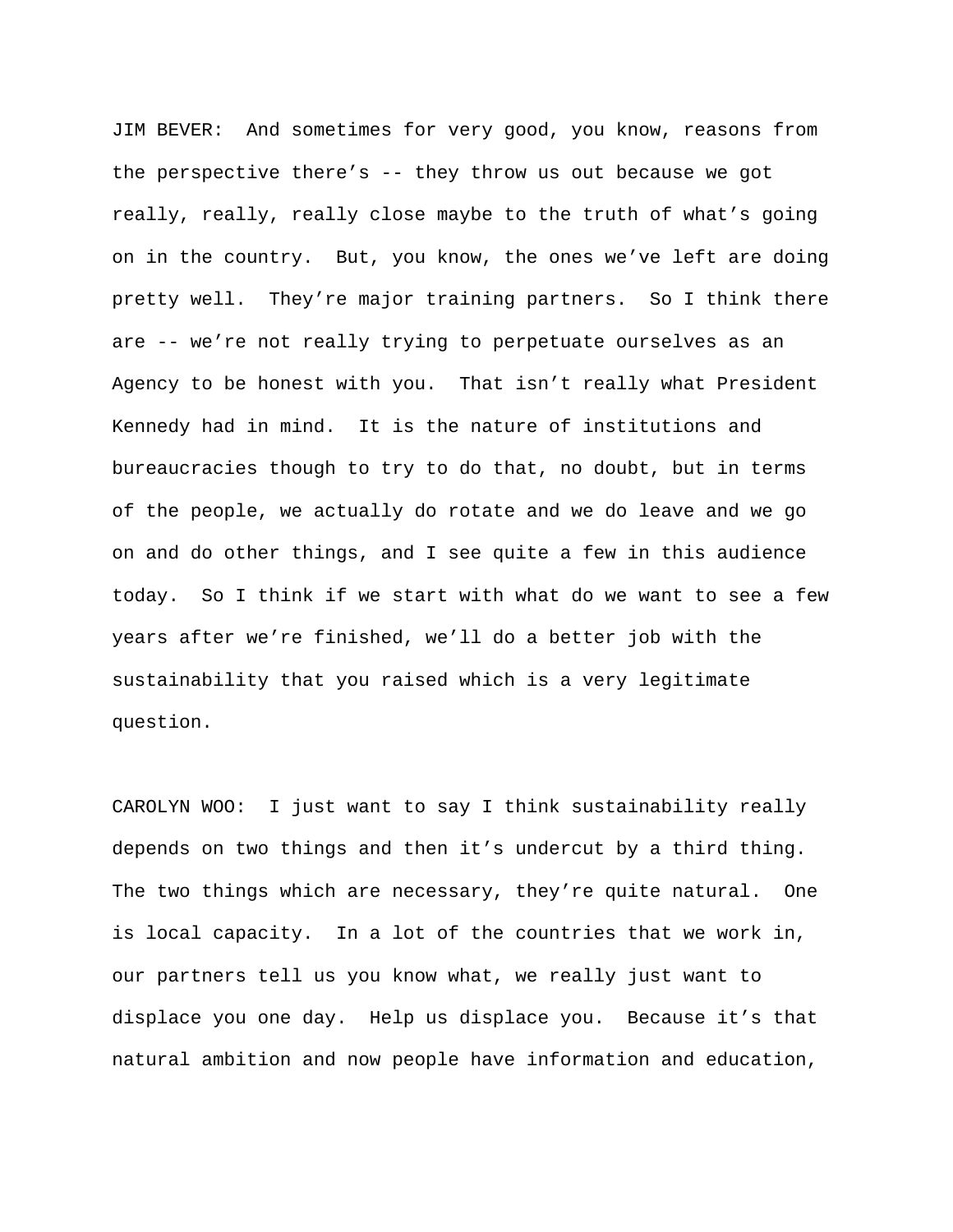JIM BEVER: And sometimes for very good, you know, reasons from the perspective there's  $-$ - they throw us out because we got really, really, really close maybe to the truth of what's going on in the country. But, you know, the ones we've left are doing pretty well. They're major training partners. So I think there are -- we're not really trying to perpetuate ourselves as an Agency to be honest with you. That isn't really what President Kennedy had in mind. It is the nature of institutions and bureaucracies though to try to do that, no doubt, but in terms of the people, we actually do rotate and we do leave and we go on and do other things, and I see quite a few in this audience today. So I think if we start with what do we want to see a few years after we're finished, we'll do a better job with the sustainability that you raised which is a very legitimate question.

CAROLYN WOO: I just want to say I think sustainability really depends on two things and then it's undercut by a third thing. The two things which are necessary, they're quite natural. One is local capacity. In a lot of the countries that we work in, our partners tell us you know what, we really just want to displace you one day. Help us displace you. Because it's that natural ambition and now people have information and education,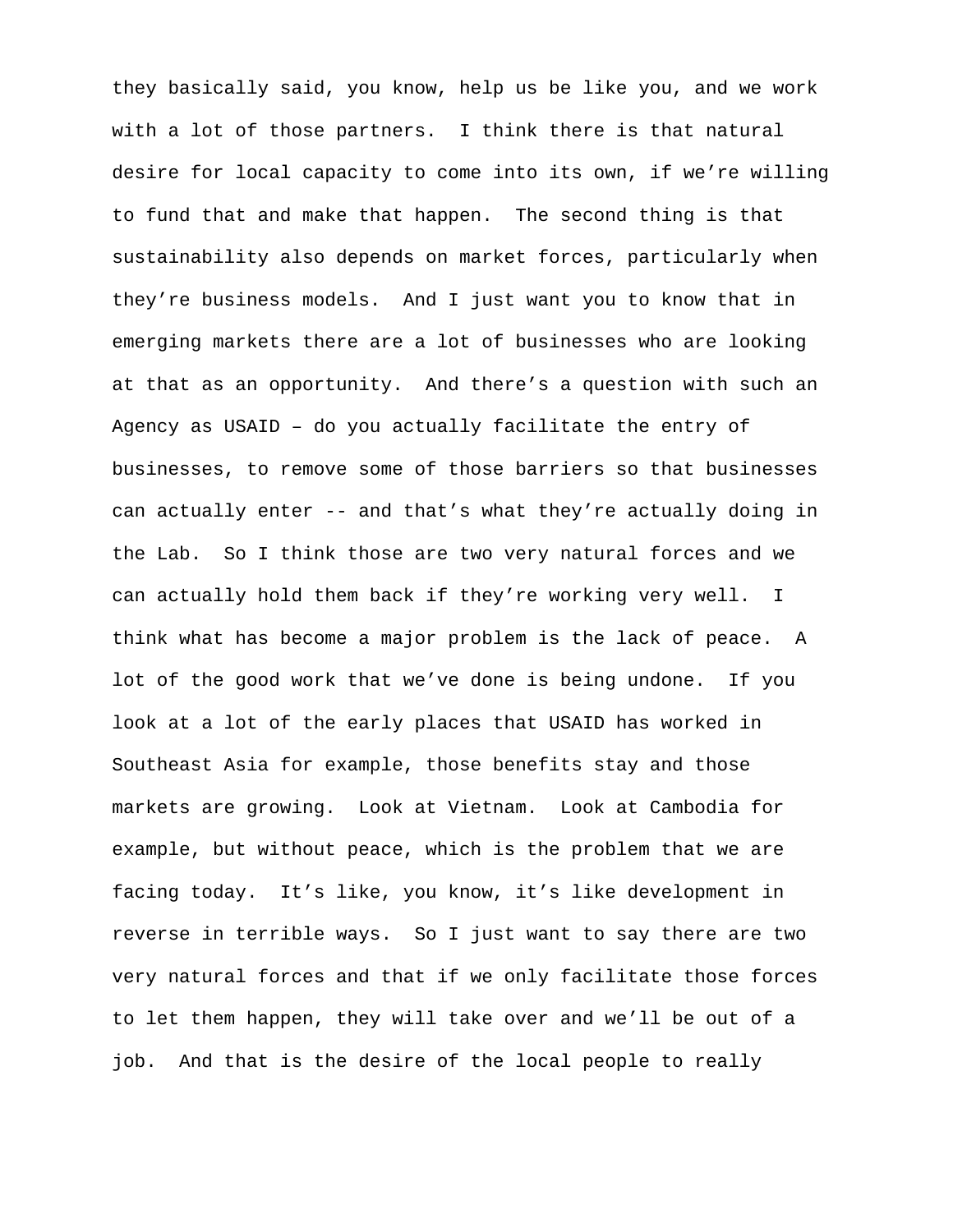they basically said, you know, help us be like you, and we work with a lot of those partners. I think there is that natural desire for local capacity to come into its own, if we're willing to fund that and make that happen. The second thing is that sustainability also depends on market forces, particularly when they're business models. And I just want you to know that in emerging markets there are a lot of businesses who are looking at that as an opportunity. And there's a question with such an Agency as USAID – do you actually facilitate the entry of businesses, to remove some of those barriers so that businesses can actually enter -- and that's what they're actually doing in the Lab. So I think those are two very natural forces and we can actually hold them back if they're working very well. I think what has become a major problem is the lack of peace. A lot of the good work that we've done is being undone. If you look at a lot of the early places that USAID has worked in Southeast Asia for example, those benefits stay and those markets are growing. Look at Vietnam. Look at Cambodia for example, but without peace, which is the problem that we are facing today. It's like, you know, it's like development in reverse in terrible ways. So I just want to say there are two very natural forces and that if we only facilitate those forces to let them happen, they will take over and we'll be out of a job. And that is the desire of the local people to really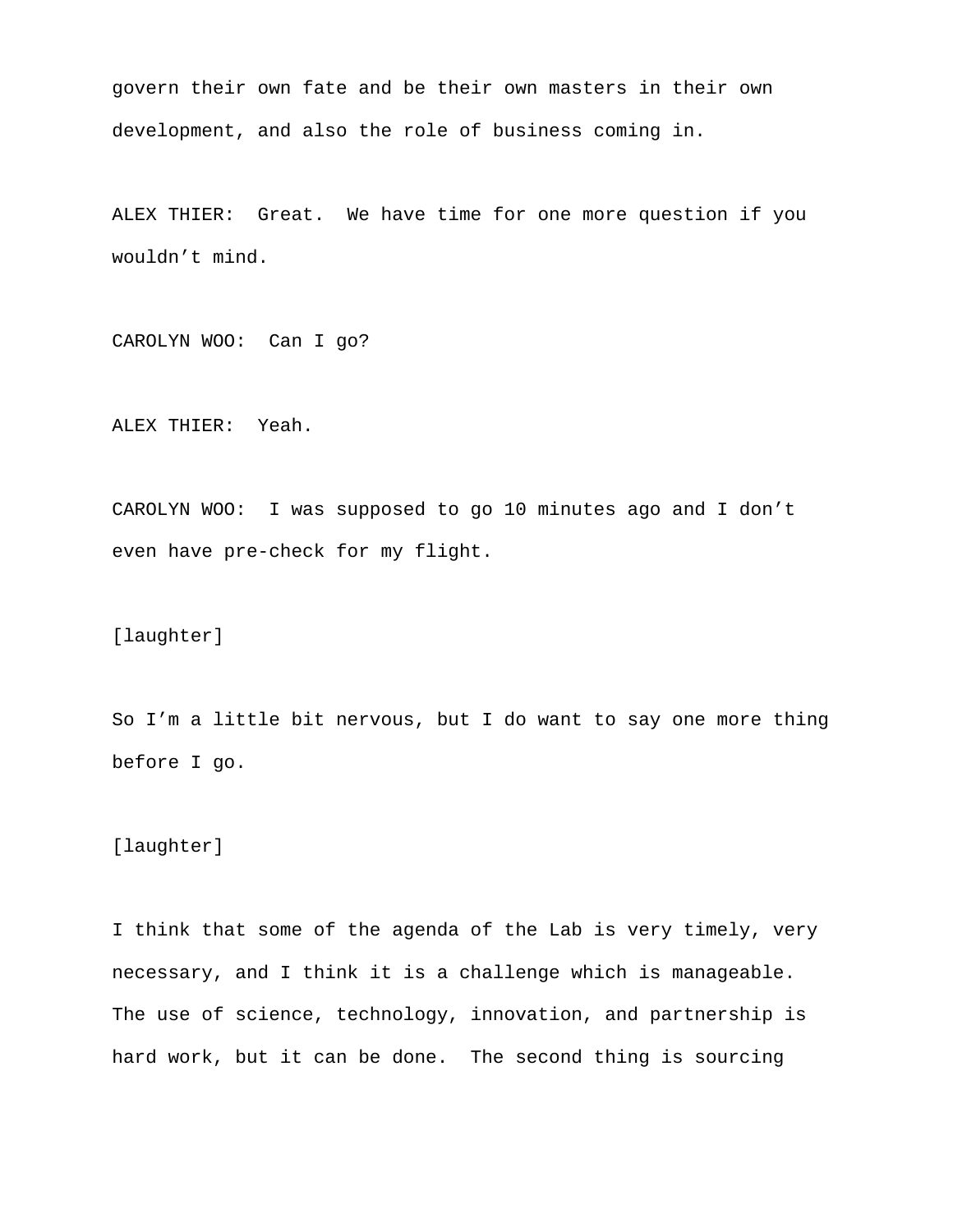govern their own fate and be their own masters in their own development, and also the role of business coming in.

ALEX THIER: Great. We have time for one more question if you wouldn't mind.

CAROLYN WOO: Can I go?

ALEX THIER: Yeah.

CAROLYN WOO: I was supposed to go 10 minutes ago and I don't even have pre-check for my flight.

[laughter]

So I'm a little bit nervous, but I do want to say one more thing before I go.

[laughter]

I think that some of the agenda of the Lab is very timely, very necessary, and I think it is a challenge which is manageable. The use of science, technology, innovation, and partnership is hard work, but it can be done. The second thing is sourcing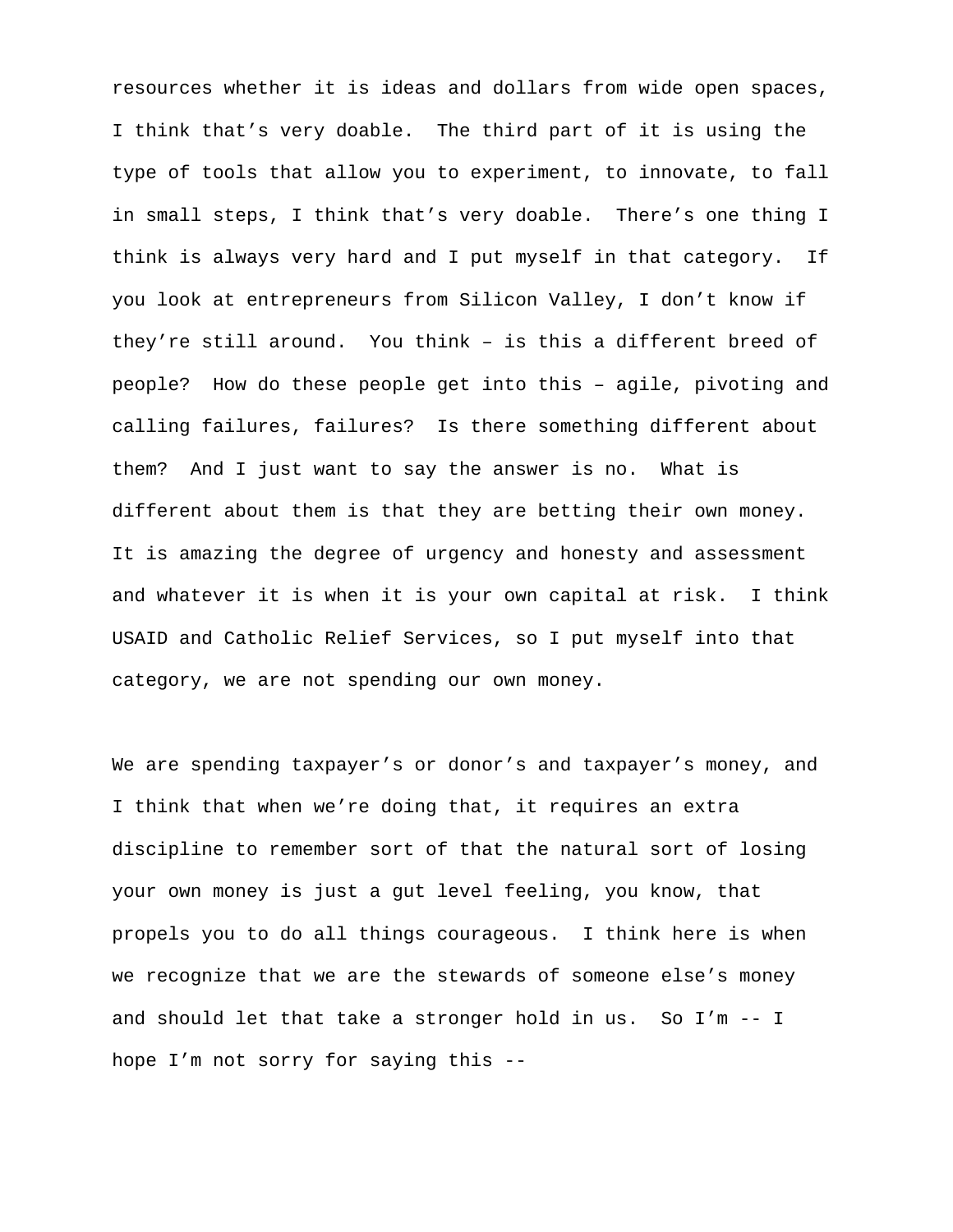resources whether it is ideas and dollars from wide open spaces, I think that's very doable. The third part of it is using the type of tools that allow you to experiment, to innovate, to fall in small steps, I think that's very doable. There's one thing I think is always very hard and I put myself in that category. If you look at entrepreneurs from Silicon Valley, I don't know if they're still around. You think – is this a different breed of people? How do these people get into this – agile, pivoting and calling failures, failures? Is there something different about them? And I just want to say the answer is no. What is different about them is that they are betting their own money. It is amazing the degree of urgency and honesty and assessment and whatever it is when it is your own capital at risk. I think USAID and Catholic Relief Services, so I put myself into that category, we are not spending our own money.

We are spending taxpayer's or donor's and taxpayer's money, and I think that when we're doing that, it requires an extra discipline to remember sort of that the natural sort of losing your own money is just a gut level feeling, you know, that propels you to do all things courageous. I think here is when we recognize that we are the stewards of someone else's money and should let that take a stronger hold in us. So I'm -- I hope I'm not sorry for saying this --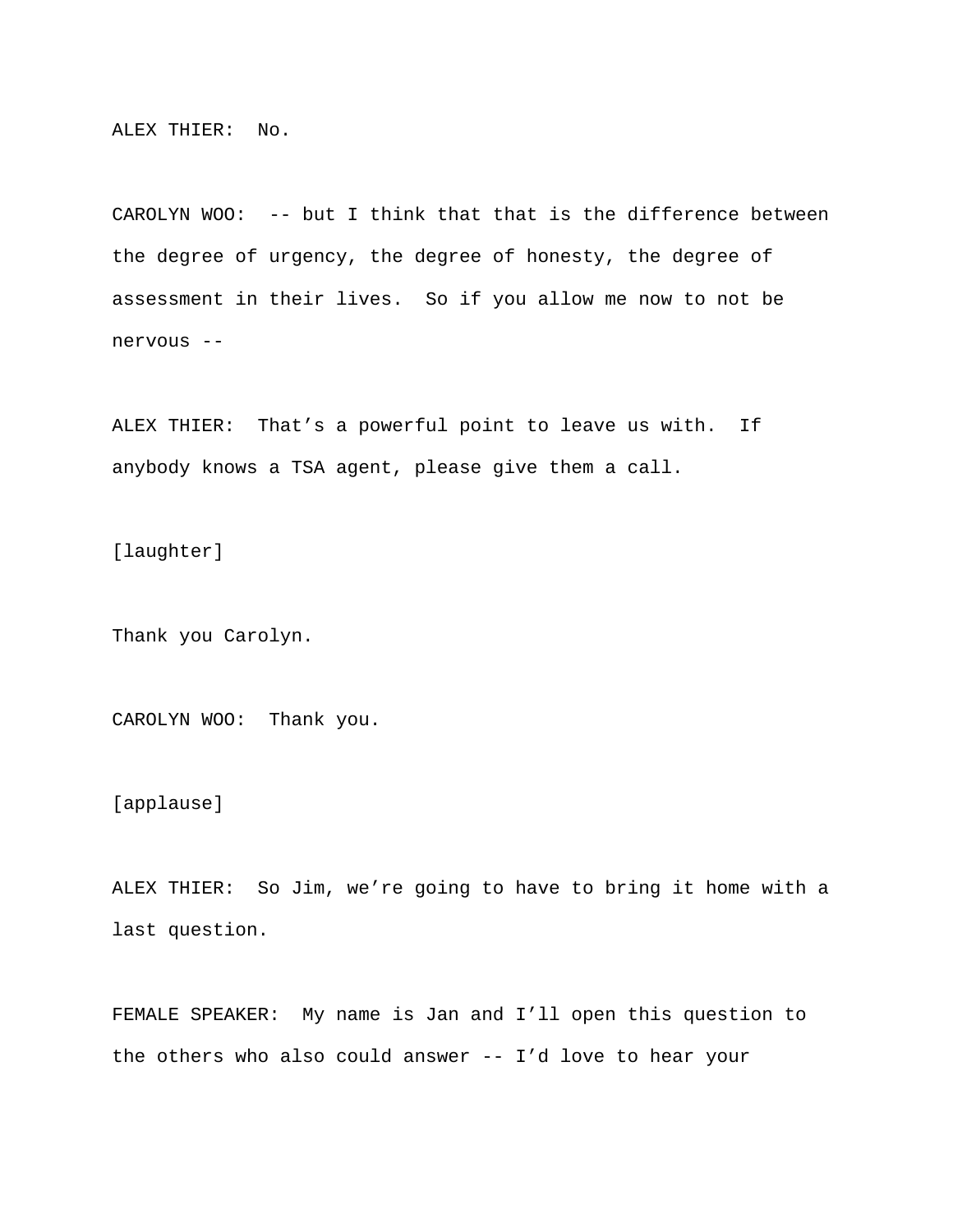ALEX THIER: No.

CAROLYN WOO: -- but I think that that is the difference between the degree of urgency, the degree of honesty, the degree of assessment in their lives. So if you allow me now to not be nervous --

ALEX THIER: That's a powerful point to leave us with. If anybody knows a TSA agent, please give them a call.

[laughter]

Thank you Carolyn.

CAROLYN WOO: Thank you.

[applause]

ALEX THIER: So Jim, we're going to have to bring it home with a last question.

FEMALE SPEAKER: My name is Jan and I'll open this question to the others who also could answer -- I'd love to hear your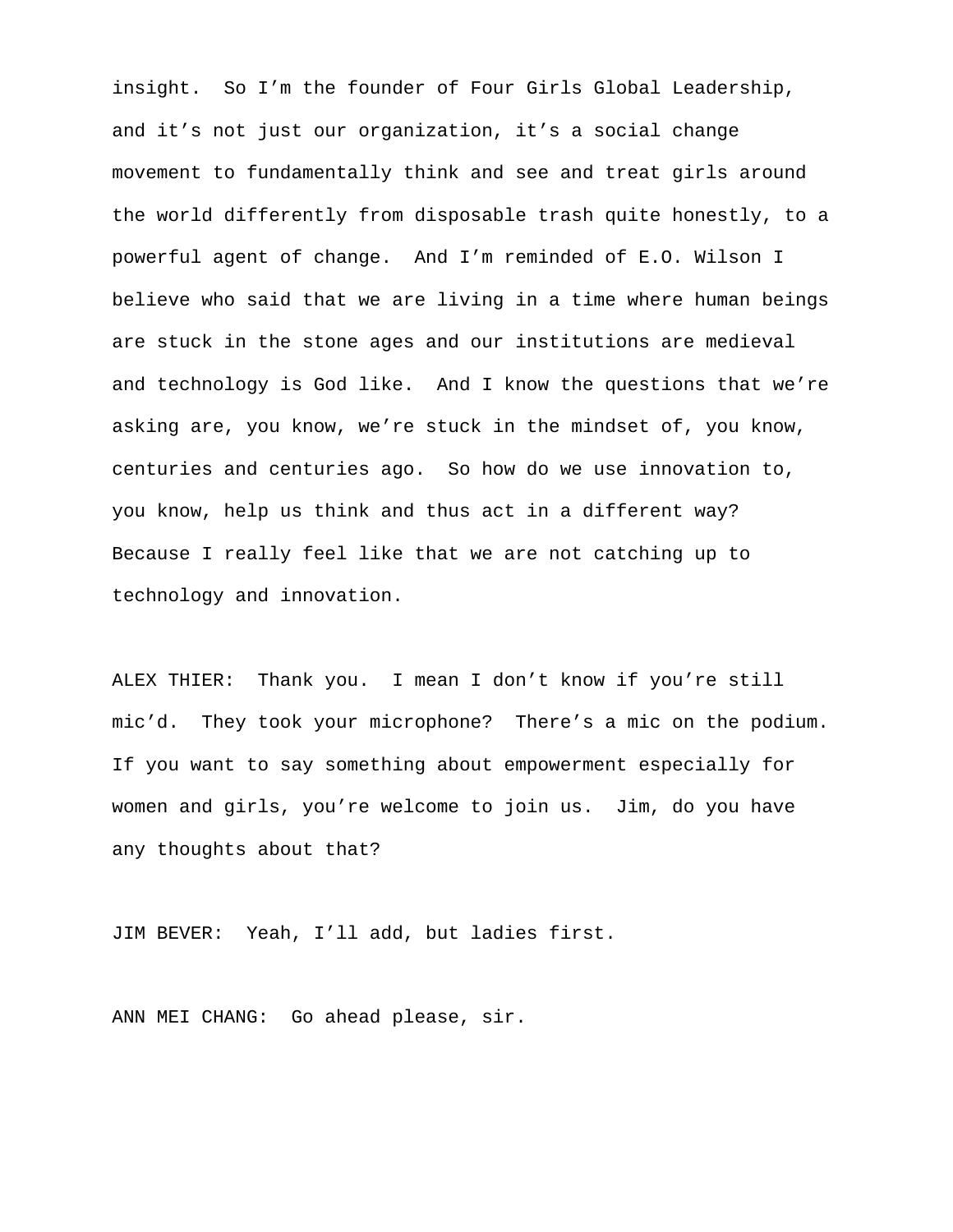insight. So I'm the founder of Four Girls Global Leadership, and it's not just our organization, it's a social change movement to fundamentally think and see and treat girls around the world differently from disposable trash quite honestly, to a powerful agent of change. And I'm reminded of E.O. Wilson I believe who said that we are living in a time where human beings are stuck in the stone ages and our institutions are medieval and technology is God like. And I know the questions that we're asking are, you know, we're stuck in the mindset of, you know, centuries and centuries ago. So how do we use innovation to, you know, help us think and thus act in a different way? Because I really feel like that we are not catching up to technology and innovation.

ALEX THIER: Thank you. I mean I don't know if you're still mic'd. They took your microphone? There's a mic on the podium. If you want to say something about empowerment especially for women and girls, you're welcome to join us. Jim, do you have any thoughts about that?

JIM BEVER: Yeah, I'll add, but ladies first.

ANN MEI CHANG: Go ahead please, sir.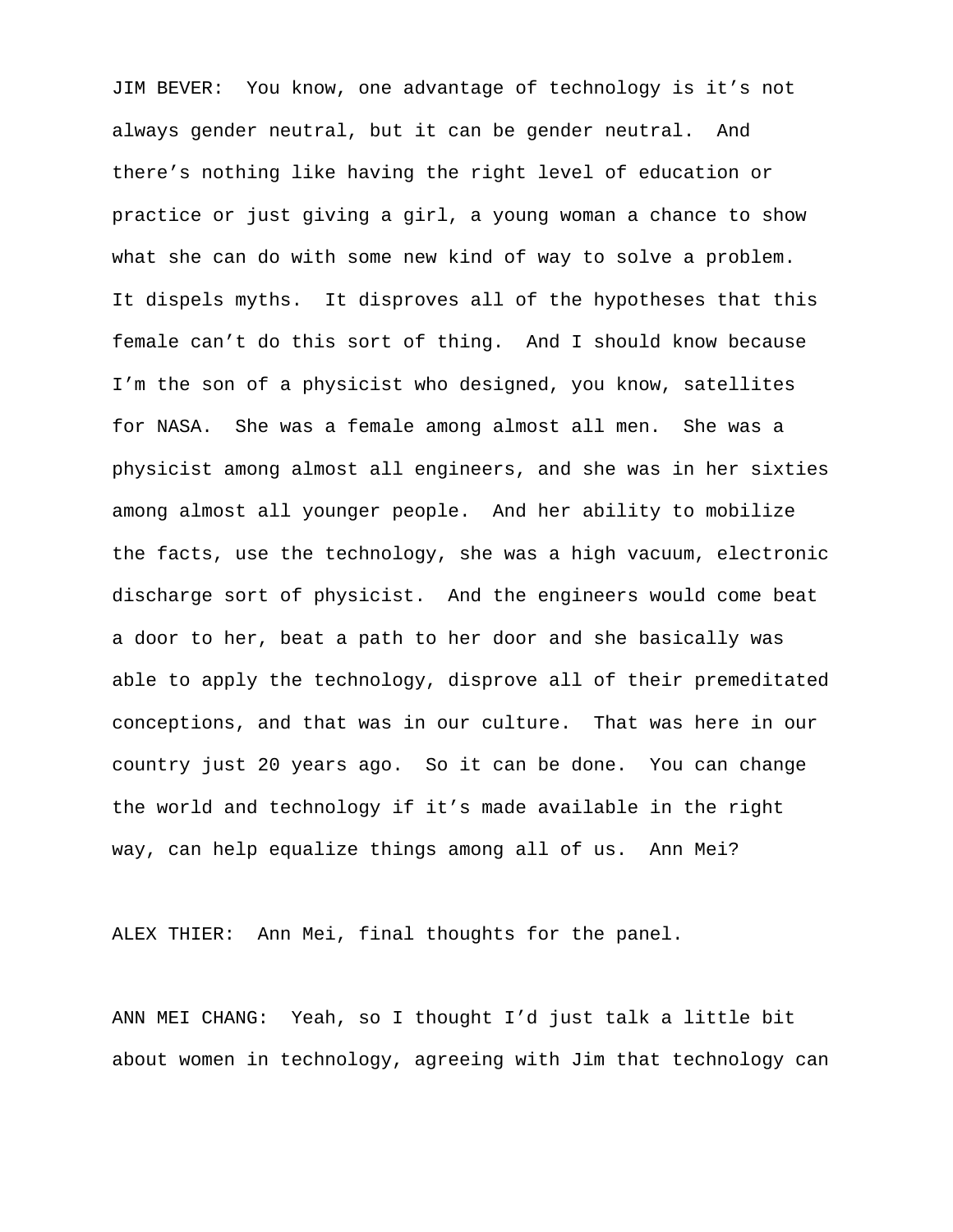JIM BEVER: You know, one advantage of technology is it's not always gender neutral, but it can be gender neutral. And there's nothing like having the right level of education or practice or just giving a girl, a young woman a chance to show what she can do with some new kind of way to solve a problem. It dispels myths. It disproves all of the hypotheses that this female can't do this sort of thing. And I should know because I'm the son of a physicist who designed, you know, satellites for NASA. She was a female among almost all men. She was a physicist among almost all engineers, and she was in her sixties among almost all younger people. And her ability to mobilize the facts, use the technology, she was a high vacuum, electronic discharge sort of physicist. And the engineers would come beat a door to her, beat a path to her door and she basically was able to apply the technology, disprove all of their premeditated conceptions, and that was in our culture. That was here in our country just 20 years ago. So it can be done. You can change the world and technology if it's made available in the right way, can help equalize things among all of us. Ann Mei?

ALEX THIER: Ann Mei, final thoughts for the panel.

ANN MEI CHANG: Yeah, so I thought I'd just talk a little bit about women in technology, agreeing with Jim that technology can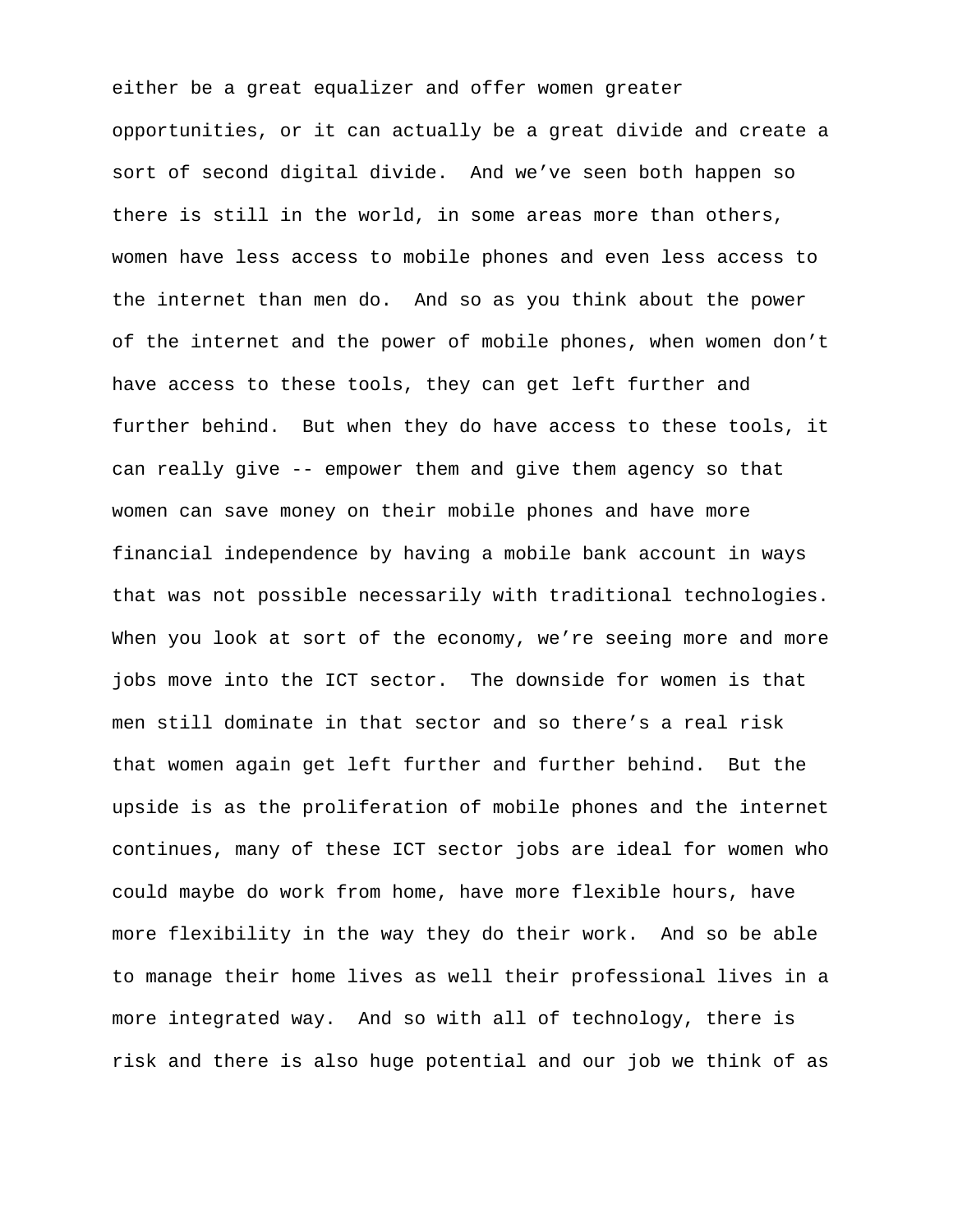either be a great equalizer and offer women greater opportunities, or it can actually be a great divide and create a sort of second digital divide. And we've seen both happen so there is still in the world, in some areas more than others, women have less access to mobile phones and even less access to the internet than men do. And so as you think about the power of the internet and the power of mobile phones, when women don't have access to these tools, they can get left further and further behind. But when they do have access to these tools, it can really give -- empower them and give them agency so that women can save money on their mobile phones and have more financial independence by having a mobile bank account in ways that was not possible necessarily with traditional technologies. When you look at sort of the economy, we're seeing more and more jobs move into the ICT sector. The downside for women is that men still dominate in that sector and so there's a real risk that women again get left further and further behind. But the upside is as the proliferation of mobile phones and the internet continues, many of these ICT sector jobs are ideal for women who could maybe do work from home, have more flexible hours, have more flexibility in the way they do their work. And so be able to manage their home lives as well their professional lives in a more integrated way. And so with all of technology, there is risk and there is also huge potential and our job we think of as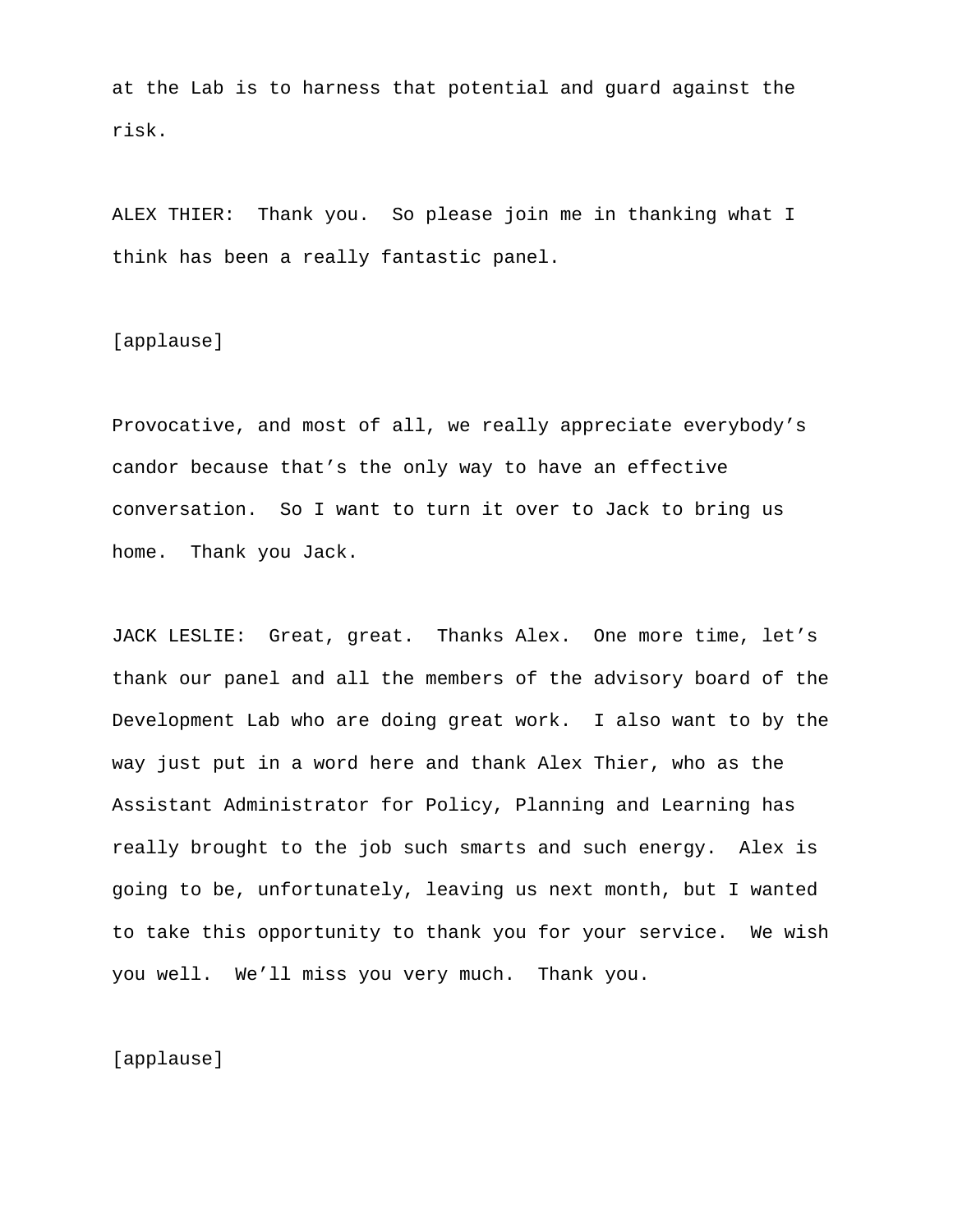at the Lab is to harness that potential and guard against the risk.

ALEX THIER: Thank you. So please join me in thanking what I think has been a really fantastic panel.

[applause]

Provocative, and most of all, we really appreciate everybody's candor because that's the only way to have an effective conversation. So I want to turn it over to Jack to bring us home. Thank you Jack.

JACK LESLIE: Great, great. Thanks Alex. One more time, let's thank our panel and all the members of the advisory board of the Development Lab who are doing great work. I also want to by the way just put in a word here and thank Alex Thier, who as the Assistant Administrator for Policy, Planning and Learning has really brought to the job such smarts and such energy. Alex is going to be, unfortunately, leaving us next month, but I wanted to take this opportunity to thank you for your service. We wish you well. We'll miss you very much. Thank you.

[applause]